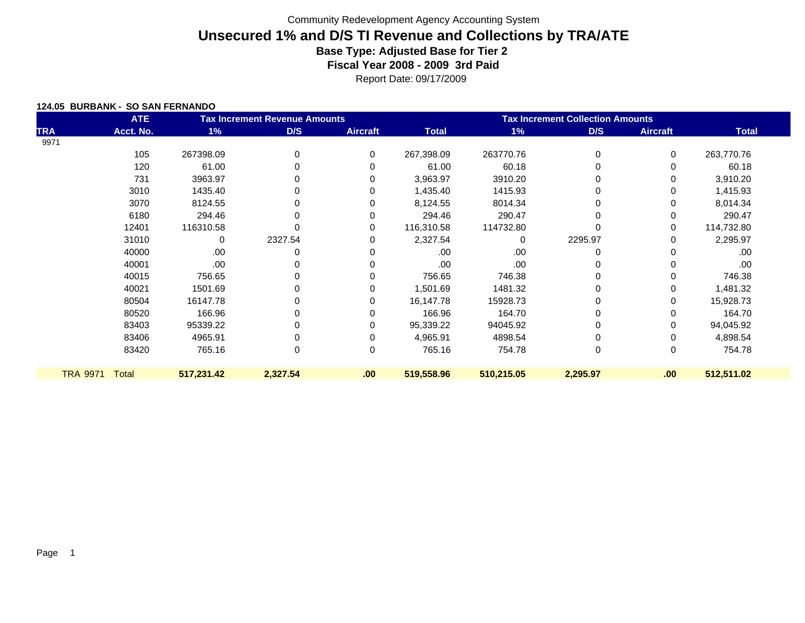Report Date: 09/17/2009

#### **124.05 BURBANK - SO SAN FERNANDO**

|                 | <b>ATE</b>   | <b>Tax Increment Revenue Amounts</b> |             |                 | <b>Tax Increment Collection Amounts</b> |            |          |                 |              |
|-----------------|--------------|--------------------------------------|-------------|-----------------|-----------------------------------------|------------|----------|-----------------|--------------|
| <b>TRA</b>      | Acct. No.    | $1\%$                                | D/S         | <b>Aircraft</b> | <b>Total</b>                            | 1%         | D/S      | <b>Aircraft</b> | <b>Total</b> |
| 9971            |              |                                      |             |                 |                                         |            |          |                 |              |
|                 | 105          | 267398.09                            | 0           | 0               | 267,398.09                              | 263770.76  | 0        | 0               | 263,770.76   |
|                 | 120          | 61.00                                | $\mathbf 0$ | 0               | 61.00                                   | 60.18      | $\Omega$ | 0               | 60.18        |
|                 | 731          | 3963.97                              | 0           | 0               | 3,963.97                                | 3910.20    | 0        | 0               | 3,910.20     |
|                 | 3010         | 1435.40                              | 0           | 0               | 1,435.40                                | 1415.93    | 0        | 0               | 1,415.93     |
|                 | 3070         | 8124.55                              | 0           | 0               | 8,124.55                                | 8014.34    | 0        | 0               | 8,014.34     |
|                 | 6180         | 294.46                               | 0           | 0               | 294.46                                  | 290.47     | 0        | 0               | 290.47       |
|                 | 12401        | 116310.58                            | 0           | 0               | 116,310.58                              | 114732.80  | 0        | 0               | 114,732.80   |
|                 | 31010        | 0                                    | 2327.54     | 0               | 2,327.54                                | 0          | 2295.97  | 0               | 2,295.97     |
|                 | 40000        | .00                                  | 0           | 0               | .00.                                    | .00        | 0        | 0               | .00          |
|                 | 40001        | .00                                  | $\Omega$    | 0               | .00.                                    | .00        | 0        | 0               | .00          |
|                 | 40015        | 756.65                               | $\Omega$    | 0               | 756.65                                  | 746.38     | 0        | 0               | 746.38       |
|                 | 40021        | 1501.69                              | 0           | 0               | 1,501.69                                | 1481.32    | 0        | 0               | 1,481.32     |
|                 | 80504        | 16147.78                             | 0           | 0               | 16,147.78                               | 15928.73   | 0        | 0               | 15,928.73    |
|                 | 80520        | 166.96                               | 0           | 0               | 166.96                                  | 164.70     | 0        | 0               | 164.70       |
|                 | 83403        | 95339.22                             | 0           | 0               | 95,339.22                               | 94045.92   | 0        | 0               | 94,045.92    |
|                 | 83406        | 4965.91                              | 0           | 0               | 4,965.91                                | 4898.54    | 0        | 0               | 4,898.54     |
|                 | 83420        | 765.16                               | 0           | 0               | 765.16                                  | 754.78     | 0        | 0               | 754.78       |
|                 |              |                                      |             |                 |                                         |            |          |                 |              |
| <b>TRA 9971</b> | <b>Total</b> | 517,231.42                           | 2,327.54    | .00             | 519,558.96                              | 510,215.05 | 2,295.97 | .00             | 512,511.02   |
|                 |              |                                      |             |                 |                                         |            |          |                 |              |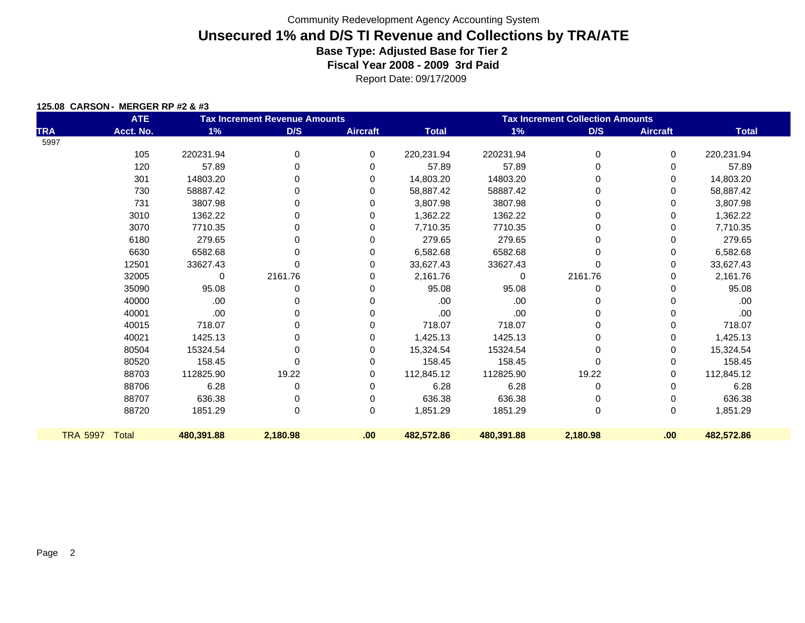|  | 125.08 CARSON - MERGER RP #2 & #3 |
|--|-----------------------------------|
|  |                                   |

|                 | <b>ATE</b>   | <b>Tax Increment Revenue Amounts</b> |             |                 | <b>Tax Increment Collection Amounts</b> |            |          |                 |              |  |
|-----------------|--------------|--------------------------------------|-------------|-----------------|-----------------------------------------|------------|----------|-----------------|--------------|--|
| <b>TRA</b>      | Acct. No.    | 1%                                   | D/S         | <b>Aircraft</b> | <b>Total</b>                            | 1%         | D/S      | <b>Aircraft</b> | <b>Total</b> |  |
| 5997            |              |                                      |             |                 |                                         |            |          |                 |              |  |
|                 | 105          | 220231.94                            | 0           | 0               | 220,231.94                              | 220231.94  | 0        | 0               | 220,231.94   |  |
|                 | 120          | 57.89                                | $\Omega$    | $\Omega$        | 57.89                                   | 57.89      | 0        | 0               | 57.89        |  |
|                 | 301          | 14803.20                             | 0           | 0               | 14,803.20                               | 14803.20   | 0        | 0               | 14,803.20    |  |
|                 | 730          | 58887.42                             | 0           | 0               | 58,887.42                               | 58887.42   | 0        | 0               | 58,887.42    |  |
|                 | 731          | 3807.98                              | 0           | 0               | 3,807.98                                | 3807.98    |          | 0               | 3,807.98     |  |
|                 | 3010         | 1362.22                              | 0           | 0               | 1,362.22                                | 1362.22    | 0        | 0               | 1,362.22     |  |
|                 | 3070         | 7710.35                              | 0           | 0               | 7,710.35                                | 7710.35    | 0        | 0               | 7,710.35     |  |
|                 | 6180         | 279.65                               | 0           | 0               | 279.65                                  | 279.65     | 0        | 0               | 279.65       |  |
|                 | 6630         | 6582.68                              | $\Omega$    | 0               | 6,582.68                                | 6582.68    | 0        | 0               | 6,582.68     |  |
|                 | 12501        | 33627.43                             |             | 0               | 33,627.43                               | 33627.43   | 0        | 0               | 33,627.43    |  |
|                 | 32005        | 0                                    | 2161.76     | 0               | 2,161.76                                | $\Omega$   | 2161.76  | 0               | 2,161.76     |  |
|                 | 35090        | 95.08                                | 0           | 0               | 95.08                                   | 95.08      | 0        | 0               | 95.08        |  |
|                 | 40000        | .00.                                 | 0           | 0               | .00                                     | .00        | 0        | 0               | .00.         |  |
|                 | 40001        | .00.                                 | 0           | 0               | .00                                     | .00        | 0        | 0               | .00          |  |
|                 | 40015        | 718.07                               | 0           | 0               | 718.07                                  | 718.07     | 0        | 0               | 718.07       |  |
|                 | 40021        | 1425.13                              | 0           | 0               | 1,425.13                                | 1425.13    | 0        | 0               | 1,425.13     |  |
|                 | 80504        | 15324.54                             | $\Omega$    | 0               | 15,324.54                               | 15324.54   | 0        | 0               | 15,324.54    |  |
|                 | 80520        | 158.45                               | 0           | 0               | 158.45                                  | 158.45     | 0        | 0               | 158.45       |  |
|                 | 88703        | 112825.90                            | 19.22       | 0               | 112,845.12                              | 112825.90  | 19.22    | 0               | 112,845.12   |  |
|                 | 88706        | 6.28                                 | 0           | $\Omega$        | 6.28                                    | 6.28       | 0        | 0               | 6.28         |  |
|                 | 88707        | 636.38                               | 0           | 0               | 636.38                                  | 636.38     | 0        | 0               | 636.38       |  |
|                 | 88720        | 1851.29                              | $\mathbf 0$ | 0               | 1,851.29                                | 1851.29    | 0        | 0               | 1,851.29     |  |
| <b>TRA 5997</b> | <b>Total</b> | 480,391.88                           | 2,180.98    | .00             | 482,572.86                              | 480,391.88 | 2,180.98 | .00             | 482,572.86   |  |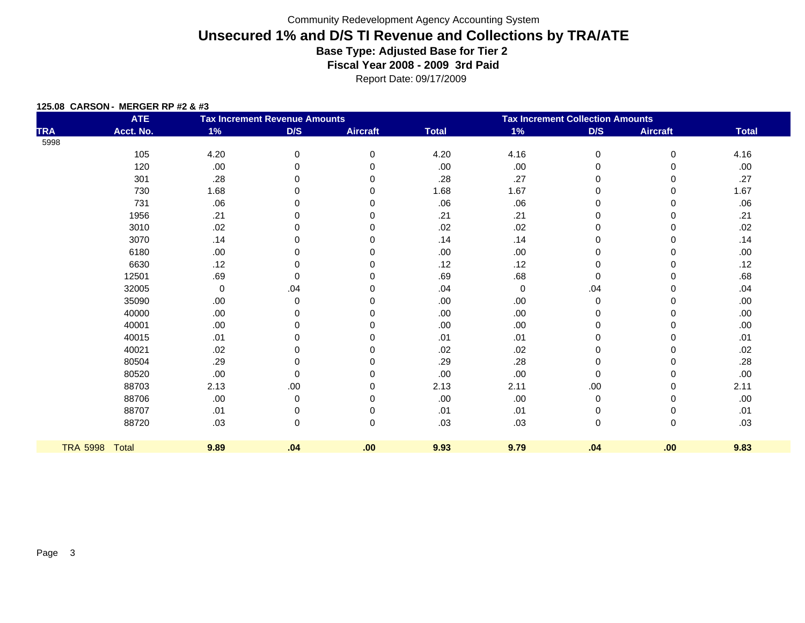|  |  | 125.08 CARSON - MERGER RP #2 & #3 |
|--|--|-----------------------------------|
|  |  |                                   |

|                 | <b>ATE</b> | <b>Tax Increment Revenue Amounts</b> |             |                 | <b>Tax Increment Collection Amounts</b> |      |           |                 |              |
|-----------------|------------|--------------------------------------|-------------|-----------------|-----------------------------------------|------|-----------|-----------------|--------------|
| <b>TRA</b>      | Acct. No.  | $1\%$                                | D/S         | <b>Aircraft</b> | <b>Total</b>                            | 1%   | D/S       | <b>Aircraft</b> | <b>Total</b> |
| 5998            |            |                                      |             |                 |                                         |      |           |                 |              |
|                 | 105        | 4.20                                 | $\pmb{0}$   | $\mathbf 0$     | 4.20                                    | 4.16 | $\,0\,$   | 0               | 4.16         |
|                 | 120        | .00                                  | 0           | 0               | .00                                     | .00  | $\pmb{0}$ | 0               | .00.         |
|                 | 301        | .28                                  | 0           | 0               | .28                                     | .27  | 0         | 0               | .27          |
|                 | 730        | 1.68                                 | 0           | 0               | 1.68                                    | 1.67 | 0         | 0               | 1.67         |
|                 | 731        | .06                                  | 0           | $\Omega$        | .06                                     | .06  | 0         | 0               | .06          |
|                 | 1956       | .21                                  | O           | ∩               | .21                                     | .21  | 0         | 0               | .21          |
|                 | 3010       | .02                                  | 0           | 0               | .02                                     | .02  | 0         | 0               | .02          |
|                 | 3070       | .14                                  | 0           | $\Omega$        | .14                                     | .14  | 0         | 0               | .14          |
|                 | 6180       | .00                                  | 0           | ∩               | .00                                     | .00  | 0         | 0               | .00.         |
|                 | 6630       | .12                                  | 0           | 0               | .12                                     | .12  | 0         | 0               | .12          |
|                 | 12501      | .69                                  | 0           | 0               | .69                                     | .68  | $\,0\,$   | 0               | .68          |
|                 | 32005      | 0                                    | .04         | $\Omega$        | .04                                     | 0    | .04       | 0               | .04          |
|                 | 35090      | .00                                  | 0           | 0               | .00                                     | .00  | 0         | 0               | .00.         |
|                 | 40000      | .00                                  | 0           | $\Omega$        | .00                                     | .00  | 0         | 0               | .00.         |
|                 | 40001      | .00                                  | 0           | ∩               | .00                                     | .00  | 0         | 0               | .00.         |
|                 | 40015      | .01                                  | 0           | 0               | .01                                     | .01  | 0         | 0               | .01          |
|                 | 40021      | .02                                  | 0           | O               | .02                                     | .02  | 0         | 0               | .02          |
|                 | 80504      | .29                                  | 0           | ∩               | .29                                     | .28  | 0         | 0               | .28          |
|                 | 80520      | .00                                  | 0           | 0               | .00                                     | .00  | $\pmb{0}$ | $\Omega$        | .00.         |
|                 | 88703      | 2.13                                 | .00         | 0               | 2.13                                    | 2.11 | .00       | 0               | 2.11         |
|                 | 88706      | .00                                  | 0           | 0               | .00                                     | .00  | 0         | 0               | .00          |
|                 | 88707      | .01                                  | 0           | 0               | .01                                     | .01  | 0         | 0               | .01          |
|                 | 88720      | .03                                  | $\mathbf 0$ | $\Omega$        | .03                                     | .03  | $\pmb{0}$ | $\mathbf 0$     | .03          |
| <b>TRA 5998</b> | Total      | 9.89                                 | .04         | .00             | 9.93                                    | 9.79 | .04       | .00             | 9.83         |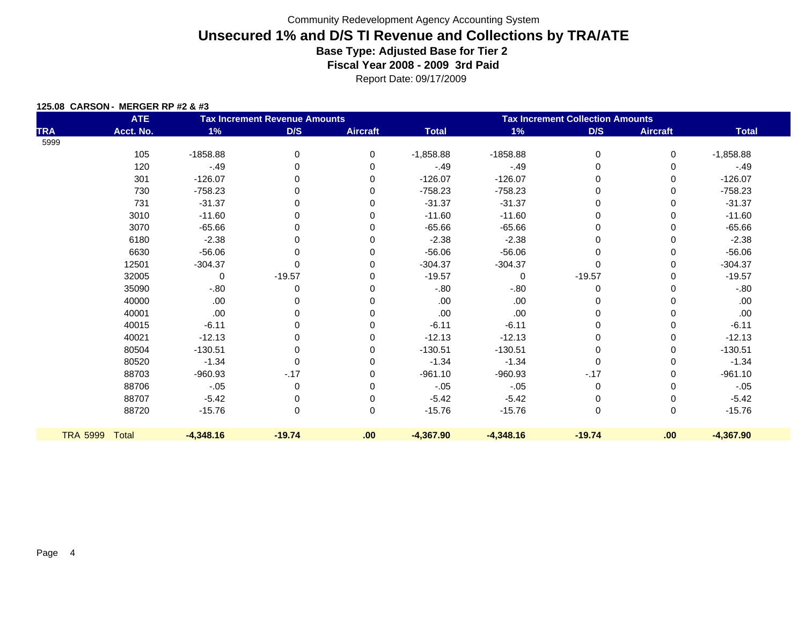|  | 125.08 CARSON - MERGER RP #2 & #3 |
|--|-----------------------------------|
|  |                                   |

|                 | <b>ATE</b>   | <b>Tax Increment Revenue Amounts</b> |          |                 | <b>Tax Increment Collection Amounts</b> |              |             |                 |              |
|-----------------|--------------|--------------------------------------|----------|-----------------|-----------------------------------------|--------------|-------------|-----------------|--------------|
| <b>TRA</b>      | Acct. No.    | 1%                                   | D/S      | <b>Aircraft</b> | <b>Total</b>                            | $1\%$        | D/S         | <b>Aircraft</b> | <b>Total</b> |
| 5999            |              |                                      |          |                 |                                         |              |             |                 |              |
|                 | 105          | $-1858.88$                           | 0        | 0               | $-1,858.88$                             | $-1858.88$   | $\mathbf 0$ | 0               | $-1,858.88$  |
|                 | 120          | $-49$                                | $\Omega$ | $\Omega$        | $-.49$                                  | $-.49$       | $\Omega$    | 0               | $-.49$       |
|                 | 301          | $-126.07$                            | 0        | 0               | $-126.07$                               | $-126.07$    | 0           | 0               | $-126.07$    |
|                 | 730          | $-758.23$                            | 0        | 0               | $-758.23$                               | $-758.23$    | 0           | 0               | $-758.23$    |
|                 | 731          | $-31.37$                             | 0        | 0               | $-31.37$                                | $-31.37$     | $\Omega$    | 0               | $-31.37$     |
|                 | 3010         | $-11.60$                             | 0        | $\Omega$        | $-11.60$                                | $-11.60$     | $\Omega$    | 0               | $-11.60$     |
|                 | 3070         | $-65.66$                             | 0        | $\Omega$        | $-65.66$                                | $-65.66$     | $\Omega$    | 0               | $-65.66$     |
|                 | 6180         | $-2.38$                              | 0        | 0               | $-2.38$                                 | $-2.38$      | 0           | 0               | $-2.38$      |
|                 | 6630         | $-56.06$                             | 0        | 0               | $-56.06$                                | $-56.06$     | 0           | 0               | $-56.06$     |
|                 | 12501        | $-304.37$                            | $\Omega$ | $\Omega$        | $-304.37$                               | $-304.37$    | $\Omega$    | 0               | $-304.37$    |
|                 | 32005        | $\Omega$                             | $-19.57$ | $\Omega$        | $-19.57$                                | $\mathbf{0}$ | $-19.57$    | 0               | $-19.57$     |
|                 | 35090        | $-0.80$                              | 0        | 0               | $-0.80$                                 | $-0.80$      | 0           | 0               | $-0.80$      |
|                 | 40000        | .00.                                 | 0        | 0               | .00.                                    | .00          | 0           | 0               | .00.         |
|                 | 40001        | .00                                  | 0        | 0               | .00                                     | .00.         | $\Omega$    | 0               | .00.         |
|                 | 40015        | $-6.11$                              | $\Omega$ | $\Omega$        | $-6.11$                                 | $-6.11$      | $\Omega$    | 0               | $-6.11$      |
|                 | 40021        | $-12.13$                             | 0        | 0               | $-12.13$                                | $-12.13$     | 0           | 0               | $-12.13$     |
|                 | 80504        | $-130.51$                            | 0        | 0               | $-130.51$                               | $-130.51$    | 0           | 0               | $-130.51$    |
|                 | 80520        | $-1.34$                              | $\Omega$ | 0               | $-1.34$                                 | $-1.34$      | $\Omega$    | 0               | $-1.34$      |
|                 | 88703        | $-960.93$                            | $-.17$   | $\Omega$        | $-961.10$                               | $-960.93$    | $-.17$      | 0               | $-961.10$    |
|                 | 88706        | $-.05$                               | 0        | $\Omega$        | $-.05$                                  | $-.05$       | 0           | 0               | $-.05$       |
|                 | 88707        | $-5.42$                              | 0        | 0               | $-5.42$                                 | $-5.42$      | 0           | 0               | $-5.42$      |
|                 | 88720        | $-15.76$                             | 0        | 0               | $-15.76$                                | $-15.76$     | $\mathbf 0$ | 0               | $-15.76$     |
| <b>TRA 5999</b> | <b>Total</b> | $-4,348.16$                          | $-19.74$ | .00             | $-4,367.90$                             | $-4,348.16$  | $-19.74$    | .00             | $-4,367.90$  |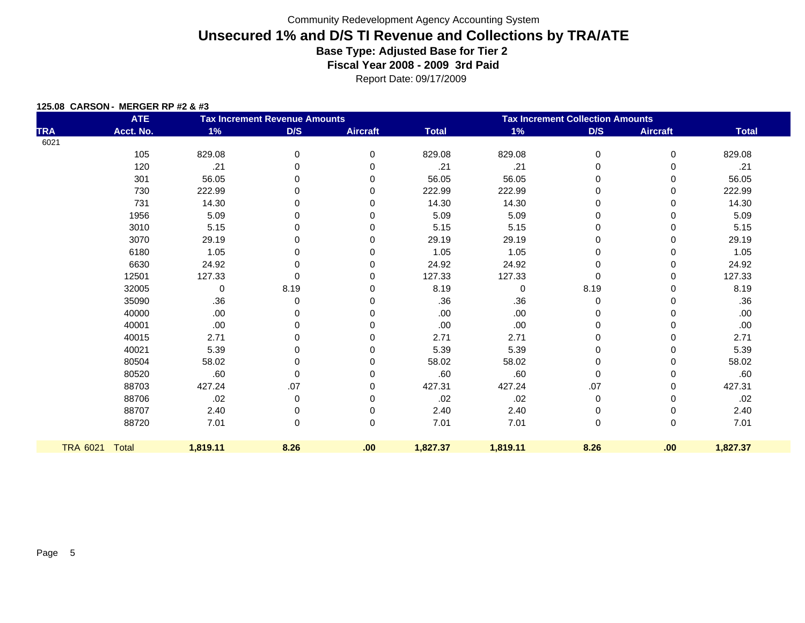|  | 125.08 CARSON - MERGER RP #2 & #3 |  |
|--|-----------------------------------|--|
|  |                                   |  |

|            | <b>ATE</b>     | <b>Tax Increment Revenue Amounts</b> |      |                 | <b>Tax Increment Collection Amounts</b> |          |             |                 |              |
|------------|----------------|--------------------------------------|------|-----------------|-----------------------------------------|----------|-------------|-----------------|--------------|
| <b>TRA</b> | Acct. No.      | $1\%$                                | D/S  | <b>Aircraft</b> | <b>Total</b>                            | 1%       | D/S         | <b>Aircraft</b> | <b>Total</b> |
| 6021       |                |                                      |      |                 |                                         |          |             |                 |              |
|            | 105            | 829.08                               | 0    | 0               | 829.08                                  | 829.08   | 0           | $\mathbf 0$     | 829.08       |
|            | 120            | .21                                  | 0    | 0               | .21                                     | .21      | $\mathbf 0$ | 0               | .21          |
|            | 301            | 56.05                                | 0    | 0               | 56.05                                   | 56.05    | 0           | 0               | 56.05        |
|            | 730            | 222.99                               | 0    | 0               | 222.99                                  | 222.99   | $\mathbf 0$ | 0               | 222.99       |
|            | 731            | 14.30                                | 0    | 0               | 14.30                                   | 14.30    | 0           | 0               | 14.30        |
|            | 1956           | 5.09                                 | 0    | 0               | 5.09                                    | 5.09     | 0           | 0               | 5.09         |
|            | 3010           | 5.15                                 | 0    | 0               | 5.15                                    | 5.15     | $\mathbf 0$ | $\Omega$        | 5.15         |
|            | 3070           | 29.19                                | 0    | 0               | 29.19                                   | 29.19    | 0           | 0               | 29.19        |
|            | 6180           | 1.05                                 | 0    | 0               | 1.05                                    | 1.05     | 0           | 0               | 1.05         |
|            | 6630           | 24.92                                | 0    | 0               | 24.92                                   | 24.92    | $\mathbf 0$ | 0               | 24.92        |
|            | 12501          | 127.33                               | 0    | 0               | 127.33                                  | 127.33   | $\mathbf 0$ | 0               | 127.33       |
|            | 32005          | $\mathbf 0$                          | 8.19 | 0               | 8.19                                    | 0        | 8.19        | 0               | 8.19         |
|            | 35090          | .36                                  | 0    | 0               | .36                                     | .36      | 0           | 0               | .36          |
|            | 40000          | .00.                                 | 0    | 0               | .00                                     | .00.     | 0           | 0               | .00.         |
|            | 40001          | .00.                                 | 0    | 0               | .00                                     | .00      | 0           | 0               | .00.         |
|            | 40015          | 2.71                                 | 0    | 0               | 2.71                                    | 2.71     | $\mathbf 0$ | $\Omega$        | 2.71         |
|            | 40021          | 5.39                                 | 0    | 0               | 5.39                                    | 5.39     | 0           | 0               | 5.39         |
|            | 80504          | 58.02                                | 0    | 0               | 58.02                                   | 58.02    | 0           | 0               | 58.02        |
|            | 80520          | .60                                  | 0    | 0               | .60                                     | .60      | $\mathbf 0$ | 0               | .60          |
|            | 88703          | 427.24                               | .07  | 0               | 427.31                                  | 427.24   | .07         | 0               | 427.31       |
|            | 88706          | .02                                  | 0    | 0               | .02                                     | .02      | 0           | 0               | .02          |
|            | 88707          | 2.40                                 | 0    | 0               | 2.40                                    | 2.40     | 0           | 0               | 2.40         |
|            | 88720          | 7.01                                 | 0    | $\mathbf 0$     | 7.01                                    | 7.01     | $\pmb{0}$   | $\mathbf 0$     | 7.01         |
|            | TRA 6021 Total | 1,819.11                             | 8.26 | .00             | 1,827.37                                | 1,819.11 | 8.26        | .00.            | 1,827.37     |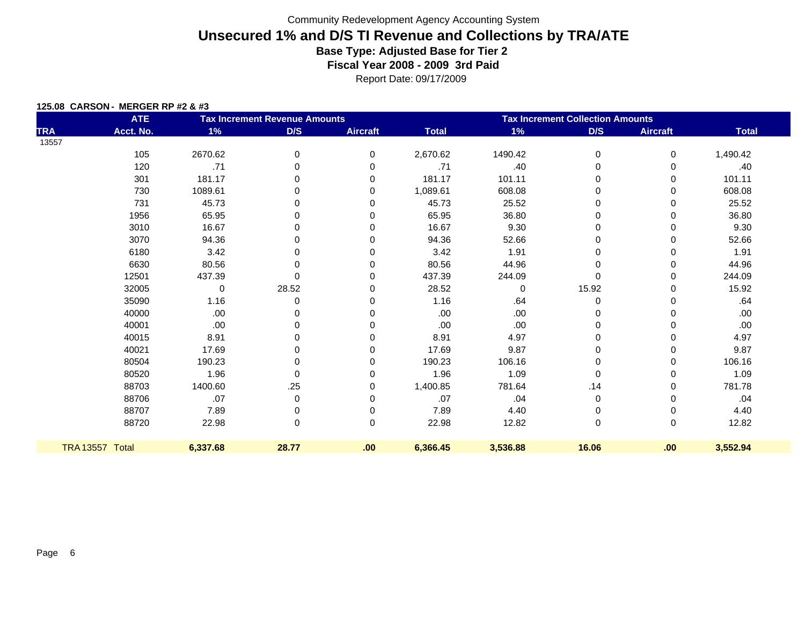|  | 125.08 CARSON - MERGER RP #2 & #3 |  |
|--|-----------------------------------|--|
|  |                                   |  |

|            | <b>ATE</b>      | <b>Tax Increment Revenue Amounts</b> |          |                 | <b>Tax Increment Collection Amounts</b> |             |             |                 |              |  |
|------------|-----------------|--------------------------------------|----------|-----------------|-----------------------------------------|-------------|-------------|-----------------|--------------|--|
| <b>TRA</b> | Acct. No.       | $1\%$                                | D/S      | <b>Aircraft</b> | <b>Total</b>                            | 1%          | D/S         | <b>Aircraft</b> | <b>Total</b> |  |
| 13557      |                 |                                      |          |                 |                                         |             |             |                 |              |  |
|            | 105             | 2670.62                              | 0        | 0               | 2,670.62                                | 1490.42     | 0           | 0               | 1,490.42     |  |
|            | 120             | .71                                  | 0        | 0               | .71                                     | .40         | 0           | 0               | .40          |  |
|            | 301             | 181.17                               | $\Omega$ | 0               | 181.17                                  | 101.11      | 0           | 0               | 101.11       |  |
|            | 730             | 1089.61                              | 0        | $\Omega$        | 1,089.61                                | 608.08      | 0           | 0               | 608.08       |  |
|            | 731             | 45.73                                | 0        | 0               | 45.73                                   | 25.52       | 0           | 0               | 25.52        |  |
|            | 1956            | 65.95                                | $\Omega$ | U               | 65.95                                   | 36.80       | 0           | 0               | 36.80        |  |
|            | 3010            | 16.67                                | 0        | 0               | 16.67                                   | 9.30        | 0           | $\Omega$        | 9.30         |  |
|            | 3070            | 94.36                                | 0        |                 | 94.36                                   | 52.66       | 0           |                 | 52.66        |  |
|            | 6180            | 3.42                                 | O        |                 | 3.42                                    | 1.91        | 0           | 0               | 1.91         |  |
|            | 6630            | 80.56                                | 0        | $\Omega$        | 80.56                                   | 44.96       | 0           | 0               | 44.96        |  |
|            | 12501           | 437.39                               | 0        | 0               | 437.39                                  | 244.09      | 0           | 0               | 244.09       |  |
|            | 32005           | 0                                    | 28.52    | $\Omega$        | 28.52                                   | $\mathbf 0$ | 15.92       | 0               | 15.92        |  |
|            | 35090           | 1.16                                 | 0        | $\Omega$        | 1.16                                    | .64         | 0           | 0               | .64          |  |
|            | 40000           | .00                                  | 0        | U               | .00                                     | .00.        | 0           | 0               | .00.         |  |
|            | 40001           | .00                                  | O        |                 | .00                                     | .00         | 0           | 0               | .00          |  |
|            | 40015           | 8.91                                 | 0        | $\Omega$        | 8.91                                    | 4.97        | 0           | 0               | 4.97         |  |
|            | 40021           | 17.69                                | 0        | O               | 17.69                                   | 9.87        | 0           |                 | 9.87         |  |
|            | 80504           | 190.23                               | O        | O               | 190.23                                  | 106.16      | 0           | 0               | 106.16       |  |
|            | 80520           | 1.96                                 | 0        | $\Omega$        | 1.96                                    | 1.09        | 0           | 0               | 1.09         |  |
|            | 88703           | 1400.60                              | .25      | 0               | 1,400.85                                | 781.64      | .14         | 0               | 781.78       |  |
|            | 88706           | .07                                  | 0        | ∩               | .07                                     | .04         | $\mathbf 0$ | 0               | .04          |  |
|            | 88707           | 7.89                                 | 0        | $\Omega$        | 7.89                                    | 4.40        | 0           | 0               | 4.40         |  |
|            | 88720           | 22.98                                | 0        | $\Omega$        | 22.98                                   | 12.82       | 0           | $\mathbf 0$     | 12.82        |  |
|            | TRA 13557 Total | 6,337.68                             | 28.77    | .00             | 6,366.45                                | 3,536.88    | 16.06       | .00             | 3,552.94     |  |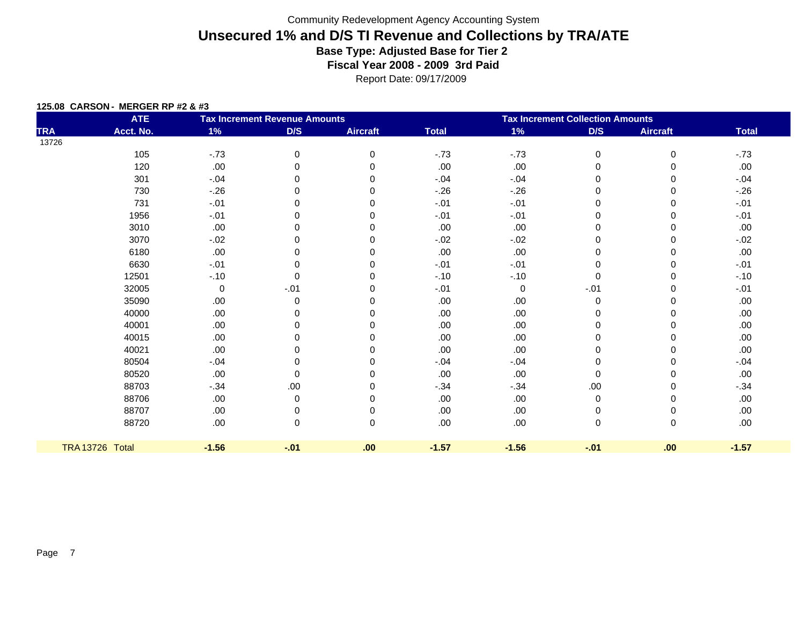|  | 125.08 CARSON - MERGER RP #2 & #3 |
|--|-----------------------------------|
|  |                                   |

|            | <b>ATE</b>             |         | <b>Tax Increment Revenue Amounts</b> |                 | <b>Tax Increment Collection Amounts</b> |             |             |                 |              |  |  |
|------------|------------------------|---------|--------------------------------------|-----------------|-----------------------------------------|-------------|-------------|-----------------|--------------|--|--|
| <b>TRA</b> | Acct. No.              | 1%      | D/S                                  | <b>Aircraft</b> | <b>Total</b>                            | $1\%$       | D/S         | <b>Aircraft</b> | <b>Total</b> |  |  |
| 13726      |                        |         |                                      |                 |                                         |             |             |                 |              |  |  |
|            | 105                    | $-73$   | 0                                    | $\Omega$        | $-73$                                   | $-73$       | 0           | 0               | $-73$        |  |  |
|            | 120                    | $.00\,$ | 0                                    | 0               | .00                                     | .00         | 0           | 0               | .00.         |  |  |
|            | 301                    | $-.04$  | 0                                    | 0               | $-.04$                                  | $-.04$      | 0           | 0               | $-0.04$      |  |  |
|            | 730                    | $-26$   | 0                                    | 0               | $-26$                                   | $-.26$      | 0           | $\Omega$        | $-26$        |  |  |
|            | 731                    | $-.01$  | 0                                    | 0               | $-.01$                                  | $-.01$      | 0           | 0               | $-.01$       |  |  |
|            | 1956                   | $-.01$  | 0                                    | 0               | $-.01$                                  | $-.01$      | 0           | 0               | $-.01$       |  |  |
|            | 3010                   | .00     | 0                                    | 0               | .00                                     | .00         | 0           | $\Omega$        | .00.         |  |  |
|            | 3070                   | $-.02$  | 0                                    | 0               | $-.02$                                  | $-.02$      | 0           | 0               | $-0.02$      |  |  |
|            | 6180                   | .00     | 0                                    | ∩               | .00                                     | .00         | $\Omega$    | 0               | .00.         |  |  |
|            | 6630                   | $-.01$  | 0                                    | 0               | $-.01$                                  | $-.01$      | 0           | 0               | $-.01$       |  |  |
|            | 12501                  | $-.10$  | 0                                    | 0               | $-.10$                                  | $-.10$      | $\mathbf 0$ | 0               | $-.10$       |  |  |
|            | 32005                  | 0       | $-.01$                               | $\Omega$        | $-.01$                                  | $\mathbf 0$ | $-.01$      | 0               | $-.01$       |  |  |
|            | 35090                  | .00     | 0                                    | 0               | .00                                     | .00         | 0           | 0               | .00.         |  |  |
|            | 40000                  | .00     | 0                                    | $\Omega$        | .00                                     | .00         | 0           | 0               | .00.         |  |  |
|            | 40001                  | .00     | 0                                    |                 | .00                                     | .00         | 0           | 0               | .00.         |  |  |
|            | 40015                  | .00     | 0                                    | 0               | .00                                     | .00         | 0           | 0               | .00.         |  |  |
|            | 40021                  | .00     | 0                                    | O               | .00                                     | .00         | $\mathbf 0$ | 0               | .00.         |  |  |
|            | 80504                  | $-.04$  | 0                                    | ∩               | $-.04$                                  | $-.04$      | $\Omega$    | 0               | $-0.04$      |  |  |
|            | 80520                  | .00     | 0                                    | 0               | .00                                     | .00         | 0           | 0               | .00.         |  |  |
|            | 88703                  | $-.34$  | .00                                  | $\Omega$        | $-.34$                                  | $-.34$      | .00         | 0               | $-.34$       |  |  |
|            | 88706                  | .00     | 0                                    | 0               | .00                                     | .00         | $\pmb{0}$   | 0               | .00.         |  |  |
|            | 88707                  | .00     | 0                                    | 0               | .00                                     | .00         | 0           | 0               | .00.         |  |  |
|            | 88720                  | .00     | 0                                    | $\Omega$        | .00.                                    | .00         | $\mathbf 0$ | 0               | .00.         |  |  |
|            | <b>TRA 13726 Total</b> | $-1.56$ | $-.01$                               | .00             | $-1.57$                                 | $-1.56$     | $-01$       | .00             | $-1.57$      |  |  |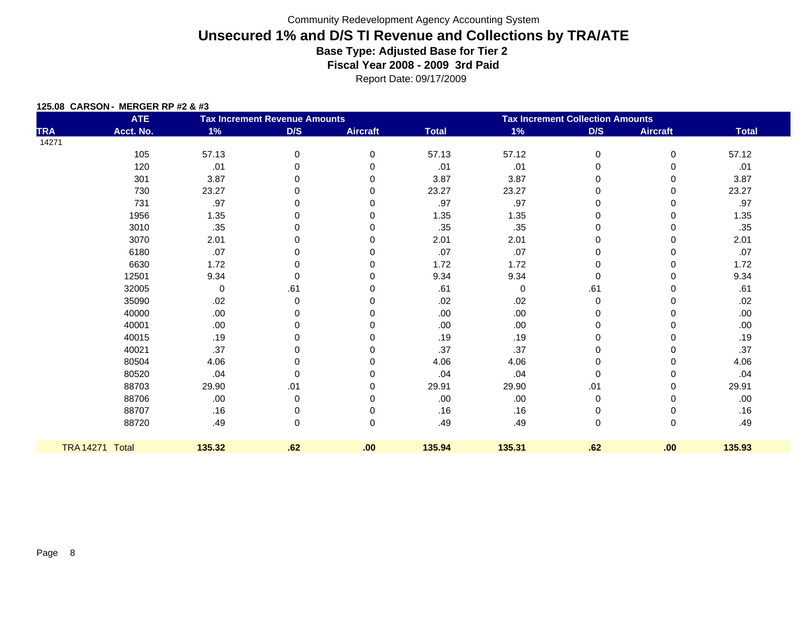|  | 125.08 CARSON - MERGER RP #2 & #3 |  |
|--|-----------------------------------|--|
|  |                                   |  |

|            | <b>ATE</b>      |        | <b>Tax Increment Revenue Amounts</b> |                 | <b>Tax Increment Collection Amounts</b> |        |             |                 |              |  |
|------------|-----------------|--------|--------------------------------------|-----------------|-----------------------------------------|--------|-------------|-----------------|--------------|--|
| <b>TRA</b> | Acct. No.       | 1%     | D/S                                  | <b>Aircraft</b> | <b>Total</b>                            | 1%     | D/S         | <b>Aircraft</b> | <b>Total</b> |  |
| 14271      |                 |        |                                      |                 |                                         |        |             |                 |              |  |
|            | 105             | 57.13  | 0                                    | 0               | 57.13                                   | 57.12  | $\mathbf 0$ | $\mathbf 0$     | 57.12        |  |
|            | 120             | .01    | 0                                    | 0               | .01                                     | .01    | 0           | 0               | .01          |  |
|            | 301             | 3.87   | 0                                    | 0               | 3.87                                    | 3.87   | $\Omega$    | 0               | 3.87         |  |
|            | 730             | 23.27  | 0                                    | 0               | 23.27                                   | 23.27  | $\mathbf 0$ | $\Omega$        | 23.27        |  |
|            | 731             | .97    | 0                                    | $\mathbf 0$     | .97                                     | .97    | 0           | 0               | .97          |  |
|            | 1956            | 1.35   | 0                                    | $\Omega$        | 1.35                                    | 1.35   | 0           | 0               | 1.35         |  |
|            | 3010            | .35    | 0                                    | 0               | .35                                     | .35    | $\mathbf 0$ | 0               | .35          |  |
|            | 3070            | 2.01   | 0                                    | $\mathbf 0$     | 2.01                                    | 2.01   | 0           | 0               | 2.01         |  |
|            | 6180            | .07    | 0                                    | 0               | .07                                     | .07    | 0           | 0               | .07          |  |
|            | 6630            | 1.72   | 0                                    | 0               | 1.72                                    | 1.72   | 0           | $\Omega$        | 1.72         |  |
|            | 12501           | 9.34   | 0                                    | $\mathbf 0$     | 9.34                                    | 9.34   | $\mathbf 0$ | 0               | 9.34         |  |
|            | 32005           | 0      | .61                                  | $\Omega$        | .61                                     | 0      | .61         | $\Omega$        | .61          |  |
|            | 35090           | .02    | 0                                    | $\Omega$        | .02                                     | .02    | $\mathbf 0$ | $\Omega$        | .02          |  |
|            | 40000           | .00.   | 0                                    | $\Omega$        | .00                                     | .00.   | 0           | 0               | .00.         |  |
|            | 40001           | .00.   | 0                                    | 0               | .00                                     | .00    | 0           | 0               | .00.         |  |
|            | 40015           | .19    | 0                                    | 0               | .19                                     | .19    | 0           | $\Omega$        | .19          |  |
|            | 40021           | .37    | 0                                    | $\Omega$        | .37                                     | .37    | 0           | 0               | .37          |  |
|            | 80504           | 4.06   | 0                                    | 0               | 4.06                                    | 4.06   | 0           | 0               | 4.06         |  |
|            | 80520           | .04    | 0                                    | 0               | .04                                     | .04    | $\mathbf 0$ | $\Omega$        | .04          |  |
|            | 88703           | 29.90  | .01                                  | $\mathbf 0$     | 29.91                                   | 29.90  | .01         | 0               | 29.91        |  |
|            | 88706           | .00.   | 0                                    | 0               | .00                                     | .00    | 0           | 0               | .00.         |  |
|            | 88707           | .16    | 0                                    | $\Omega$        | .16                                     | .16    | 0           | $\Omega$        | .16          |  |
|            | 88720           | .49    | 0                                    | $\mathbf 0$     | .49                                     | .49    | $\pmb{0}$   | $\mathbf 0$     | .49          |  |
|            | TRA 14271 Total | 135.32 | .62                                  | .00             | 135.94                                  | 135.31 | .62         | .00.            | 135.93       |  |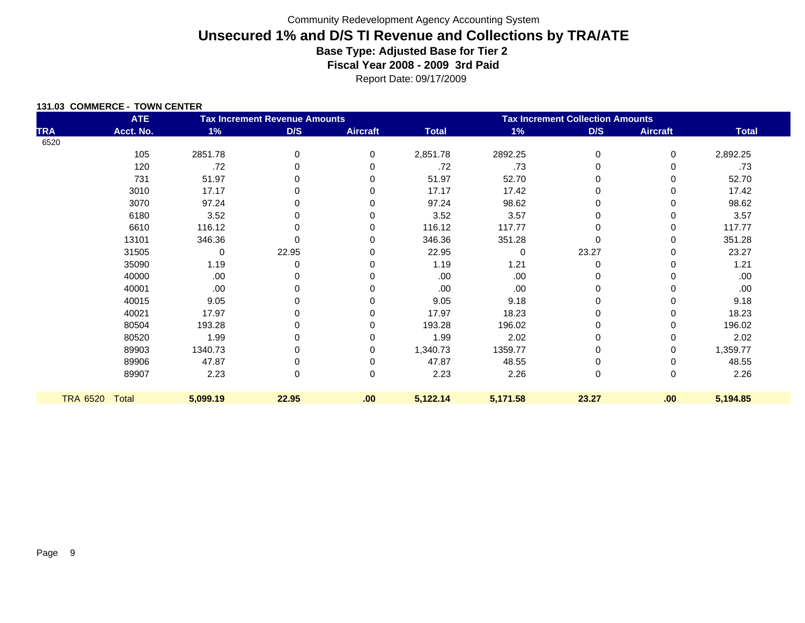|  | 131.03 COMMERCE - TOWN CENTER |
|--|-------------------------------|
|  |                               |

|            | <b>ATE</b>     | <b>Tax Increment Revenue Amounts</b> |          |                 | <b>Tax Increment Collection Amounts</b> |             |             |                 |              |  |
|------------|----------------|--------------------------------------|----------|-----------------|-----------------------------------------|-------------|-------------|-----------------|--------------|--|
| <b>TRA</b> | Acct. No.      | 1%                                   | D/S      | <b>Aircraft</b> | <b>Total</b>                            | 1%          | D/S         | <b>Aircraft</b> | <b>Total</b> |  |
| 6520       |                |                                      |          |                 |                                         |             |             |                 |              |  |
|            | 105            | 2851.78                              | 0        | 0               | 2,851.78                                | 2892.25     | 0           | 0               | 2,892.25     |  |
|            | 120            | .72                                  |          | 0               | .72                                     | .73         | 0           | 0               | .73          |  |
|            | 731            | 51.97                                |          | 0               | 51.97                                   | 52.70       | 0           | 0               | 52.70        |  |
|            | 3010           | 17.17                                | O        | $\Omega$        | 17.17                                   | 17.42       | 0           | 0               | 17.42        |  |
|            | 3070           | 97.24                                | $\Omega$ | 0               | 97.24                                   | 98.62       | 0           | 0               | 98.62        |  |
|            | 6180           | 3.52                                 | 0        | 0               | 3.52                                    | 3.57        | 0           | 0               | 3.57         |  |
|            | 6610           | 116.12                               | 0        | 0               | 116.12                                  | 117.77      | 0           | 0               | 117.77       |  |
|            | 13101          | 346.36                               |          | 0               | 346.36                                  | 351.28      | 0           | 0               | 351.28       |  |
|            | 31505          | 0                                    | 22.95    | 0               | 22.95                                   | $\mathbf 0$ | 23.27       | 0               | 23.27        |  |
|            | 35090          | 1.19                                 | $\Omega$ | 0               | 1.19                                    | 1.21        | $\mathbf 0$ | 0               | 1.21         |  |
|            | 40000          | .00                                  |          |                 | .00                                     | .00         |             | 0               | .00          |  |
|            | 40001          | .00                                  |          | 0               | .00                                     | .00         | 0           | 0               | .00          |  |
|            | 40015          | 9.05                                 | ŋ        | $\Omega$        | 9.05                                    | 9.18        | 0           | 0               | 9.18         |  |
|            | 40021          | 17.97                                | 0        | 0               | 17.97                                   | 18.23       | 0           | 0               | 18.23        |  |
|            | 80504          | 193.28                               |          |                 | 193.28                                  | 196.02      | 0           | 0               | 196.02       |  |
|            | 80520          | 1.99                                 | 0        |                 | 1.99                                    | 2.02        | 0           | 0               | 2.02         |  |
|            | 89903          | 1340.73                              |          | 0               | 1,340.73                                | 1359.77     | 0           | 0               | 1,359.77     |  |
|            | 89906          | 47.87                                |          | 0               | 47.87                                   | 48.55       | 0           | 0               | 48.55        |  |
|            | 89907          | 2.23                                 | 0        | 0               | 2.23                                    | 2.26        | 0           | 0               | 2.26         |  |
|            | TRA 6520 Total | 5,099.19                             | 22.95    | .00             | 5,122.14                                | 5,171.58    | 23.27       | .00             | 5,194.85     |  |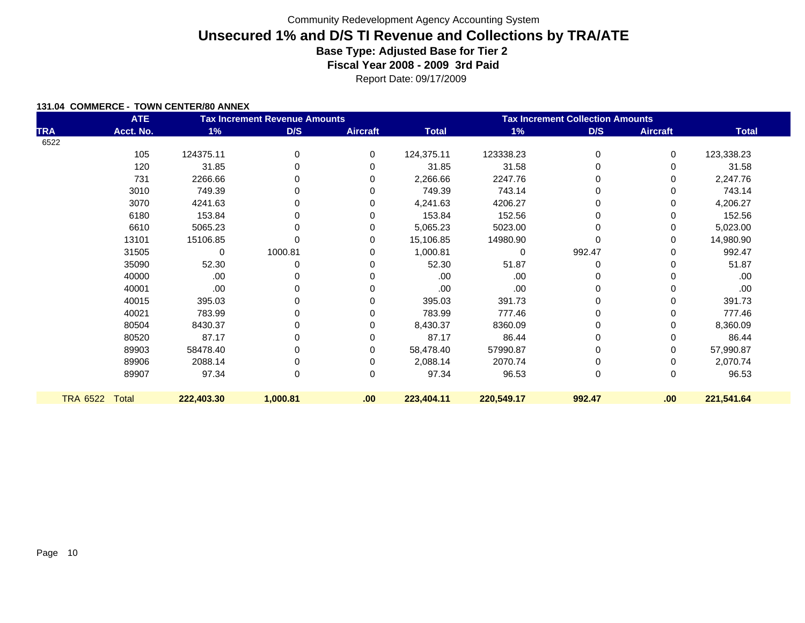Report Date: 09/17/2009

#### **131.04 COMMERCE - TOWN CENTER/80 ANNEX**

|                 | <b>ATE</b> |            | <b>Tax Increment Revenue Amounts</b> |                 |              | <b>Tax Increment Collection Amounts</b> |        |                 |              |  |  |
|-----------------|------------|------------|--------------------------------------|-----------------|--------------|-----------------------------------------|--------|-----------------|--------------|--|--|
| <b>TRA</b>      | Acct. No.  | 1%         | D/S                                  | <b>Aircraft</b> | <b>Total</b> | 1%                                      | D/S    | <b>Aircraft</b> | <b>Total</b> |  |  |
| 6522            |            |            |                                      |                 |              |                                         |        |                 |              |  |  |
|                 | 105        | 124375.11  | 0                                    | 0               | 124,375.11   | 123338.23                               | 0      | 0               | 123,338.23   |  |  |
|                 | 120        | 31.85      | 0                                    | $\Omega$        | 31.85        | 31.58                                   | 0      | 0               | 31.58        |  |  |
|                 | 731        | 2266.66    | 0                                    | 0               | 2,266.66     | 2247.76                                 | 0      | 0               | 2,247.76     |  |  |
|                 | 3010       | 749.39     | 0                                    | 0               | 749.39       | 743.14                                  | 0      | 0               | 743.14       |  |  |
|                 | 3070       | 4241.63    | 0                                    | 0               | 4,241.63     | 4206.27                                 | 0      | 0               | 4,206.27     |  |  |
|                 | 6180       | 153.84     | 0                                    | 0               | 153.84       | 152.56                                  |        | 0               | 152.56       |  |  |
|                 | 6610       | 5065.23    | 0                                    | 0               | 5,065.23     | 5023.00                                 |        | 0               | 5,023.00     |  |  |
|                 | 13101      | 15106.85   |                                      | 0               | 15,106.85    | 14980.90                                |        | 0               | 14,980.90    |  |  |
|                 | 31505      | 0          | 1000.81                              | $\Omega$        | 1,000.81     | 0                                       | 992.47 | O               | 992.47       |  |  |
|                 | 35090      | 52.30      | 0                                    | 0               | 52.30        | 51.87                                   | 0      | 0               | 51.87        |  |  |
|                 | 40000      | .00        | 0                                    | 0               | .00          | .00                                     |        |                 | .00          |  |  |
|                 | 40001      | .00        | 0                                    | 0               | .00          | .00                                     | 0      | 0               | .00.         |  |  |
|                 | 40015      | 395.03     | 0                                    | 0               | 395.03       | 391.73                                  |        | 0               | 391.73       |  |  |
|                 | 40021      | 783.99     | 0                                    | 0               | 783.99       | 777.46                                  | 0      | 0               | 777.46       |  |  |
|                 | 80504      | 8430.37    | 0                                    | 0               | 8,430.37     | 8360.09                                 |        | 0               | 8,360.09     |  |  |
|                 | 80520      | 87.17      | 0                                    | 0               | 87.17        | 86.44                                   | 0      | 0               | 86.44        |  |  |
|                 | 89903      | 58478.40   | 0                                    | 0               | 58,478.40    | 57990.87                                | 0      | 0               | 57,990.87    |  |  |
|                 | 89906      | 2088.14    | 0                                    | 0               | 2,088.14     | 2070.74                                 | 0      | 0               | 2,070.74     |  |  |
|                 | 89907      | 97.34      | 0                                    | 0               | 97.34        | 96.53                                   | 0      | 0               | 96.53        |  |  |
| <b>TRA 6522</b> | Total      | 222,403.30 | 1,000.81                             | .00             | 223,404.11   | 220,549.17                              | 992.47 | .00             | 221,541.64   |  |  |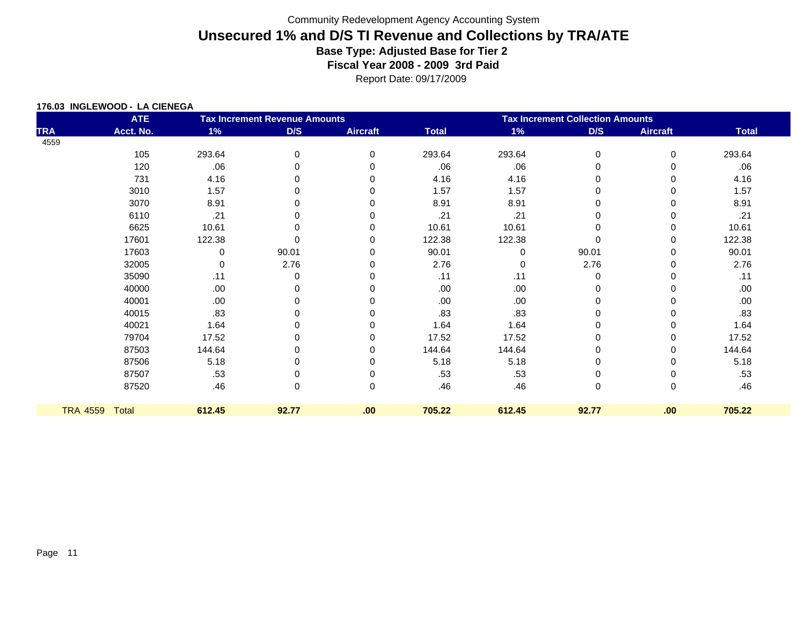|                 | <b>ATE</b> | <b>Tax Increment Revenue Amounts</b> |       |                 | <b>Tax Increment Collection Amounts</b> |          |          |                 |              |  |
|-----------------|------------|--------------------------------------|-------|-----------------|-----------------------------------------|----------|----------|-----------------|--------------|--|
| <b>TRA</b>      | Acct. No.  | 1%                                   | D/S   | <b>Aircraft</b> | <b>Total</b>                            | $1\%$    | D/S      | <b>Aircraft</b> | <b>Total</b> |  |
| 4559            |            |                                      |       |                 |                                         |          |          |                 |              |  |
|                 | 105        | 293.64                               | 0     | 0               | 293.64                                  | 293.64   | 0        | 0               | 293.64       |  |
|                 | 120        | .06                                  |       | 0               | .06                                     | .06      | 0        |                 | .06          |  |
|                 | 731        | 4.16                                 |       |                 | 4.16                                    | 4.16     | 0        |                 | 4.16         |  |
|                 | 3010       | 1.57                                 |       | O               | 1.57                                    | 1.57     | 0        |                 | 1.57         |  |
|                 | 3070       | 8.91                                 |       |                 | 8.91                                    | 8.91     | 0        |                 | 8.91         |  |
|                 | 6110       | .21                                  |       | 0               | .21                                     | .21      | 0        |                 | .21          |  |
|                 | 6625       | 10.61                                |       |                 | 10.61                                   | 10.61    | $\Omega$ |                 | 10.61        |  |
|                 | 17601      | 122.38                               |       | 0               | 122.38                                  | 122.38   | $\Omega$ |                 | 122.38       |  |
|                 | 17603      | 0                                    | 90.01 | 0               | 90.01                                   | $\Omega$ | 90.01    |                 | 90.01        |  |
|                 | 32005      | 0                                    | 2.76  | 0               | 2.76                                    | $\Omega$ | 2.76     |                 | 2.76         |  |
|                 | 35090      | .11                                  | 0     |                 | .11                                     | .11      | 0        |                 | .11          |  |
|                 | 40000      | .00                                  |       |                 | .00                                     | .00      | 0        |                 | .00.         |  |
|                 | 40001      | .00                                  |       |                 | .00                                     | .00      | 0        |                 | .00.         |  |
|                 | 40015      | .83                                  |       |                 | .83                                     | .83      | 0        |                 | .83          |  |
|                 | 40021      | 1.64                                 |       |                 | 1.64                                    | 1.64     | 0        |                 | 1.64         |  |
|                 | 79704      | 17.52                                |       | 0               | 17.52                                   | 17.52    | 0        |                 | 17.52        |  |
|                 | 87503      | 144.64                               |       |                 | 144.64                                  | 144.64   | 0        |                 | 144.64       |  |
|                 | 87506      | 5.18                                 |       |                 | 5.18                                    | 5.18     | 0        |                 | 5.18         |  |
|                 | 87507      | .53                                  |       |                 | .53                                     | .53      | 0        |                 | .53          |  |
|                 | 87520      | .46                                  | 0     | 0               | .46                                     | .46      | 0        | 0               | .46          |  |
| <b>TRA 4559</b> | Total      | 612.45                               | 92.77 | .00             | 705.22                                  | 612.45   | 92.77    | .00             | 705.22       |  |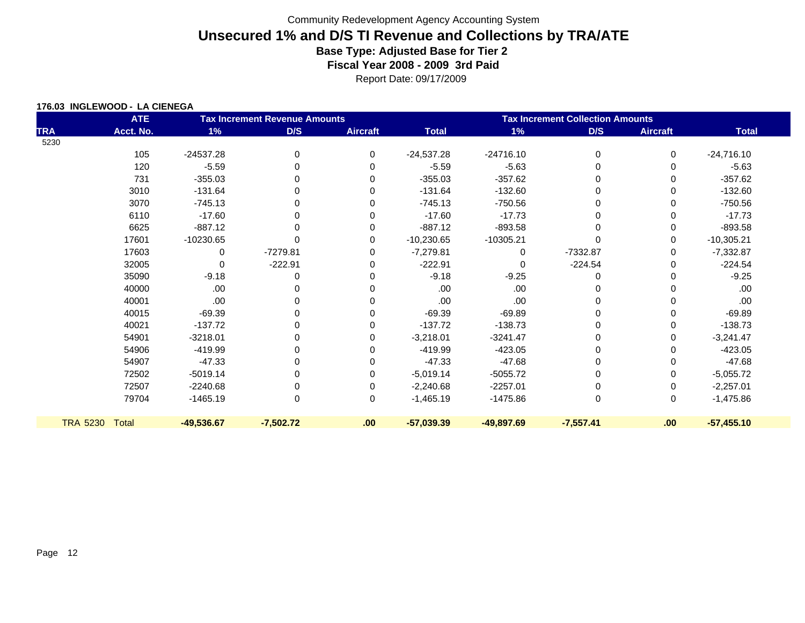|            | <b>ATE</b>     | <b>Tax Increment Revenue Amounts</b> |             |                 | <b>Tax Increment Collection Amounts</b> |              |             |                 |              |  |
|------------|----------------|--------------------------------------|-------------|-----------------|-----------------------------------------|--------------|-------------|-----------------|--------------|--|
| <b>TRA</b> | Acct. No.      | 1%                                   | D/S         | <b>Aircraft</b> | <b>Total</b>                            | 1%           | D/S         | <b>Aircraft</b> | <b>Total</b> |  |
| 5230       |                |                                      |             |                 |                                         |              |             |                 |              |  |
|            | 105            | $-24537.28$                          | 0           | 0               | $-24,537.28$                            | $-24716.10$  | $\Omega$    | 0               | $-24,716.10$ |  |
|            | 120            | $-5.59$                              | 0           | 0               | $-5.59$                                 | $-5.63$      |             | 0               | $-5.63$      |  |
|            | 731            | $-355.03$                            | 0           | 0               | $-355.03$                               | $-357.62$    | 0           | 0               | $-357.62$    |  |
|            | 3010           | $-131.64$                            | 0           | 0               | $-131.64$                               | $-132.60$    | O           | 0               | $-132.60$    |  |
|            | 3070           | $-745.13$                            | 0           | 0               | $-745.13$                               | $-750.56$    | 0           | 0               | $-750.56$    |  |
|            | 6110           | $-17.60$                             | $\Omega$    | 0               | $-17.60$                                | $-17.73$     | $\Omega$    | 0               | $-17.73$     |  |
|            | 6625           | $-887.12$                            | 0           | 0               | $-887.12$                               | $-893.58$    | $\Omega$    | 0               | $-893.58$    |  |
|            | 17601          | $-10230.65$                          |             | 0               | $-10,230.65$                            | $-10305.21$  | $\mathbf 0$ | 0               | $-10,305.21$ |  |
|            | 17603          | 0                                    | $-7279.81$  | 0               | $-7,279.81$                             | 0            | -7332.87    | 0               | $-7,332.87$  |  |
|            | 32005          | 0                                    | $-222.91$   | 0               | $-222.91$                               | $\Omega$     | $-224.54$   | 0               | $-224.54$    |  |
|            | 35090          | $-9.18$                              | 0           | 0               | $-9.18$                                 | $-9.25$      | 0           | 0               | $-9.25$      |  |
|            | 40000          | .00                                  | 0           | 0               | .00                                     | .00          | 0           | 0               | .00          |  |
|            | 40001          | .00.                                 | 0           | 0               | .00                                     | .00          | 0           | 0               | .00          |  |
|            | 40015          | $-69.39$                             | 0           | 0               | $-69.39$                                | $-69.89$     | 0           | 0               | $-69.89$     |  |
|            | 40021          | $-137.72$                            | 0           | 0               | $-137.72$                               | $-138.73$    | $\Omega$    | 0               | $-138.73$    |  |
|            | 54901          | $-3218.01$                           | 0           | 0               | $-3,218.01$                             | $-3241.47$   | 0           | 0               | $-3,241.47$  |  |
|            | 54906          | -419.99                              | 0           | 0               | $-419.99$                               | -423.05      | $\mathbf 0$ | 0               | $-423.05$    |  |
|            | 54907          | $-47.33$                             | 0           | 0               | $-47.33$                                | $-47.68$     | 0           | 0               | $-47.68$     |  |
|            | 72502          | $-5019.14$                           | 0           | 0               | $-5,019.14$                             | $-5055.72$   | 0           | 0               | $-5,055.72$  |  |
|            | 72507          | $-2240.68$                           | 0           | 0               | $-2,240.68$                             | $-2257.01$   | 0           | 0               | $-2,257.01$  |  |
|            | 79704          | $-1465.19$                           | 0           | 0               | $-1,465.19$                             | -1475.86     | 0           | 0               | $-1,475.86$  |  |
|            | TRA 5230 Total | $-49,536.67$                         | $-7,502.72$ | .00             | $-57,039.39$                            | $-49,897.69$ | $-7,557.41$ | .00             | $-57,455.10$ |  |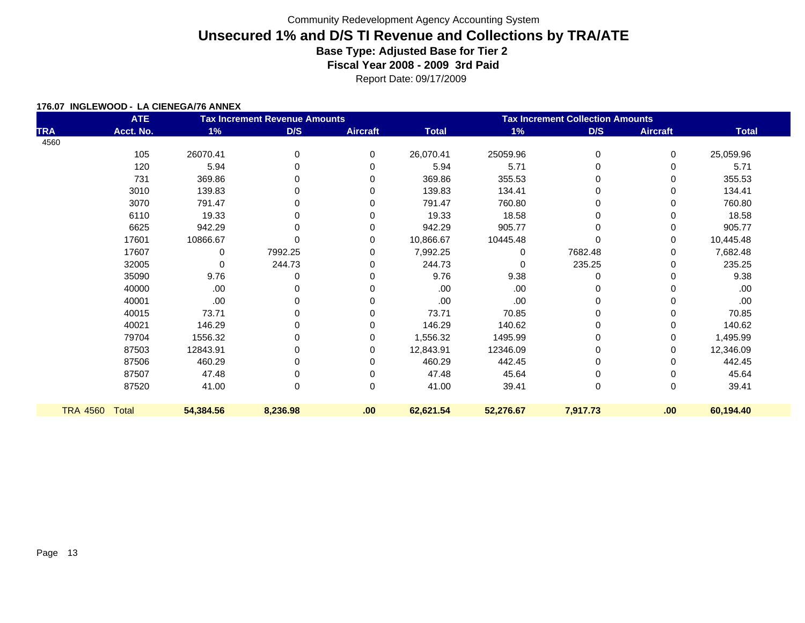Report Date: 09/17/2009

#### **176.07 INGLEWOOD - LA CIENEGA/76 ANNEX**

|                 | <b>ATE</b> |           | <b>Tax Increment Revenue Amounts</b> |                 |              | <b>Tax Increment Collection Amounts</b> |             |                 |              |  |  |
|-----------------|------------|-----------|--------------------------------------|-----------------|--------------|-----------------------------------------|-------------|-----------------|--------------|--|--|
| <b>TRA</b>      | Acct. No.  | 1%        | D/S                                  | <b>Aircraft</b> | <b>Total</b> | 1%                                      | D/S         | <b>Aircraft</b> | <b>Total</b> |  |  |
| 4560            |            |           |                                      |                 |              |                                         |             |                 |              |  |  |
|                 | 105        | 26070.41  | 0                                    | 0               | 26,070.41    | 25059.96                                | $\mathbf 0$ | 0               | 25,059.96    |  |  |
|                 | 120        | 5.94      | 0                                    | 0               | 5.94         | 5.71                                    | 0           | 0               | 5.71         |  |  |
|                 | 731        | 369.86    | $\Omega$                             | 0               | 369.86       | 355.53                                  | $\Omega$    | 0               | 355.53       |  |  |
|                 | 3010       | 139.83    | 0                                    | 0               | 139.83       | 134.41                                  | 0           | 0               | 134.41       |  |  |
|                 | 3070       | 791.47    | $\Omega$                             | 0               | 791.47       | 760.80                                  | $\Omega$    | 0               | 760.80       |  |  |
|                 | 6110       | 19.33     | 0                                    | $\Omega$        | 19.33        | 18.58                                   | 0           | 0               | 18.58        |  |  |
|                 | 6625       | 942.29    | $\Omega$                             | 0               | 942.29       | 905.77                                  | $\Omega$    | 0               | 905.77       |  |  |
|                 | 17601      | 10866.67  | $\Omega$                             | 0               | 10,866.67    | 10445.48                                | 0           | 0               | 10,445.48    |  |  |
|                 | 17607      | 0         | 7992.25                              | $\Omega$        | 7,992.25     | 0                                       | 7682.48     | 0               | 7,682.48     |  |  |
|                 | 32005      | $\Omega$  | 244.73                               | 0               | 244.73       |                                         | 235.25      | 0               | 235.25       |  |  |
|                 | 35090      | 9.76      | 0                                    | 0               | 9.76         | 9.38                                    | $\Omega$    | 0               | 9.38         |  |  |
|                 | 40000      | .00       | 0                                    | $\Omega$        | .00          | .00                                     | 0           | 0               | .00.         |  |  |
|                 | 40001      | .00       | 0                                    | 0               | .00.         | .00                                     | $\Omega$    | 0               | .00          |  |  |
|                 | 40015      | 73.71     | 0                                    | 0               | 73.71        | 70.85                                   | 0           | 0               | 70.85        |  |  |
|                 | 40021      | 146.29    | 0                                    | $\Omega$        | 146.29       | 140.62                                  | 0           | 0               | 140.62       |  |  |
|                 | 79704      | 1556.32   | 0                                    | 0               | 1,556.32     | 1495.99                                 | 0           | 0               | 1,495.99     |  |  |
|                 | 87503      | 12843.91  | 0                                    | 0               | 12,843.91    | 12346.09                                | $\Omega$    | 0               | 12,346.09    |  |  |
|                 | 87506      | 460.29    | 0                                    | 0               | 460.29       | 442.45                                  | 0           | 0               | 442.45       |  |  |
|                 | 87507      | 47.48     | 0                                    | 0               | 47.48        | 45.64                                   | 0           | 0               | 45.64        |  |  |
|                 | 87520      | 41.00     | $\mathbf 0$                          | 0               | 41.00        | 39.41                                   | $\mathbf 0$ | 0               | 39.41        |  |  |
| <b>TRA 4560</b> | Total      | 54,384.56 | 8,236.98                             | .00             | 62,621.54    | 52,276.67                               | 7,917.73    | .00             | 60,194.40    |  |  |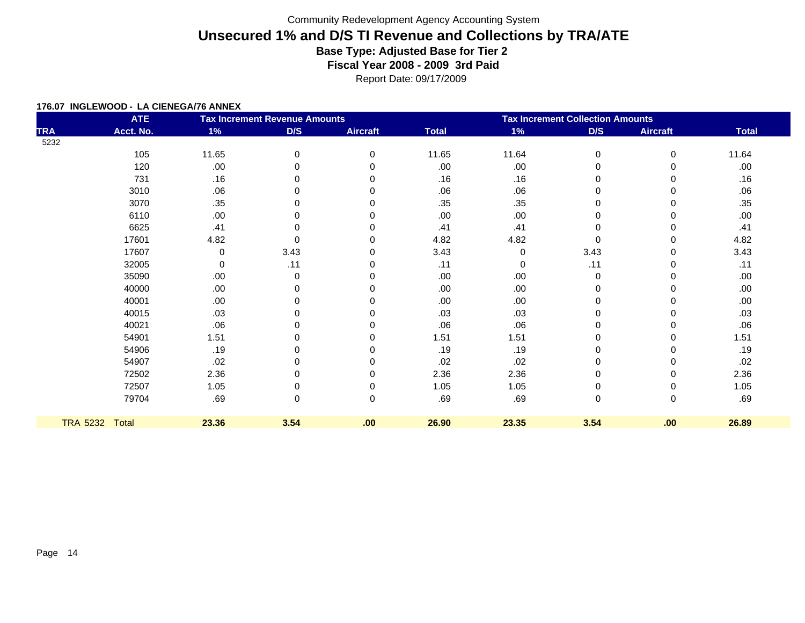Report Date: 09/17/2009

#### **176.07 INGLEWOOD - LA CIENEGA/76 ANNEX**

|                 | <b>ATE</b>   |       | <b>Tax Increment Revenue Amounts</b> |                 |              | <b>Tax Increment Collection Amounts</b> |          |                 |              |  |  |
|-----------------|--------------|-------|--------------------------------------|-----------------|--------------|-----------------------------------------|----------|-----------------|--------------|--|--|
| <b>TRA</b>      | Acct. No.    | 1%    | D/S                                  | <b>Aircraft</b> | <b>Total</b> | 1%                                      | D/S      | <b>Aircraft</b> | <b>Total</b> |  |  |
| 5232            |              |       |                                      |                 |              |                                         |          |                 |              |  |  |
|                 | 105          | 11.65 | 0                                    | 0               | 11.65        | 11.64                                   | $\Omega$ | 0               | 11.64        |  |  |
|                 | 120          | .00   | 0                                    | 0               | .00          | .00                                     | 0        | 0               | .00          |  |  |
|                 | 731          | .16   | 0                                    | 0               | .16          | .16                                     | 0        | 0               | .16          |  |  |
|                 | 3010         | .06   | O                                    |                 | .06          | .06                                     |          | 0               | .06          |  |  |
|                 | 3070         | .35   | $\Omega$                             |                 | .35          | .35                                     | $\Omega$ | 0               | .35          |  |  |
|                 | 6110         | .00   | U                                    |                 | .00          | .00                                     |          | U               | .00.         |  |  |
|                 | 6625         | .41   | $\Omega$                             | O               | .41          | .41                                     | 0        | 0               | .41          |  |  |
|                 | 17601        | 4.82  | $\Omega$                             | 0               | 4.82         | 4.82                                    | $\Omega$ | 0               | 4.82         |  |  |
|                 | 17607        | 0     | 3.43                                 | 0               | 3.43         | 0                                       | 3.43     | 0               | 3.43         |  |  |
|                 | 32005        | 0     | .11                                  | 0               | .11          | 0                                       | .11      | 0               | .11          |  |  |
|                 | 35090        | .00   | 0                                    |                 | .00          | .00                                     | $\Omega$ | 0               | .00.         |  |  |
|                 | 40000        | .00   | 0                                    | O               | .00          | .00                                     | $\Omega$ | 0               | .00.         |  |  |
|                 | 40001        | .00   | ŋ                                    |                 | .00          | .00                                     |          |                 | .00.         |  |  |
|                 | 40015        | .03   | U                                    | O               | .03          | .03                                     |          | 0               | .03          |  |  |
|                 | 40021        | .06   |                                      |                 | .06          | .06                                     |          |                 | .06          |  |  |
|                 | 54901        | 1.51  | 0                                    | 0               | 1.51         | 1.51                                    | 0        | 0               | 1.51         |  |  |
|                 | 54906        | .19   | 0                                    | 0               | .19          | .19                                     | 0        | 0               | .19          |  |  |
|                 | 54907        | .02   | O                                    |                 | .02          | .02                                     |          | 0               | .02          |  |  |
|                 | 72502        | 2.36  | $\Omega$                             | 0               | 2.36         | 2.36                                    | $\Omega$ | 0               | 2.36         |  |  |
|                 | 72507        | 1.05  |                                      | 0               | 1.05         | 1.05                                    | 0        | 0               | 1.05         |  |  |
|                 | 79704        | .69   | 0                                    | 0               | .69          | .69                                     | 0        | 0               | .69          |  |  |
| <b>TRA 5232</b> | <b>Total</b> | 23.36 | 3.54                                 | .00             | 26.90        | 23.35                                   | 3.54     | .00             | 26.89        |  |  |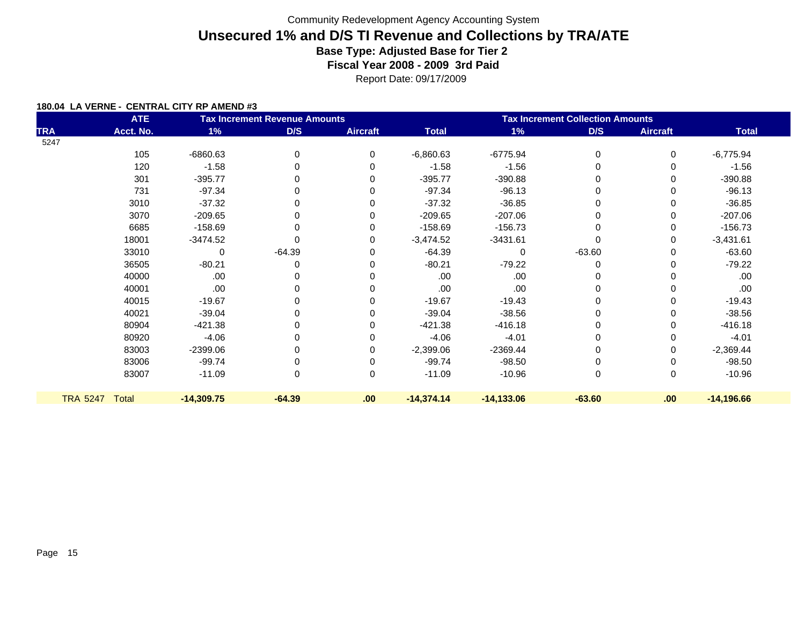Report Date: 09/17/2009

|                 | <b>ATE</b> |              | <b>Tax Increment Revenue Amounts</b> |                 | <b>Tax Increment Collection Amounts</b> |              |          |                 |              |  |
|-----------------|------------|--------------|--------------------------------------|-----------------|-----------------------------------------|--------------|----------|-----------------|--------------|--|
| <b>TRA</b>      | Acct. No.  | 1%           | D/S                                  | <b>Aircraft</b> | <b>Total</b>                            | 1%           | D/S      | <b>Aircraft</b> | <b>Total</b> |  |
| 5247            |            |              |                                      |                 |                                         |              |          |                 |              |  |
|                 | 105        | -6860.63     | 0                                    | 0               | $-6,860.63$                             | $-6775.94$   | 0        | 0               | $-6,775.94$  |  |
|                 | 120        | $-1.58$      | 0                                    | $\Omega$        | $-1.58$                                 | $-1.56$      | 0        | 0               | $-1.56$      |  |
|                 | 301        | $-395.77$    | 0                                    | 0               | $-395.77$                               | $-390.88$    | 0        | 0               | $-390.88$    |  |
|                 | 731        | $-97.34$     | 0                                    | $\Omega$        | $-97.34$                                | $-96.13$     | $\Omega$ | 0               | $-96.13$     |  |
|                 | 3010       | $-37.32$     | 0                                    | 0               | $-37.32$                                | $-36.85$     | $\Omega$ | 0               | $-36.85$     |  |
|                 | 3070       | $-209.65$    | 0                                    | 0               | $-209.65$                               | $-207.06$    | 0        | 0               | $-207.06$    |  |
|                 | 6685       | $-158.69$    | 0                                    | 0               | $-158.69$                               | $-156.73$    | 0        | 0               | $-156.73$    |  |
|                 | 18001      | $-3474.52$   |                                      | 0               | $-3,474.52$                             | $-3431.61$   |          | 0               | $-3,431.61$  |  |
|                 | 33010      | 0            | $-64.39$                             | 0               | $-64.39$                                | $\mathbf{0}$ | $-63.60$ | 0               | $-63.60$     |  |
|                 | 36505      | $-80.21$     | 0                                    | 0               | $-80.21$                                | $-79.22$     | $\Omega$ | 0               | $-79.22$     |  |
|                 | 40000      | .00.         |                                      | 0               | .00                                     | .00          | 0        | 0               | .00.         |  |
|                 | 40001      | .00.         | 0                                    | 0               | .00                                     | .00          | 0        | 0               | .00.         |  |
|                 | 40015      | $-19.67$     | 0                                    | 0               | $-19.67$                                | $-19.43$     | 0        | 0               | $-19.43$     |  |
|                 | 40021      | $-39.04$     | 0                                    | 0               | $-39.04$                                | $-38.56$     | 0        | 0               | $-38.56$     |  |
|                 | 80904      | $-421.38$    | 0                                    | 0               | $-421.38$                               | $-416.18$    |          | 0               | $-416.18$    |  |
|                 | 80920      | $-4.06$      | 0                                    | 0               | $-4.06$                                 | $-4.01$      | 0        | 0               | $-4.01$      |  |
|                 | 83003      | -2399.06     |                                      | 0               | $-2,399.06$                             | $-2369.44$   | 0        | 0               | $-2,369.44$  |  |
|                 | 83006      | $-99.74$     |                                      | 0               | $-99.74$                                | $-98.50$     | 0        | 0               | $-98.50$     |  |
|                 | 83007      | $-11.09$     | 0                                    | 0               | $-11.09$                                | $-10.96$     | 0        | 0               | $-10.96$     |  |
| <b>TRA 5247</b> | Total      | $-14,309.75$ | $-64.39$                             | .00             | $-14,374.14$                            | $-14,133.06$ | $-63.60$ | .00.            | $-14,196.66$ |  |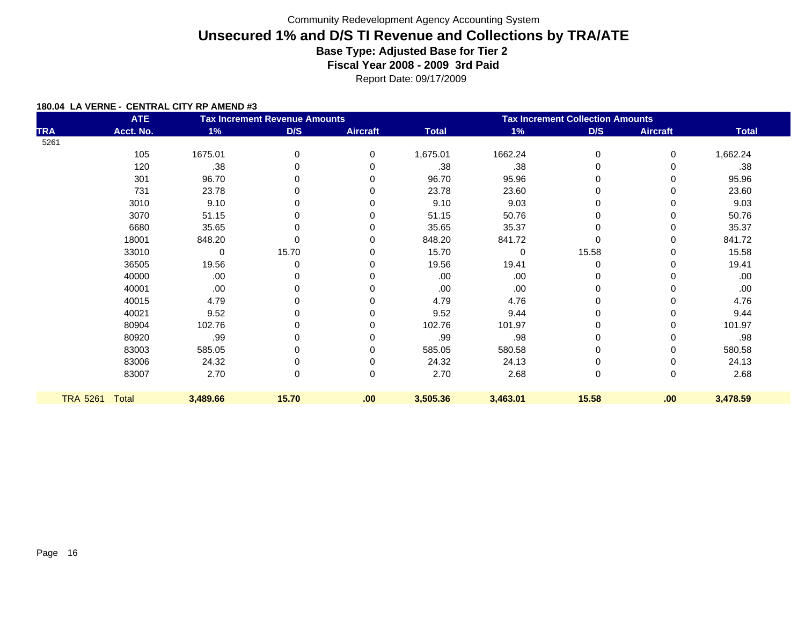Report Date: 09/17/2009

| <b>ATE</b><br><b>Tax Increment Revenue Amounts</b> |              |          |          |                 | <b>Tax Increment Collection Amounts</b> |              |          |                 |              |  |
|----------------------------------------------------|--------------|----------|----------|-----------------|-----------------------------------------|--------------|----------|-----------------|--------------|--|
| <b>TRA</b>                                         | Acct. No.    | 1%       | D/S      | <b>Aircraft</b> | <b>Total</b>                            | 1%           | D/S      | <b>Aircraft</b> | <b>Total</b> |  |
| 5261                                               |              |          |          |                 |                                         |              |          |                 |              |  |
|                                                    | 105          | 1675.01  | $\Omega$ | $\Omega$        | 1,675.01                                | 1662.24      | $\Omega$ | 0               | 1,662.24     |  |
|                                                    | 120          | .38      |          | $\Omega$        | .38                                     | .38          | $\Omega$ | 0               | .38          |  |
|                                                    | 301          | 96.70    |          | 0               | 96.70                                   | 95.96        | 0        | 0               | 95.96        |  |
|                                                    | 731          | 23.78    |          | 0               | 23.78                                   | 23.60        | 0        | 0               | 23.60        |  |
|                                                    | 3010         | 9.10     |          | 0               | 9.10                                    | 9.03         | $\Omega$ | 0               | 9.03         |  |
|                                                    | 3070         | 51.15    |          |                 | 51.15                                   | 50.76        |          | 0               | 50.76        |  |
|                                                    | 6680         | 35.65    |          | 0               | 35.65                                   | 35.37        |          | 0               | 35.37        |  |
|                                                    | 18001        | 848.20   |          | 0               | 848.20                                  | 841.72       |          | 0               | 841.72       |  |
|                                                    | 33010        | 0        | 15.70    | 0               | 15.70                                   | $\mathbf{0}$ | 15.58    | 0               | 15.58        |  |
|                                                    | 36505        | 19.56    | 0        | 0               | 19.56                                   | 19.41        | $\Omega$ | 0               | 19.41        |  |
|                                                    | 40000        | .00      |          |                 | .00                                     | .00          |          |                 | .00          |  |
|                                                    | 40001        | .00      | 0        | 0               | .00                                     | .00          | 0        | 0               | .00          |  |
|                                                    | 40015        | 4.79     |          |                 | 4.79                                    | 4.76         |          | 0               | 4.76         |  |
|                                                    | 40021        | 9.52     | 0        |                 | 9.52                                    | 9.44         | 0        | 0               | 9.44         |  |
|                                                    | 80904        | 102.76   |          | 0               | 102.76                                  | 101.97       |          | 0               | 101.97       |  |
|                                                    | 80920        | .99      |          |                 | .99                                     | .98          |          | 0               | .98          |  |
|                                                    | 83003        | 585.05   |          | 0               | 585.05                                  | 580.58       |          | 0               | 580.58       |  |
|                                                    | 83006        | 24.32    |          |                 | 24.32                                   | 24.13        |          |                 | 24.13        |  |
|                                                    | 83007        | 2.70     | 0        | 0               | 2.70                                    | 2.68         | 0        | 0               | 2.68         |  |
| <b>TRA 5261</b>                                    | <b>Total</b> | 3,489.66 | 15.70    | .00             | 3,505.36                                | 3,463.01     | 15.58    | .00             | 3,478.59     |  |
|                                                    |              |          |          |                 |                                         |              |          |                 |              |  |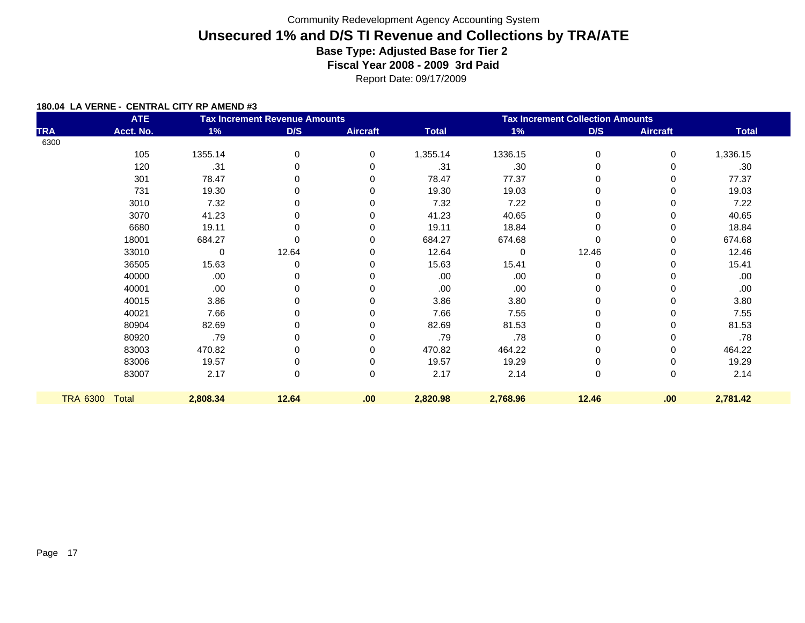Report Date: 09/17/2009

|            | <b>ATE</b>     |          | <b>Tax Increment Revenue Amounts</b> |                 | <b>Tax Increment Collection Amounts</b> |             |          |                 |              |
|------------|----------------|----------|--------------------------------------|-----------------|-----------------------------------------|-------------|----------|-----------------|--------------|
| <b>TRA</b> | Acct. No.      | 1%       | D/S                                  | <b>Aircraft</b> | <b>Total</b>                            | 1%          | D/S      | <b>Aircraft</b> | <b>Total</b> |
| 6300       |                |          |                                      |                 |                                         |             |          |                 |              |
|            | 105            | 1355.14  | 0                                    | 0               | 1,355.14                                | 1336.15     | 0        | 0               | 1,336.15     |
|            | 120            | .31      | 0                                    |                 | .31                                     | .30         |          |                 | .30          |
|            | 301            | 78.47    | 0                                    | $\Omega$        | 78.47                                   | 77.37       |          | 0               | 77.37        |
|            | 731            | 19.30    | 0                                    | O               | 19.30                                   | 19.03       |          | 0               | 19.03        |
|            | 3010           | 7.32     | 0                                    | 0               | 7.32                                    | 7.22        |          | 0               | 7.22         |
|            | 3070           | 41.23    | 0                                    | 0               | 41.23                                   | 40.65       |          | 0               | 40.65        |
|            | 6680           | 19.11    | 0                                    | 0               | 19.11                                   | 18.84       |          | 0               | 18.84        |
|            | 18001          | 684.27   | 0                                    | 0               | 684.27                                  | 674.68      |          | 0               | 674.68       |
|            | 33010          | 0        | 12.64                                | 0               | 12.64                                   | $\mathbf 0$ | 12.46    | 0               | 12.46        |
|            | 36505          | 15.63    | 0                                    | 0               | 15.63                                   | 15.41       | $\Omega$ | 0               | 15.41        |
|            | 40000          | .00      |                                      |                 | .00                                     | .00         |          |                 | .00.         |
|            | 40001          | .00      | 0                                    | 0               | .00                                     | .00.        |          | 0               | .00.         |
|            | 40015          | 3.86     | 0                                    |                 | 3.86                                    | 3.80        |          |                 | 3.80         |
|            | 40021          | 7.66     | 0                                    | O               | 7.66                                    | 7.55        | 0        | 0               | 7.55         |
|            | 80904          | 82.69    | 0                                    | 0               | 82.69                                   | 81.53       |          | 0               | 81.53        |
|            | 80920          | .79      | 0                                    |                 | .79                                     | .78         |          |                 | .78          |
|            | 83003          | 470.82   | 0                                    | 0               | 470.82                                  | 464.22      |          | 0               | 464.22       |
|            | 83006          | 19.57    | 0                                    | 0               | 19.57                                   | 19.29       |          |                 | 19.29        |
|            | 83007          | 2.17     | 0                                    | $\Omega$        | 2.17                                    | 2.14        | 0        | 0               | 2.14         |
|            | TRA 6300 Total | 2,808.34 | 12.64                                | .00.            | 2,820.98                                | 2,768.96    | 12.46    | .00             | 2,781.42     |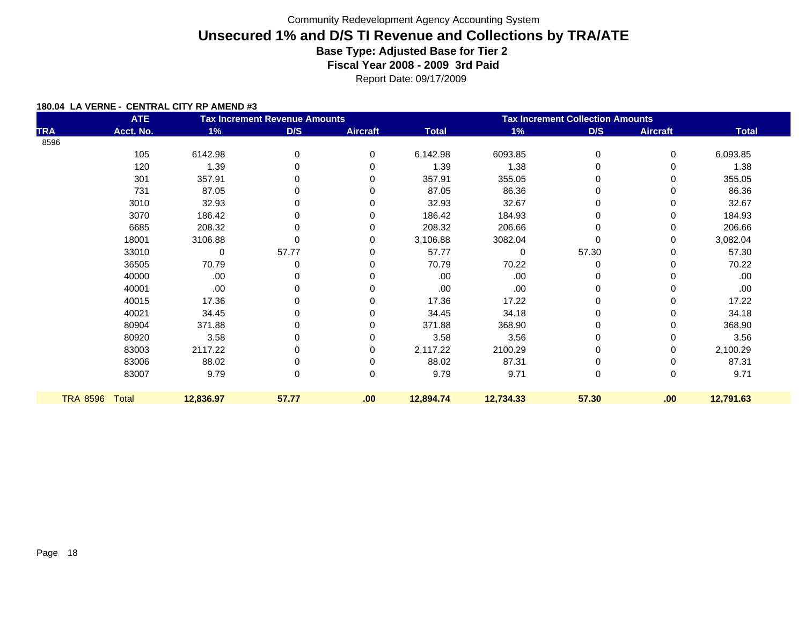Report Date: 09/17/2009

|            | <b>ATE</b>     |           | <b>Tax Increment Revenue Amounts</b> |                 | <b>Tax Increment Collection Amounts</b> |           |          |                 |              |  |
|------------|----------------|-----------|--------------------------------------|-----------------|-----------------------------------------|-----------|----------|-----------------|--------------|--|
| <b>TRA</b> | Acct. No.      | 1%        | D/S                                  | <b>Aircraft</b> | <b>Total</b>                            | 1%        | D/S      | <b>Aircraft</b> | <b>Total</b> |  |
| 8596       |                |           |                                      |                 |                                         |           |          |                 |              |  |
|            | 105            | 6142.98   | 0                                    | 0               | 6,142.98                                | 6093.85   | 0        | 0               | 6,093.85     |  |
|            | 120            | 1.39      |                                      | $\Omega$        | 1.39                                    | 1.38      |          | 0               | 1.38         |  |
|            | 301            | 357.91    |                                      | 0               | 357.91                                  | 355.05    | 0        | 0               | 355.05       |  |
|            | 731            | 87.05     |                                      |                 | 87.05                                   | 86.36     | $\Omega$ | 0               | 86.36        |  |
|            | 3010           | 32.93     | 0                                    |                 | 32.93                                   | 32.67     | 0        | 0               | 32.67        |  |
|            | 3070           | 186.42    |                                      |                 | 186.42                                  | 184.93    | 0        | 0               | 184.93       |  |
|            | 6685           | 208.32    | 0                                    |                 | 208.32                                  | 206.66    | 0        | 0               | 206.66       |  |
|            | 18001          | 3106.88   |                                      | 0               | 3,106.88                                | 3082.04   |          | 0               | 3,082.04     |  |
|            | 33010          | 0         | 57.77                                | 0               | 57.77                                   | 0         | 57.30    | 0               | 57.30        |  |
|            | 36505          | 70.79     |                                      | 0               | 70.79                                   | 70.22     | $\Omega$ | 0               | 70.22        |  |
|            | 40000          | .00       |                                      |                 | .00                                     | .00       |          | 0               | .00          |  |
|            | 40001          | .00       |                                      |                 | .00                                     | .00       | 0        | 0               | .00          |  |
|            | 40015          | 17.36     |                                      |                 | 17.36                                   | 17.22     |          | 0               | 17.22        |  |
|            | 40021          | 34.45     | 0                                    |                 | 34.45                                   | 34.18     | 0        | 0               | 34.18        |  |
|            | 80904          | 371.88    |                                      |                 | 371.88                                  | 368.90    |          | 0               | 368.90       |  |
|            | 80920          | 3.58      |                                      |                 | 3.58                                    | 3.56      | 0        | 0               | 3.56         |  |
|            | 83003          | 2117.22   |                                      |                 | 2,117.22                                | 2100.29   |          | 0               | 2,100.29     |  |
|            | 83006          | 88.02     |                                      |                 | 88.02                                   | 87.31     |          | 0               | 87.31        |  |
|            | 83007          | 9.79      | 0                                    | 0               | 9.79                                    | 9.71      | 0        | 0               | 9.71         |  |
|            | TRA 8596 Total | 12,836.97 | 57.77                                | .00             | 12,894.74                               | 12,734.33 | 57.30    | .00             | 12,791.63    |  |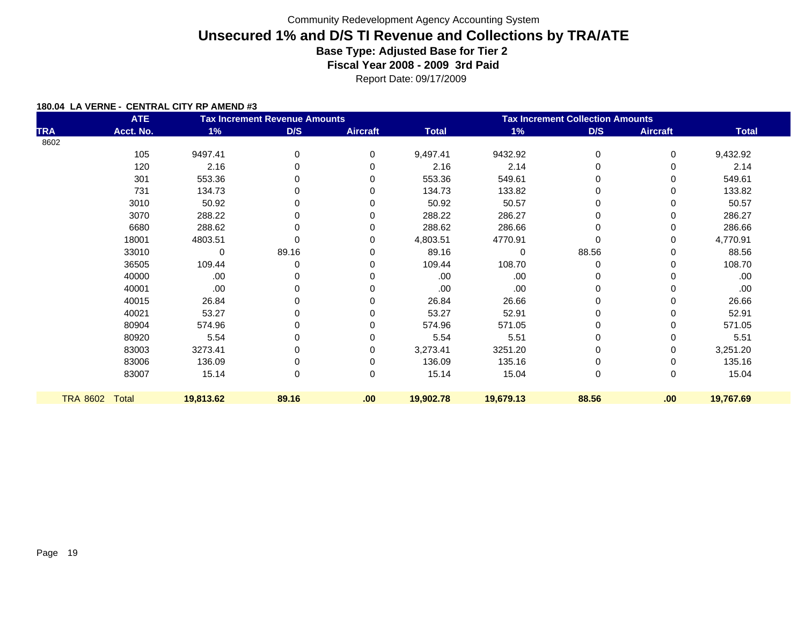Report Date: 09/17/2009

|            | <b>ATE</b>     |           | <b>Tax Increment Revenue Amounts</b> |                 | <b>Tax Increment Collection Amounts</b> |             |          |                 |              |
|------------|----------------|-----------|--------------------------------------|-----------------|-----------------------------------------|-------------|----------|-----------------|--------------|
| <b>TRA</b> | Acct. No.      | 1%        | D/S                                  | <b>Aircraft</b> | <b>Total</b>                            | 1%          | D/S      | <b>Aircraft</b> | <b>Total</b> |
| 8602       |                |           |                                      |                 |                                         |             |          |                 |              |
|            | 105            | 9497.41   | 0                                    | 0               | 9,497.41                                | 9432.92     | 0        | 0               | 9,432.92     |
|            | 120            | 2.16      | 0                                    |                 | 2.16                                    | 2.14        |          |                 | 2.14         |
|            | 301            | 553.36    | 0                                    | $\Omega$        | 553.36                                  | 549.61      |          | 0               | 549.61       |
|            | 731            | 134.73    | 0                                    | O               | 134.73                                  | 133.82      |          | 0               | 133.82       |
|            | 3010           | 50.92     | 0                                    | O               | 50.92                                   | 50.57       |          |                 | 50.57        |
|            | 3070           | 288.22    | 0                                    |                 | 288.22                                  | 286.27      |          | 0               | 286.27       |
|            | 6680           | 288.62    | 0                                    |                 | 288.62                                  | 286.66      |          | 0               | 286.66       |
|            | 18001          | 4803.51   |                                      | 0               | 4,803.51                                | 4770.91     |          | 0               | 4,770.91     |
|            | 33010          | 0         | 89.16                                |                 | 89.16                                   | $\mathbf 0$ | 88.56    | 0               | 88.56        |
|            | 36505          | 109.44    | 0                                    |                 | 109.44                                  | 108.70      | $\Omega$ | 0               | 108.70       |
|            | 40000          | .00       | 0                                    |                 | .00                                     | .00.        |          |                 | .00.         |
|            | 40001          | .00       | 0                                    | 0               | .00                                     | .00         |          |                 | .00.         |
|            | 40015          | 26.84     | 0                                    |                 | 26.84                                   | 26.66       |          |                 | 26.66        |
|            | 40021          | 53.27     | 0                                    |                 | 53.27                                   | 52.91       |          |                 | 52.91        |
|            | 80904          | 574.96    | 0                                    |                 | 574.96                                  | 571.05      |          | 0               | 571.05       |
|            | 80920          | 5.54      | 0                                    |                 | 5.54                                    | 5.51        |          | 0               | 5.51         |
|            | 83003          | 3273.41   |                                      | 0               | 3,273.41                                | 3251.20     |          | 0               | 3,251.20     |
|            | 83006          | 136.09    |                                      |                 | 136.09                                  | 135.16      |          |                 | 135.16       |
|            | 83007          | 15.14     | 0                                    | 0               | 15.14                                   | 15.04       | 0        | 0               | 15.04        |
|            | TRA 8602 Total | 19,813.62 | 89.16                                | .00             | 19,902.78                               | 19,679.13   | 88.56    | .00             | 19,767.69    |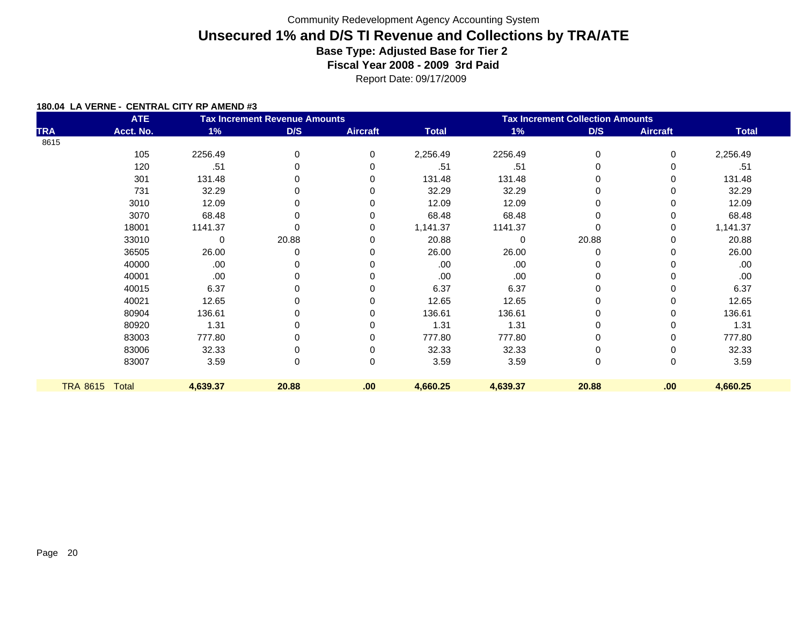Report Date: 09/17/2009

| <b>ATE</b><br><b>Tax Increment Revenue Amounts</b> |           |          |       |                 | <b>Tax Increment Collection Amounts</b> |             |          |                 |              |  |
|----------------------------------------------------|-----------|----------|-------|-----------------|-----------------------------------------|-------------|----------|-----------------|--------------|--|
| <b>TRA</b>                                         | Acct. No. | $1\%$    | D/S   | <b>Aircraft</b> | <b>Total</b>                            | 1%          | D/S      | <b>Aircraft</b> | <b>Total</b> |  |
| 8615                                               |           |          |       |                 |                                         |             |          |                 |              |  |
|                                                    | 105       | 2256.49  | 0     | $\Omega$        | 2,256.49                                | 2256.49     | 0        | 0               | 2,256.49     |  |
|                                                    | 120       | .51      |       |                 | .51                                     | .51         |          |                 | .51          |  |
|                                                    | 301       | 131.48   |       |                 | 131.48                                  | 131.48      |          | 0               | 131.48       |  |
|                                                    | 731       | 32.29    |       |                 | 32.29                                   | 32.29       |          |                 | 32.29        |  |
|                                                    | 3010      | 12.09    |       |                 | 12.09                                   | 12.09       |          | 0               | 12.09        |  |
|                                                    | 3070      | 68.48    |       |                 | 68.48                                   | 68.48       |          | 0               | 68.48        |  |
|                                                    | 18001     | 1141.37  |       |                 | 1,141.37                                | 1141.37     |          | 0               | 1,141.37     |  |
|                                                    | 33010     | 0        | 20.88 |                 | 20.88                                   | $\mathbf 0$ | 20.88    | 0               | 20.88        |  |
|                                                    | 36505     | 26.00    |       |                 | 26.00                                   | 26.00       | $\Omega$ |                 | 26.00        |  |
|                                                    | 40000     | .00      |       |                 | .00.                                    | .00         |          |                 | .00          |  |
|                                                    | 40001     | .00      |       |                 | .00.                                    | .00.        |          |                 | .00          |  |
|                                                    | 40015     | 6.37     |       |                 | 6.37                                    | 6.37        |          | 0               | 6.37         |  |
|                                                    | 40021     | 12.65    |       |                 | 12.65                                   | 12.65       |          |                 | 12.65        |  |
|                                                    | 80904     | 136.61   |       |                 | 136.61                                  | 136.61      |          | 0               | 136.61       |  |
|                                                    | 80920     | 1.31     |       |                 | 1.31                                    | 1.31        |          |                 | 1.31         |  |
|                                                    | 83003     | 777.80   |       |                 | 777.80                                  | 777.80      |          | 0               | 777.80       |  |
|                                                    | 83006     | 32.33    |       |                 | 32.33                                   | 32.33       |          | 0               | 32.33        |  |
|                                                    | 83007     | 3.59     | 0     | $\Omega$        | 3.59                                    | 3.59        | $\Omega$ | 0               | 3.59         |  |
|                                                    |           |          |       |                 |                                         |             |          |                 |              |  |
| <b>TRA 8615</b>                                    | Total     | 4,639.37 | 20.88 | .00             | 4,660.25                                | 4,639.37    | 20.88    | .00             | 4,660.25     |  |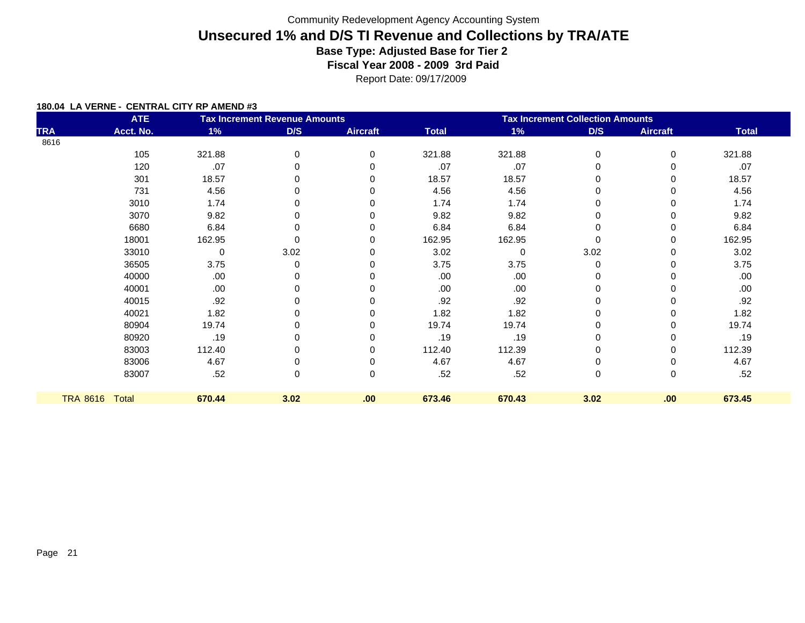|                 | <b>ATE</b> |             | <b>Tax Increment Revenue Amounts</b> |                 | <b>Tax Increment Collection Amounts</b> |          |          |                 |              |
|-----------------|------------|-------------|--------------------------------------|-----------------|-----------------------------------------|----------|----------|-----------------|--------------|
| <b>TRA</b>      | Acct. No.  | $1\%$       | D/S                                  | <b>Aircraft</b> | <b>Total</b>                            | $1\%$    | D/S      | <b>Aircraft</b> | <b>Total</b> |
| 8616            |            |             |                                      |                 |                                         |          |          |                 |              |
|                 | 105        | 321.88      | 0                                    | $\Omega$        | 321.88                                  | 321.88   | 0        | 0               | 321.88       |
|                 | 120        | .07         | 0                                    |                 | .07                                     | .07      | 0        |                 | .07          |
|                 | 301        | 18.57       | 0                                    |                 | 18.57                                   | 18.57    | 0        |                 | 18.57        |
|                 | 731        | 4.56        | 0                                    |                 | 4.56                                    | 4.56     | 0        |                 | 4.56         |
|                 | 3010       | 1.74        | 0                                    |                 | 1.74                                    | 1.74     | 0        |                 | 1.74         |
|                 | 3070       | 9.82        |                                      |                 | 9.82                                    | 9.82     | 0        |                 | 9.82         |
|                 | 6680       | 6.84        | 0                                    |                 | 6.84                                    | 6.84     | 0        |                 | 6.84         |
|                 | 18001      | 162.95      | O                                    |                 | 162.95                                  | 162.95   | $\Omega$ |                 | 162.95       |
|                 | 33010      | $\mathbf 0$ | 3.02                                 |                 | 3.02                                    | $\Omega$ | 3.02     |                 | 3.02         |
|                 | 36505      | 3.75        | 0                                    |                 | 3.75                                    | 3.75     | 0        |                 | 3.75         |
|                 | 40000      | .00.        | 0                                    |                 | .00                                     | .00      | 0        |                 | .00          |
|                 | 40001      | .00.        | 0                                    |                 | .00.                                    | .00.     | 0        |                 | .00.         |
|                 | 40015      | .92         | 0                                    |                 | .92                                     | .92      | 0        |                 | .92          |
|                 | 40021      | 1.82        | 0                                    |                 | 1.82                                    | 1.82     | 0        |                 | 1.82         |
|                 | 80904      | 19.74       | 0                                    |                 | 19.74                                   | 19.74    | 0        |                 | 19.74        |
|                 | 80920      | .19         | 0                                    |                 | .19                                     | .19      | 0        |                 | .19          |
|                 | 83003      | 112.40      | 0                                    |                 | 112.40                                  | 112.39   | 0        |                 | 112.39       |
|                 | 83006      | 4.67        | 0                                    |                 | 4.67                                    | 4.67     | 0        |                 | 4.67         |
|                 | 83007      | .52         | 0                                    | 0               | .52                                     | .52      | 0        | 0               | .52          |
| <b>TRA 8616</b> | Total      | 670.44      | 3.02                                 | .00             | 673.46                                  | 670.43   | 3.02     | .00             | 673.45       |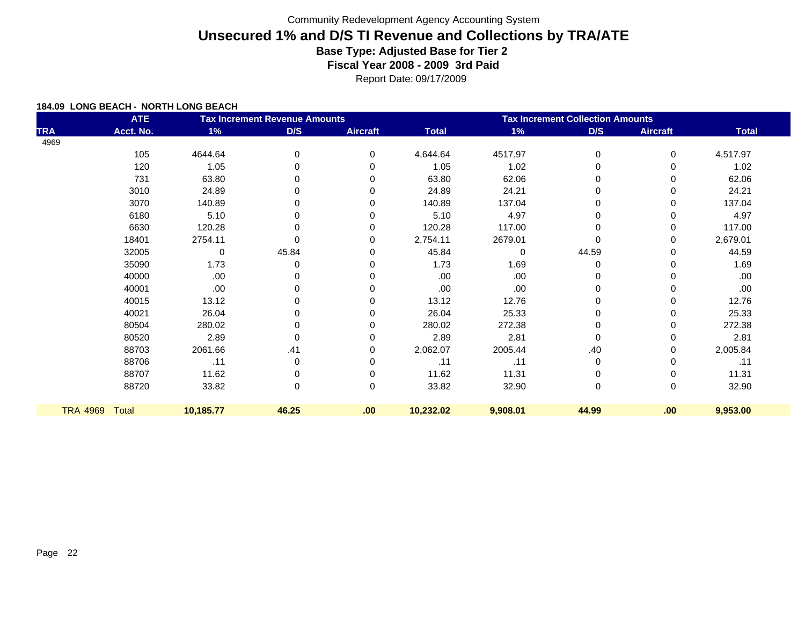Report Date: 09/17/2009

| <b>ATE</b><br><b>Tax Increment Revenue Amounts</b> |              |           |           |                 | <b>Tax Increment Collection Amounts</b> |          |             |                 |              |  |
|----------------------------------------------------|--------------|-----------|-----------|-----------------|-----------------------------------------|----------|-------------|-----------------|--------------|--|
| <b>TRA</b>                                         | Acct. No.    | 1%        | D/S       | <b>Aircraft</b> | <b>Total</b>                            | 1%       | D/S         | <b>Aircraft</b> | <b>Total</b> |  |
| 4969                                               |              |           |           |                 |                                         |          |             |                 |              |  |
|                                                    | 105          | 4644.64   | 0         | 0               | 4,644.64                                | 4517.97  | 0           | 0               | 4,517.97     |  |
|                                                    | 120          | 1.05      | 0         | 0               | 1.05                                    | 1.02     | 0           | 0               | 1.02         |  |
|                                                    | 731          | 63.80     | 0         | 0               | 63.80                                   | 62.06    | $\Omega$    | 0               | 62.06        |  |
|                                                    | 3010         | 24.89     | 0         | 0               | 24.89                                   | 24.21    | 0           | 0               | 24.21        |  |
|                                                    | 3070         | 140.89    | 0         | $\Omega$        | 140.89                                  | 137.04   | 0           | 0               | 137.04       |  |
|                                                    | 6180         | 5.10      | 0         | 0               | 5.10                                    | 4.97     | 0           | 0               | 4.97         |  |
|                                                    | 6630         | 120.28    | 0         | $\Omega$        | 120.28                                  | 117.00   | 0           | 0               | 117.00       |  |
|                                                    | 18401        | 2754.11   | 0         | $\Omega$        | 2,754.11                                | 2679.01  | $\Omega$    | 0               | 2,679.01     |  |
|                                                    | 32005        | 0         | 45.84     | $\Omega$        | 45.84                                   | $\Omega$ | 44.59       | 0               | 44.59        |  |
|                                                    | 35090        | 1.73      | 0         | 0               | 1.73                                    | 1.69     | 0           | 0               | 1.69         |  |
|                                                    | 40000        | .00       |           | $\Omega$        | .00                                     | .00      |             | 0               | .00          |  |
|                                                    | 40001        | .00       | 0         | $\Omega$        | .00                                     | .00      | 0           | 0               | .00          |  |
|                                                    | 40015        | 13.12     | 0         | $\Omega$        | 13.12                                   | 12.76    |             | 0               | 12.76        |  |
|                                                    | 40021        | 26.04     | 0         | $\Omega$        | 26.04                                   | 25.33    | 0           | 0               | 25.33        |  |
|                                                    | 80504        | 280.02    | 0         | 0               | 280.02                                  | 272.38   | 0           | 0               | 272.38       |  |
|                                                    | 80520        | 2.89      | 0         | $\Omega$        | 2.89                                    | 2.81     | 0           | 0               | 2.81         |  |
|                                                    | 88703        | 2061.66   | .41       | $\Omega$        | 2,062.07                                | 2005.44  | .40         | 0               | 2,005.84     |  |
|                                                    | 88706        | .11       | $\pmb{0}$ | 0               | .11                                     | .11      | 0           | 0               | .11          |  |
|                                                    | 88707        | 11.62     | 0         | 0               | 11.62                                   | 11.31    | 0           | 0               | 11.31        |  |
|                                                    | 88720        | 33.82     | 0         | 0               | 33.82                                   | 32.90    | $\mathbf 0$ | 0               | 32.90        |  |
| <b>TRA 4969</b>                                    | <b>Total</b> | 10,185.77 | 46.25     | .00             | 10,232.02                               | 9,908.01 | 44.99       | .00             | 9,953.00     |  |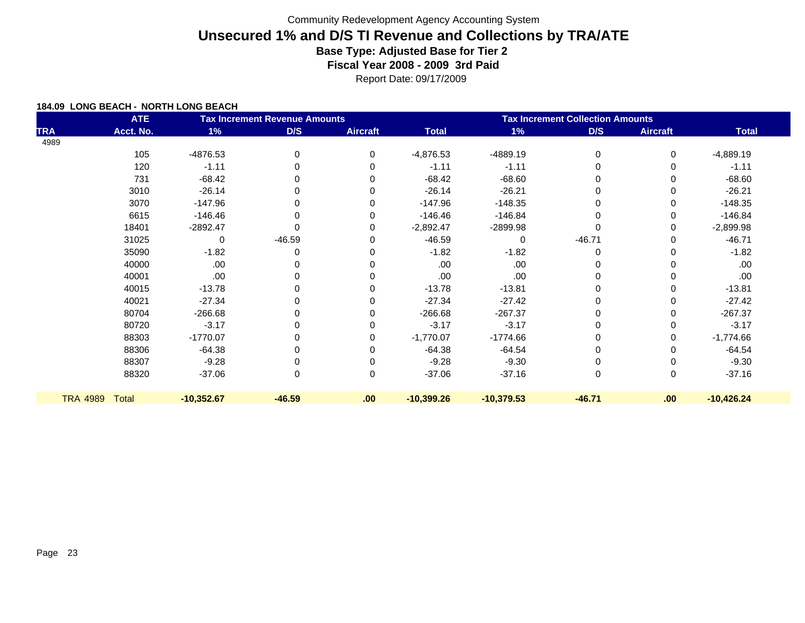Report Date: 09/17/2009

|                 | <b>ATE</b>   |              | <b>Tax Increment Revenue Amounts</b> |                 | <b>Tax Increment Collection Amounts</b> |              |             |                 |              |
|-----------------|--------------|--------------|--------------------------------------|-----------------|-----------------------------------------|--------------|-------------|-----------------|--------------|
| <b>TRA</b>      | Acct. No.    | 1%           | D/S                                  | <b>Aircraft</b> | <b>Total</b>                            | 1%           | D/S         | <b>Aircraft</b> | <b>Total</b> |
| 4989            |              |              |                                      |                 |                                         |              |             |                 |              |
|                 | 105          | -4876.53     | 0                                    | 0               | $-4,876.53$                             | -4889.19     | $\mathbf 0$ | 0               | $-4,889.19$  |
|                 | 120          | $-1.11$      | 0                                    | 0               | $-1.11$                                 | $-1.11$      | 0           | 0               | $-1.11$      |
|                 | 731          | $-68.42$     | 0                                    | $\Omega$        | $-68.42$                                | $-68.60$     | $\Omega$    | 0               | $-68.60$     |
|                 | 3010         | $-26.14$     | 0                                    | $\Omega$        | $-26.14$                                | $-26.21$     | $\Omega$    | 0               | $-26.21$     |
|                 | 3070         | $-147.96$    | 0                                    | 0               | $-147.96$                               | $-148.35$    | 0           | 0               | $-148.35$    |
|                 | 6615         | $-146.46$    | $\Omega$                             | 0               | $-146.46$                               | $-146.84$    | $\Omega$    | 0               | $-146.84$    |
|                 | 18401        | $-2892.47$   | $\Omega$                             | 0               | $-2,892.47$                             | -2899.98     | $\Omega$    | 0               | $-2,899.98$  |
|                 | 31025        | 0            | $-46.59$                             | 0               | $-46.59$                                | 0            | $-46.71$    | 0               | $-46.71$     |
|                 | 35090        | $-1.82$      | 0                                    | 0               | $-1.82$                                 | $-1.82$      | $\Omega$    | 0               | $-1.82$      |
|                 | 40000        | .00.         |                                      |                 | .00                                     | .00          | 0           | 0               | .00.         |
|                 | 40001        | .00          | 0                                    |                 | .00                                     | .00          | $\Omega$    | 0               | .00          |
|                 | 40015        | $-13.78$     | 0                                    | $\Omega$        | $-13.78$                                | $-13.81$     | 0           | 0               | $-13.81$     |
|                 | 40021        | $-27.34$     | 0                                    | 0               | $-27.34$                                | $-27.42$     | 0           | 0               | $-27.42$     |
|                 | 80704        | $-266.68$    | 0                                    | 0               | $-266.68$                               | $-267.37$    | 0           | 0               | $-267.37$    |
|                 | 80720        | $-3.17$      | 0                                    | 0               | $-3.17$                                 | $-3.17$      | 0           | 0               | $-3.17$      |
|                 | 88303        | $-1770.07$   | 0                                    | 0               | $-1,770.07$                             | $-1774.66$   | 0           | 0               | $-1,774.66$  |
|                 | 88306        | $-64.38$     | 0                                    | 0               | $-64.38$                                | $-64.54$     | 0           | 0               | $-64.54$     |
|                 | 88307        | $-9.28$      |                                      |                 | $-9.28$                                 | $-9.30$      | 0           | 0               | $-9.30$      |
|                 | 88320        | $-37.06$     | 0                                    | 0               | $-37.06$                                | $-37.16$     | $\mathbf 0$ | 0               | $-37.16$     |
| <b>TRA 4989</b> | <b>Total</b> | $-10,352.67$ | $-46.59$                             | .00             | $-10,399.26$                            | $-10,379.53$ | $-46.71$    | .00.            | $-10,426.24$ |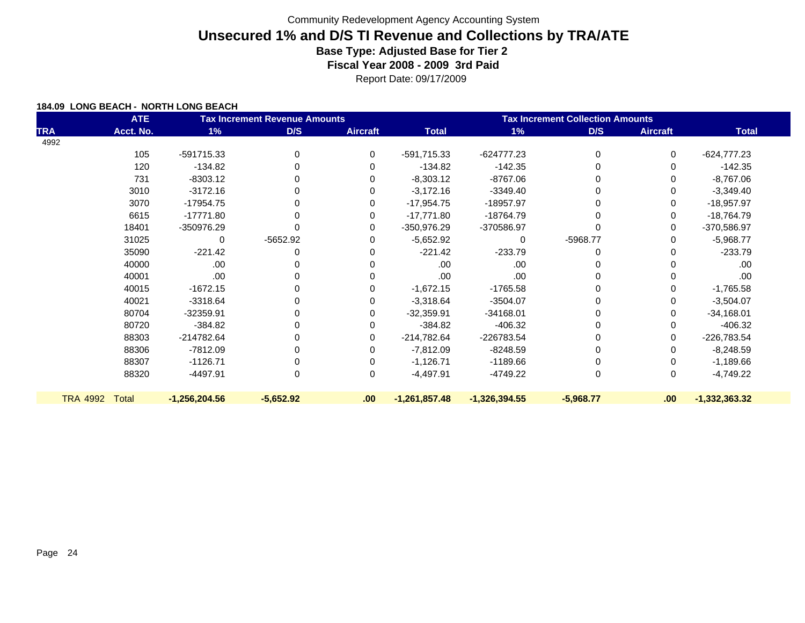Report Date: 09/17/2009

|                 | <b>ATE</b>   |                 | <b>Tax Increment Revenue Amounts</b> |                 | <b>Tax Increment Collection Amounts</b> |                 |             |                 |                 |
|-----------------|--------------|-----------------|--------------------------------------|-----------------|-----------------------------------------|-----------------|-------------|-----------------|-----------------|
| <b>TRA</b>      | Acct. No.    | 1%              | D/S                                  | <b>Aircraft</b> | <b>Total</b>                            | 1%              | D/S         | <b>Aircraft</b> | <b>Total</b>    |
| 4992            |              |                 |                                      |                 |                                         |                 |             |                 |                 |
|                 | 105          | -591715.33      | 0                                    | 0               | -591,715.33                             | $-624777.23$    | 0           | 0               | $-624,777.23$   |
|                 | 120          | $-134.82$       | 0                                    |                 | $-134.82$                               | $-142.35$       |             | 0               | $-142.35$       |
|                 | 731          | $-8303.12$      | 0                                    |                 | $-8,303.12$                             | $-8767.06$      |             | 0               | $-8,767.06$     |
|                 | 3010         | $-3172.16$      | 0                                    |                 | $-3,172.16$                             | $-3349.40$      |             | 0               | $-3,349.40$     |
|                 | 3070         | $-17954.75$     | 0                                    |                 | $-17,954.75$                            | -18957.97       |             | 0               | $-18,957.97$    |
|                 | 6615         | $-17771.80$     | $\Omega$                             |                 | $-17,771.80$                            | -18764.79       |             | 0               | $-18,764.79$    |
|                 | 18401        | -350976.29      | 0                                    |                 | -350,976.29                             | -370586.97      |             | 0               | -370,586.97     |
|                 | 31025        | 0               | $-5652.92$                           |                 | $-5,652.92$                             | 0               | -5968.77    | 0               | $-5,968.77$     |
|                 | 35090        | $-221.42$       | 0                                    |                 | $-221.42$                               | $-233.79$       |             | 0               | $-233.79$       |
|                 | 40000        | .00.            | 0                                    |                 | .00.                                    | .00             |             |                 | .00             |
|                 | 40001        | .00.            | 0                                    |                 | .00.                                    | .00             |             |                 | .00             |
|                 | 40015        | $-1672.15$      | 0                                    |                 | $-1,672.15$                             | $-1765.58$      |             | 0               | $-1,765.58$     |
|                 | 40021        | $-3318.64$      | 0                                    |                 | $-3,318.64$                             | $-3504.07$      |             | 0               | $-3,504.07$     |
|                 | 80704        | -32359.91       | 0                                    |                 | $-32,359.91$                            | $-34168.01$     |             | 0               | $-34,168.01$    |
|                 | 80720        | $-384.82$       | 0                                    |                 | $-384.82$                               | $-406.32$       |             | 0               | $-406.32$       |
|                 | 88303        | -214782.64      | 0                                    | 0               | -214,782.64                             | -226783.54      |             | 0               | $-226,783.54$   |
|                 | 88306        | $-7812.09$      | 0                                    | 0               | $-7,812.09$                             | -8248.59        |             | 0               | $-8,248.59$     |
|                 | 88307        | $-1126.71$      | 0                                    |                 | $-1,126.71$                             | $-1189.66$      |             | 0               | $-1,189.66$     |
|                 | 88320        | $-4497.91$      | 0                                    | 0               | $-4,497.91$                             | -4749.22        | $\mathbf 0$ | 0               | $-4,749.22$     |
| <b>TRA 4992</b> | <b>Total</b> | $-1,256,204.56$ | $-5,652.92$                          | .00             | $-1,261,857.48$                         | $-1,326,394.55$ | $-5,968.77$ | .00.            | $-1,332,363.32$ |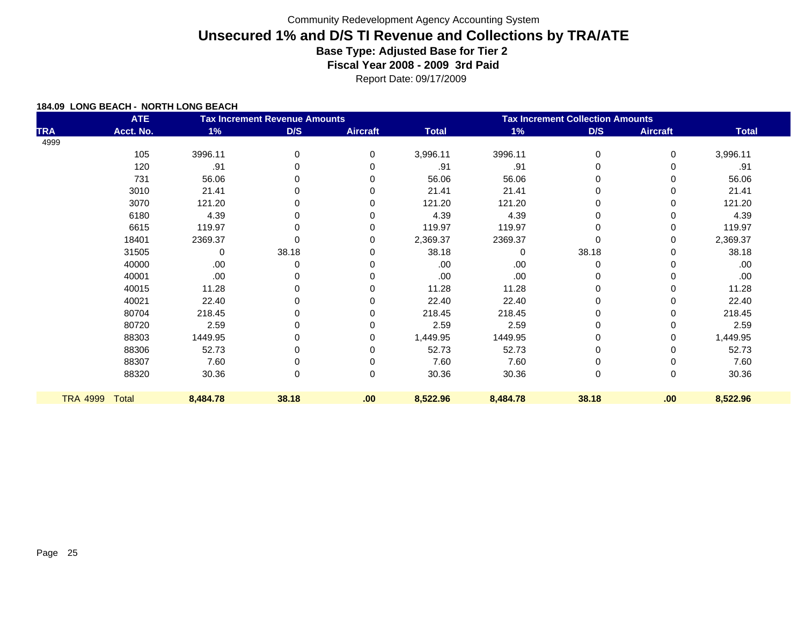Report Date: 09/17/2009

|                 | <b>ATE</b> |          | <b>Tax Increment Revenue Amounts</b> |                 | <b>Tax Increment Collection Amounts</b> |          |          |                 |              |  |
|-----------------|------------|----------|--------------------------------------|-----------------|-----------------------------------------|----------|----------|-----------------|--------------|--|
| <b>TRA</b>      | Acct. No.  | 1%       | D/S                                  | <b>Aircraft</b> | <b>Total</b>                            | 1%       | D/S      | <b>Aircraft</b> | <b>Total</b> |  |
| 4999            |            |          |                                      |                 |                                         |          |          |                 |              |  |
|                 | 105        | 3996.11  | 0                                    | $\mathbf 0$     | 3,996.11                                | 3996.11  | 0        | 0               | 3,996.11     |  |
|                 | 120        | .91      | 0                                    | $\Omega$        | .91                                     | .91      | $\Omega$ | 0               | .91          |  |
|                 | 731        | 56.06    | 0                                    | $\Omega$        | 56.06                                   | 56.06    | 0        | 0               | 56.06        |  |
|                 | 3010       | 21.41    | 0                                    | $\Omega$        | 21.41                                   | 21.41    | 0        | 0               | 21.41        |  |
|                 | 3070       | 121.20   | 0                                    | $\Omega$        | 121.20                                  | 121.20   | 0        | 0               | 121.20       |  |
|                 | 6180       | 4.39     | 0                                    | 0               | 4.39                                    | 4.39     |          | 0               | 4.39         |  |
|                 | 6615       | 119.97   | 0                                    | 0               | 119.97                                  | 119.97   | 0        | 0               | 119.97       |  |
|                 | 18401      | 2369.37  | 0                                    | 0               | 2,369.37                                | 2369.37  | $\Omega$ | 0               | 2,369.37     |  |
|                 | 31505      | 0        | 38.18                                | 0               | 38.18                                   | 0        | 38.18    | 0               | 38.18        |  |
|                 | 40000      | .00.     | 0                                    | $\Omega$        | .00                                     | .00      | 0        | 0               | .00          |  |
|                 | 40001      | .00.     |                                      | $\Omega$        | .00                                     | .00      |          | 0               | .00          |  |
|                 | 40015      | 11.28    | 0                                    | $\Omega$        | 11.28                                   | 11.28    | 0        | 0               | 11.28        |  |
|                 | 40021      | 22.40    | 0                                    | $\Omega$        | 22.40                                   | 22.40    | 0        | 0               | 22.40        |  |
|                 | 80704      | 218.45   | 0                                    | 0               | 218.45                                  | 218.45   | 0        | 0               | 218.45       |  |
|                 | 80720      | 2.59     | 0                                    | 0               | 2.59                                    | 2.59     | 0        | 0               | 2.59         |  |
|                 | 88303      | 1449.95  | 0                                    | 0               | 1,449.95                                | 1449.95  | 0        | 0               | 1,449.95     |  |
|                 | 88306      | 52.73    | 0                                    | 0               | 52.73                                   | 52.73    | 0        | 0               | 52.73        |  |
|                 | 88307      | 7.60     | 0                                    | 0               | 7.60                                    | 7.60     | 0        | 0               | 7.60         |  |
|                 | 88320      | 30.36    | 0                                    | 0               | 30.36                                   | 30.36    | 0        | 0               | 30.36        |  |
| <b>TRA 4999</b> | Total      | 8,484.78 | 38.18                                | .00             | 8,522.96                                | 8,484.78 | 38.18    | .00             | 8,522.96     |  |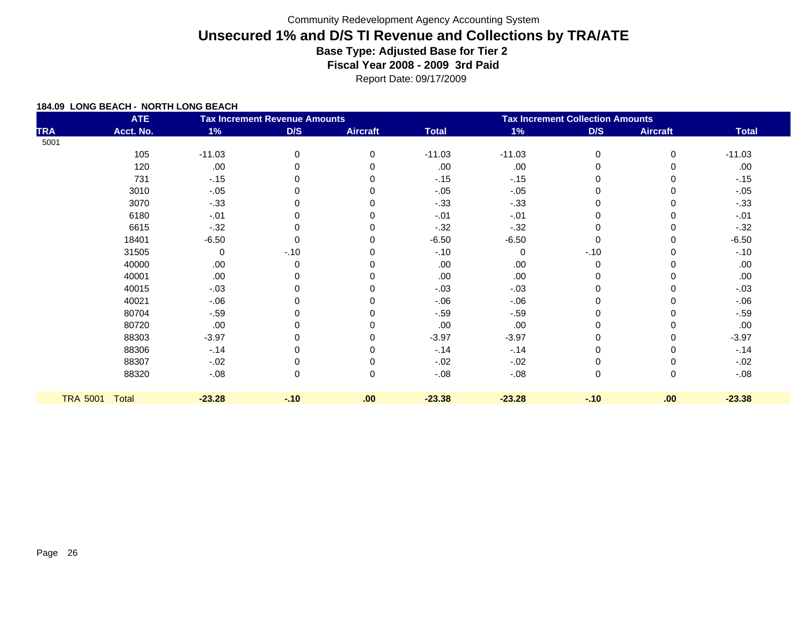Report Date: 09/17/2009

| <b>ATE</b><br><b>Tax Increment Revenue Amounts</b> |                |          |        |                 | <b>Tax Increment Collection Amounts</b> |          |        |                 |              |  |
|----------------------------------------------------|----------------|----------|--------|-----------------|-----------------------------------------|----------|--------|-----------------|--------------|--|
| <b>TRA</b>                                         | Acct. No.      | 1%       | D/S    | <b>Aircraft</b> | <b>Total</b>                            | $1\%$    | D/S    | <b>Aircraft</b> | <b>Total</b> |  |
| 5001                                               |                |          |        |                 |                                         |          |        |                 |              |  |
|                                                    | 105            | $-11.03$ | 0      | $\mathbf 0$     | $-11.03$                                | $-11.03$ | 0      | $\mathbf 0$     | $-11.03$     |  |
|                                                    | 120            | .00      |        | $\Omega$        | .00                                     | .00      | 0      |                 | .00          |  |
|                                                    | 731            | $-.15$   |        | 0               | $-15$                                   | $-15$    | 0      |                 | $-15$        |  |
|                                                    | 3010           | $-.05$   |        |                 | $-.05$                                  | $-.05$   | 0      |                 | $-.05$       |  |
|                                                    | 3070           | $-0.33$  | 0      | 0               | $-33$                                   | $-.33$   | 0      |                 | $-.33$       |  |
|                                                    | 6180           | $-.01$   |        |                 | $-.01$                                  | $-.01$   | 0      |                 | $-.01$       |  |
|                                                    | 6615           | $-32$    |        |                 | $-32$                                   | $-0.32$  | 0      |                 | $-32$        |  |
|                                                    | 18401          | $-6.50$  | 0      | 0               | $-6.50$                                 | $-6.50$  | 0      |                 | $-6.50$      |  |
|                                                    | 31505          | 0        | $-.10$ | 0               | $-10$                                   | 0        | $-.10$ |                 | $-.10$       |  |
|                                                    | 40000          | .00      | 0      |                 | .00                                     | .00      | 0      |                 | .00          |  |
|                                                    | 40001          | .00      |        |                 | .00                                     | .00      | 0      |                 | .00          |  |
|                                                    | 40015          | $-.03$   |        | ∩               | $-.03$                                  | $-.03$   | 0      |                 | $-.03$       |  |
|                                                    | 40021          | $-0.06$  |        |                 | $-0.06$                                 | $-06$    | 0      |                 | $-06$        |  |
|                                                    | 80704          | $-.59$   |        | ∩               | $-.59$                                  | $-.59$   | 0      |                 | $-.59$       |  |
|                                                    | 80720          | .00      |        |                 | .00                                     | .00      | 0      |                 | .00          |  |
|                                                    | 88303          | $-3.97$  |        |                 | $-3.97$                                 | $-3.97$  | 0      |                 | $-3.97$      |  |
|                                                    | 88306          | $-14$    |        | 0               | $-14$                                   | $-14$    | 0      |                 | $-14$        |  |
|                                                    | 88307          | $-.02$   |        | 0               | $-0.02$                                 | $-.02$   | 0      |                 | $-.02$       |  |
|                                                    | 88320          | $-.08$   | 0      | 0               | $-.08$                                  | $-.08$   | 0      | 0               | $-0.08$      |  |
|                                                    |                |          |        |                 |                                         |          |        |                 |              |  |
|                                                    | TRA 5001 Total | $-23.28$ | $-10$  | .00             | $-23.38$                                | $-23.28$ | $-10$  | .00             | $-23.38$     |  |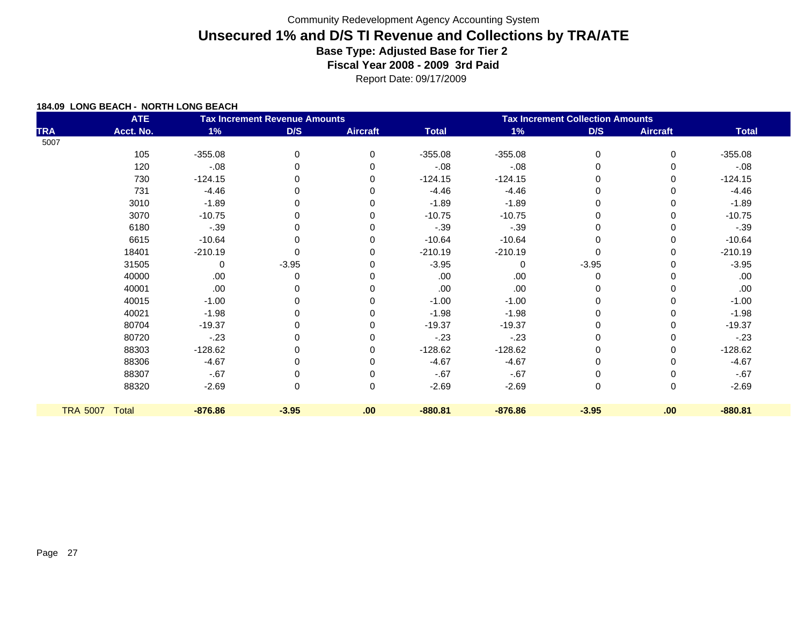Report Date: 09/17/2009

|            | <b>ATE</b>     |           | <b>Tax Increment Revenue Amounts</b> |                 | <b>Tax Increment Collection Amounts</b> |           |          |                 |              |
|------------|----------------|-----------|--------------------------------------|-----------------|-----------------------------------------|-----------|----------|-----------------|--------------|
| <b>TRA</b> | Acct. No.      | 1%        | D/S                                  | <b>Aircraft</b> | <b>Total</b>                            | 1%        | D/S      | <b>Aircraft</b> | <b>Total</b> |
| 5007       |                |           |                                      |                 |                                         |           |          |                 |              |
|            | 105            | $-355.08$ | 0                                    | 0               | $-355.08$                               | $-355.08$ | 0        | 0               | $-355.08$    |
|            | 120            | $-.08$    | $\Omega$                             | 0               | $-0.08$                                 | $-.08$    | $\Omega$ | 0               | $-.08$       |
|            | 730            | $-124.15$ | O                                    |                 | $-124.15$                               | $-124.15$ |          | 0               | $-124.15$    |
|            | 731            | $-4.46$   | $\Omega$                             |                 | $-4.46$                                 | $-4.46$   | 0        | 0               | $-4.46$      |
|            | 3010           | $-1.89$   | O                                    |                 | $-1.89$                                 | $-1.89$   | ∩        | 0               | $-1.89$      |
|            | 3070           | $-10.75$  | $\Omega$                             |                 | $-10.75$                                | $-10.75$  | $\Omega$ | 0               | $-10.75$     |
|            | 6180           | $-.39$    | O                                    |                 | $-.39$                                  | $-.39$    |          | 0               | $-.39$       |
|            | 6615           | $-10.64$  | $\Omega$                             | U               | $-10.64$                                | $-10.64$  | $\Omega$ | 0               | $-10.64$     |
|            | 18401          | $-210.19$ | 0                                    |                 | $-210.19$                               | $-210.19$ | $\Omega$ | 0               | $-210.19$    |
|            | 31505          | 0         | $-3.95$                              |                 | $-3.95$                                 | $\Omega$  | $-3.95$  | 0               | $-3.95$      |
|            | 40000          | .00       | $\Omega$                             |                 | .00                                     | .00       | $\Omega$ |                 | .00.         |
|            | 40001          | .00       | 0                                    |                 | .00                                     | .00       | 0        | 0               | .00.         |
|            | 40015          | $-1.00$   |                                      |                 | $-1.00$                                 | $-1.00$   |          | U               | $-1.00$      |
|            | 40021          | $-1.98$   | $\Omega$                             |                 | $-1.98$                                 | $-1.98$   | 0        | 0               | $-1.98$      |
|            | 80704          | $-19.37$  |                                      |                 | $-19.37$                                | $-19.37$  |          | 0               | $-19.37$     |
|            | 80720          | $-23$     | 0                                    | O               | $-23$                                   | $-23$     | 0        | 0               | $-23$        |
|            | 88303          | $-128.62$ | O                                    |                 | $-128.62$                               | $-128.62$ |          | 0               | $-128.62$    |
|            | 88306          | $-4.67$   | 0                                    | 0               | $-4.67$                                 | $-4.67$   | 0        | 0               | $-4.67$      |
|            | 88307          | $-67$     |                                      |                 | $-67$                                   | $-67$     |          |                 | $-67$        |
|            | 88320          | $-2.69$   | 0                                    | 0               | $-2.69$                                 | $-2.69$   | 0        | 0               | $-2.69$      |
|            | TRA 5007 Total | $-876.86$ | $-3.95$                              | .00             | $-880.81$                               | $-876.86$ | $-3.95$  | .00.            | $-880.81$    |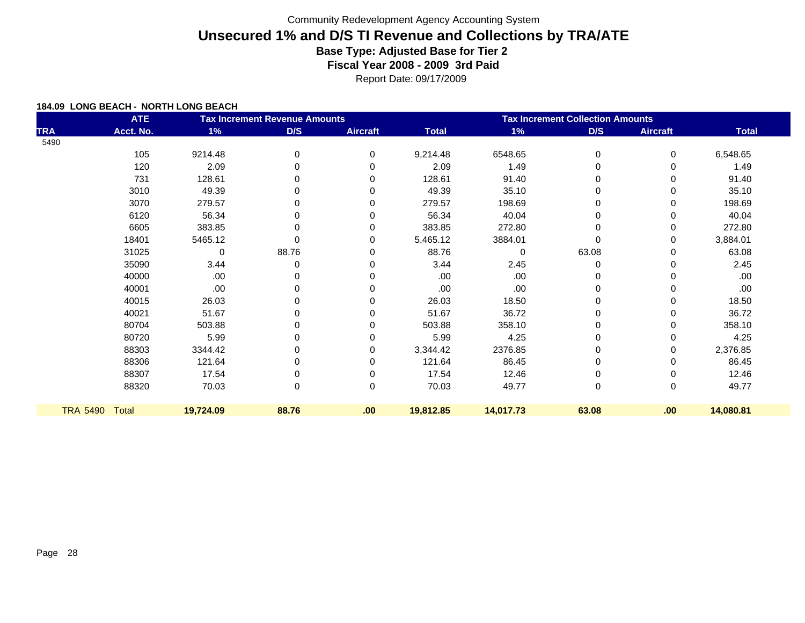Report Date: 09/17/2009

|                 | <b>ATE</b>   |           | <b>Tax Increment Revenue Amounts</b> |                 | <b>Tax Increment Collection Amounts</b> |           |              |                 |              |
|-----------------|--------------|-----------|--------------------------------------|-----------------|-----------------------------------------|-----------|--------------|-----------------|--------------|
| <b>TRA</b>      | Acct. No.    | 1%        | D/S                                  | <b>Aircraft</b> | <b>Total</b>                            | 1%        | D/S          | <b>Aircraft</b> | <b>Total</b> |
| 5490            |              |           |                                      |                 |                                         |           |              |                 |              |
|                 | 105          | 9214.48   | 0                                    | 0               | 9,214.48                                | 6548.65   | 0            | 0               | 6,548.65     |
|                 | 120          | 2.09      | 0                                    | 0               | 2.09                                    | 1.49      | 0            | 0               | 1.49         |
|                 | 731          | 128.61    | 0                                    | 0               | 128.61                                  | 91.40     | 0            | 0               | 91.40        |
|                 | 3010         | 49.39     | 0                                    | 0               | 49.39                                   | 35.10     | 0            | 0               | 35.10        |
|                 | 3070         | 279.57    | 0                                    | $\Omega$        | 279.57                                  | 198.69    | 0            | 0               | 198.69       |
|                 | 6120         | 56.34     | 0                                    | $\Omega$        | 56.34                                   | 40.04     | 0            | 0               | 40.04        |
|                 | 6605         | 383.85    | $\mathbf 0$                          | 0               | 383.85                                  | 272.80    | 0            | 0               | 272.80       |
|                 | 18401        | 5465.12   | $\Omega$                             | 0               | 5,465.12                                | 3884.01   | $\mathbf{0}$ | 0               | 3,884.01     |
|                 | 31025        | 0         | 88.76                                | 0               | 88.76                                   | $\Omega$  | 63.08        | 0               | 63.08        |
|                 | 35090        | 3.44      | 0                                    | $\Omega$        | 3.44                                    | 2.45      | 0            | 0               | 2.45         |
|                 | 40000        | .00       | 0                                    | 0               | .00                                     | .00       | 0            | 0               | .00          |
|                 | 40001        | .00       | 0                                    | $\Omega$        | .00                                     | .00       | 0            | 0               | .00          |
|                 | 40015        | 26.03     | 0                                    | 0               | 26.03                                   | 18.50     | 0            | 0               | 18.50        |
|                 | 40021        | 51.67     | 0                                    | 0               | 51.67                                   | 36.72     | 0            | 0               | 36.72        |
|                 | 80704        | 503.88    | $\Omega$                             | 0               | 503.88                                  | 358.10    | 0            | 0               | 358.10       |
|                 | 80720        | 5.99      | 0                                    | 0               | 5.99                                    | 4.25      | 0            | 0               | 4.25         |
|                 | 88303        | 3344.42   | $\Omega$                             | 0               | 3,344.42                                | 2376.85   | 0            | 0               | 2,376.85     |
|                 | 88306        | 121.64    | 0                                    | $\Omega$        | 121.64                                  | 86.45     | 0            | 0               | 86.45        |
|                 | 88307        | 17.54     | 0                                    | 0               | 17.54                                   | 12.46     | 0            | 0               | 12.46        |
|                 | 88320        | 70.03     | 0                                    | 0               | 70.03                                   | 49.77     | $\mathbf 0$  | 0               | 49.77        |
| <b>TRA 5490</b> | <b>Total</b> | 19,724.09 | 88.76                                | .00             | 19,812.85                               | 14,017.73 | 63.08        | .00             | 14,080.81    |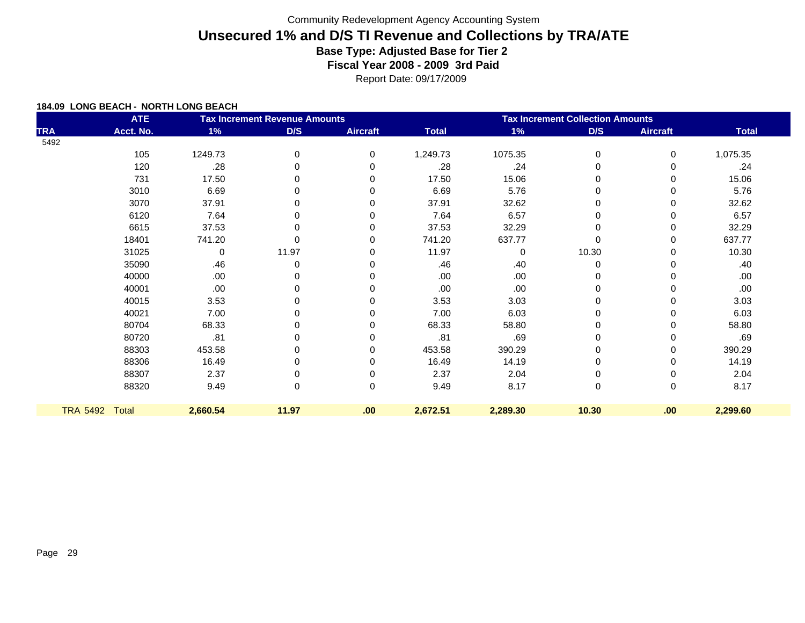Report Date: 09/17/2009

| <b>ATE</b><br><b>Tax Increment Revenue Amounts</b> |           |          |          | <b>Tax Increment Collection Amounts</b> |              |          |             |                 |              |
|----------------------------------------------------|-----------|----------|----------|-----------------------------------------|--------------|----------|-------------|-----------------|--------------|
| <b>TRA</b>                                         | Acct. No. | 1%       | D/S      | <b>Aircraft</b>                         | <b>Total</b> | 1%       | D/S         | <b>Aircraft</b> | <b>Total</b> |
| 5492                                               |           |          |          |                                         |              |          |             |                 |              |
|                                                    | 105       | 1249.73  | 0        | 0                                       | 1,249.73     | 1075.35  | $\mathbf 0$ | 0               | 1,075.35     |
|                                                    | 120       | .28      | $\Omega$ | 0                                       | .28          | .24      | $\Omega$    | 0               | .24          |
|                                                    | 731       | 17.50    | O        | 0                                       | 17.50        | 15.06    |             | 0               | 15.06        |
|                                                    | 3010      | 6.69     | 0        |                                         | 6.69         | 5.76     | 0           | 0               | 5.76         |
|                                                    | 3070      | 37.91    | ŋ        | 0                                       | 37.91        | 32.62    |             | 0               | 32.62        |
|                                                    | 6120      | 7.64     | $\Omega$ | 0                                       | 7.64         | 6.57     | 0           | 0               | 6.57         |
|                                                    | 6615      | 37.53    | O        | O                                       | 37.53        | 32.29    | $\Omega$    | 0               | 32.29        |
|                                                    | 18401     | 741.20   | $\Omega$ | 0                                       | 741.20       | 637.77   | $\Omega$    | 0               | 637.77       |
|                                                    | 31025     | 0        | 11.97    | U                                       | 11.97        | 0        | 10.30       | 0               | 10.30        |
|                                                    | 35090     | .46      | 0        | O                                       | .46          | .40      | $\Omega$    | 0               | .40          |
|                                                    | 40000     | .00      |          |                                         | .00          | .00      |             |                 | .00.         |
|                                                    | 40001     | .00      | ŋ        |                                         | .00          | .00      |             | 0               | .00.         |
|                                                    | 40015     | 3.53     |          |                                         | 3.53         | 3.03     |             | U               | 3.03         |
|                                                    | 40021     | 7.00     | $\Omega$ | O                                       | 7.00         | 6.03     | 0           | 0               | 6.03         |
|                                                    | 80704     | 68.33    |          |                                         | 68.33        | 58.80    |             | 0               | 58.80        |
|                                                    | 80720     | .81      | 0        | 0                                       | .81          | .69      | 0           | 0               | .69          |
|                                                    | 88303     | 453.58   |          | O                                       | 453.58       | 390.29   |             | 0               | 390.29       |
|                                                    | 88306     | 16.49    | 0        | 0                                       | 16.49        | 14.19    | 0           | 0               | 14.19        |
|                                                    | 88307     | 2.37     |          | 0                                       | 2.37         | 2.04     |             | 0               | 2.04         |
|                                                    | 88320     | 9.49     | 0        | 0                                       | 9.49         | 8.17     | $\mathbf 0$ | 0               | 8.17         |
| TRA 5492 Total                                     |           | 2,660.54 | 11.97    | .00                                     | 2,672.51     | 2,289.30 | 10.30       | .00             | 2,299.60     |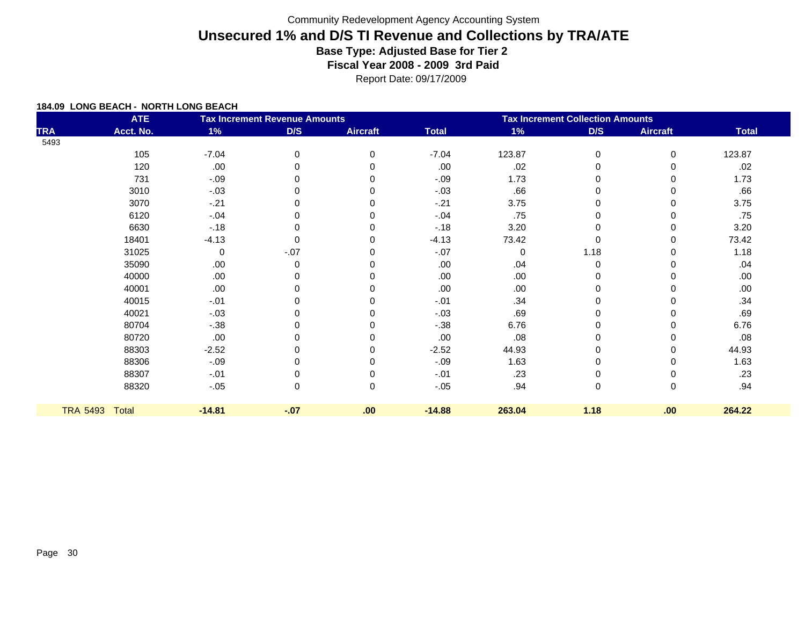Report Date: 09/17/2009

|            | <b>ATE</b>     |          | <b>Tax Increment Revenue Amounts</b> |                 | <b>Tax Increment Collection Amounts</b> |             |             |                 |              |
|------------|----------------|----------|--------------------------------------|-----------------|-----------------------------------------|-------------|-------------|-----------------|--------------|
| <b>TRA</b> | Acct. No.      | 1%       | D/S                                  | <b>Aircraft</b> | <b>Total</b>                            | $1\%$       | D/S         | <b>Aircraft</b> | <b>Total</b> |
| 5493       |                |          |                                      |                 |                                         |             |             |                 |              |
|            | 105            | $-7.04$  | 0                                    | 0               | $-7.04$                                 | 123.87      | 0           | $\mathbf 0$     | 123.87       |
|            | 120            | .00      | 0                                    | 0               | .00                                     | .02         | 0           | 0               | .02          |
|            | 731            | $-.09$   |                                      | 0               | $-.09$                                  | 1.73        | 0           |                 | 1.73         |
|            | 3010           | $-.03$   |                                      | 0               | $-.03$                                  | .66         | 0           |                 | .66          |
|            | 3070           | $-21$    |                                      |                 | $-21$                                   | 3.75        | 0           |                 | 3.75         |
|            | 6120           | $-.04$   |                                      | 0               | $-.04$                                  | .75         | 0           |                 | .75          |
|            | 6630           | $-18$    |                                      |                 | $-.18$                                  | 3.20        | 0           |                 | 3.20         |
|            | 18401          | $-4.13$  | 0                                    | $\Omega$        | $-4.13$                                 | 73.42       | $\mathbf 0$ | 0               | 73.42        |
|            | 31025          | 0        | $-.07$                               |                 | $-.07$                                  | $\mathbf 0$ | 1.18        |                 | 1.18         |
|            | 35090          | .00      | 0                                    | $\Omega$        | .00                                     | .04         | 0           |                 | .04          |
|            | 40000          | .00      |                                      |                 | .00                                     | .00         | 0           |                 | .00          |
|            | 40001          | .00      |                                      | ∩               | .00                                     | .00         | 0           |                 | .00.         |
|            | 40015          | $-.01$   |                                      |                 | $-.01$                                  | .34         | 0           |                 | .34          |
|            | 40021          | $-.03$   |                                      | $\Omega$        | $-.03$                                  | .69         | 0           |                 | .69          |
|            | 80704          | $-.38$   |                                      |                 | $-.38$                                  | 6.76        | 0           |                 | 6.76         |
|            | 80720          | .00      |                                      | $\Omega$        | .00                                     | .08         | 0           |                 | .08          |
|            | 88303          | $-2.52$  |                                      |                 | $-2.52$                                 | 44.93       | 0           |                 | 44.93        |
|            | 88306          | $-.09$   |                                      | $\Omega$        | $-.09$                                  | 1.63        | 0           |                 | 1.63         |
|            | 88307          | $-.01$   |                                      |                 | $-.01$                                  | .23         | 0           |                 | .23          |
|            | 88320          | $-.05$   | 0                                    | $\mathbf 0$     | $-.05$                                  | .94         | 0           | 0               | .94          |
|            | TRA 5493 Total | $-14.81$ | $-.07$                               | .00             | $-14.88$                                | 263.04      | 1.18        | .00             | 264.22       |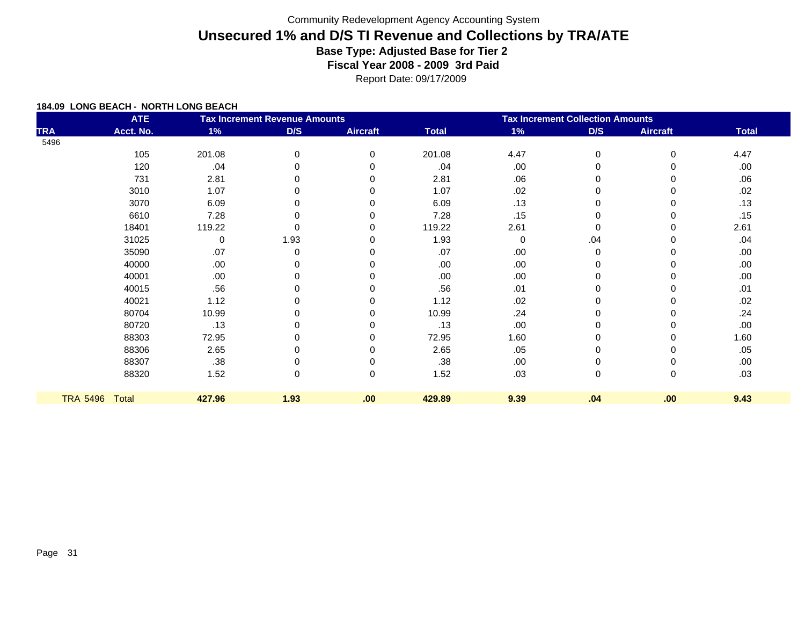#### Report Date: 09/17/2009

| <b>ATE</b><br><b>Tax Increment Revenue Amounts</b> |              |        |          |                 | <b>Tax Increment Collection Amounts</b> |      |          |                 |              |  |
|----------------------------------------------------|--------------|--------|----------|-----------------|-----------------------------------------|------|----------|-----------------|--------------|--|
| <b>TRA</b>                                         | Acct. No.    | 1%     | D/S      | <b>Aircraft</b> | <b>Total</b>                            | 1%   | D/S      | <b>Aircraft</b> | <b>Total</b> |  |
| 5496                                               |              |        |          |                 |                                         |      |          |                 |              |  |
|                                                    | 105          | 201.08 | 0        | 0               | 201.08                                  | 4.47 | 0        | 0               | 4.47         |  |
|                                                    | 120          | .04    |          |                 | .04                                     | .00  | $\Omega$ | $\Omega$        | .00          |  |
|                                                    | 731          | 2.81   |          | 0               | 2.81                                    | .06  | 0        | 0               | .06          |  |
|                                                    | 3010         | 1.07   |          |                 | 1.07                                    | .02  | $\Omega$ | 0               | .02          |  |
|                                                    | 3070         | 6.09   | ŋ        |                 | 6.09                                    | .13  | $\Omega$ | 0               | .13          |  |
|                                                    | 6610         | 7.28   |          |                 | 7.28                                    | .15  | $\Omega$ | 0               | .15          |  |
|                                                    | 18401        | 119.22 | O        | 0               | 119.22                                  | 2.61 | $\Omega$ | $\Omega$        | 2.61         |  |
|                                                    | 31025        | 0      | 1.93     | 0               | 1.93                                    | 0    | .04      | 0               | .04          |  |
|                                                    | 35090        | .07    | $\Omega$ |                 | .07                                     | .00. | 0        | 0               | .00.         |  |
|                                                    | 40000        | .00.   |          |                 | .00                                     | .00. | 0        | 0               | .00.         |  |
|                                                    | 40001        | .00.   |          |                 | .00                                     | .00  | 0        | $\Omega$        | .00          |  |
|                                                    | 40015        | .56    |          |                 | .56                                     | .01  | 0        | 0               | .01          |  |
|                                                    | 40021        | 1.12   |          |                 | 1.12                                    | .02  | 0        | 0               | .02          |  |
|                                                    | 80704        | 10.99  |          | $\Omega$        | 10.99                                   | .24  | 0        | 0               | .24          |  |
|                                                    | 80720        | .13    |          |                 | .13                                     | .00. | $\Omega$ | 0               | .00.         |  |
|                                                    | 88303        | 72.95  |          | 0               | 72.95                                   | 1.60 | $\Omega$ | 0               | 1.60         |  |
|                                                    | 88306        | 2.65   |          |                 | 2.65                                    | .05  | 0        | 0               | .05          |  |
|                                                    | 88307        | .38    |          |                 | .38                                     | .00. | 0        | 0               | .00.         |  |
|                                                    | 88320        | 1.52   | 0        | 0               | 1.52                                    | .03  | 0        | 0               | .03          |  |
|                                                    |              |        |          |                 |                                         |      |          |                 |              |  |
| <b>TRA 5496</b>                                    | <b>Total</b> | 427.96 | 1.93     | .00             | 429.89                                  | 9.39 | .04      | .00             | 9.43         |  |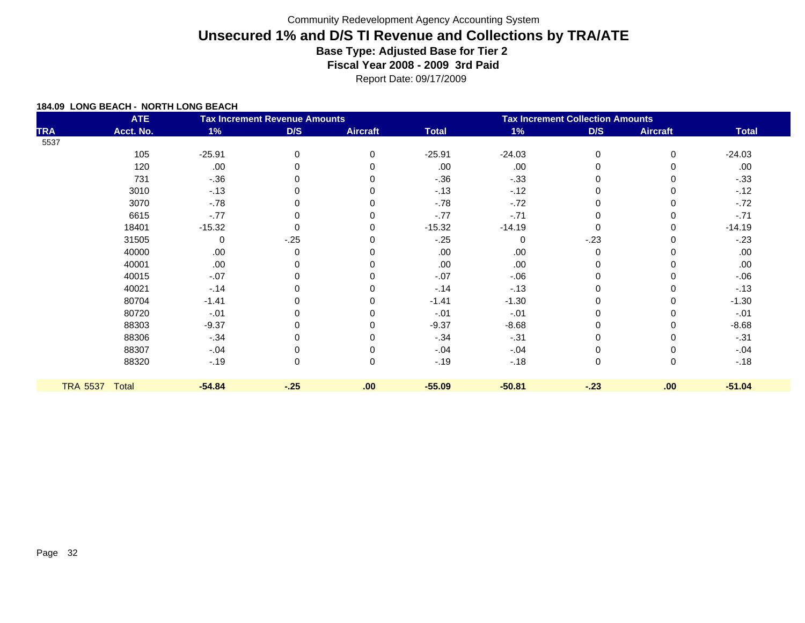Report Date: 09/17/2009

|                 | <b>ATE</b> |          | <b>Tax Increment Revenue Amounts</b> |                 | <b>Tax Increment Collection Amounts</b> |          |             |                 |              |
|-----------------|------------|----------|--------------------------------------|-----------------|-----------------------------------------|----------|-------------|-----------------|--------------|
| <b>TRA</b>      | Acct. No.  | 1%       | D/S                                  | <b>Aircraft</b> | <b>Total</b>                            | 1%       | D/S         | <b>Aircraft</b> | <b>Total</b> |
| 5537            |            |          |                                      |                 |                                         |          |             |                 |              |
|                 | 105        | $-25.91$ | 0                                    | $\Omega$        | $-25.91$                                | $-24.03$ | $\mathbf 0$ | $\Omega$        | $-24.03$     |
|                 | 120        | .00      |                                      |                 | .00                                     | .00      | $\Omega$    |                 | .00          |
|                 | 731        | $-.36$   |                                      |                 | $-.36$                                  | $-.33$   | 0           |                 | $-.33$       |
|                 | 3010       | $-13$    |                                      |                 | $-13$                                   | $-12$    | 0           |                 | $-12$        |
|                 | 3070       | $-.78$   |                                      |                 | $-.78$                                  | $-72$    | 0           |                 | $-72$        |
|                 | 6615       | $-77$    |                                      |                 | $-.77$                                  | $-.71$   | 0           |                 | $-71$        |
|                 | 18401      | $-15.32$ |                                      |                 | $-15.32$                                | $-14.19$ | 0           |                 | $-14.19$     |
|                 | 31505      | 0        | $-25$                                |                 | $-25$                                   | $\Omega$ | $-23$       |                 | $-23$        |
|                 | 40000      | .00      | 0                                    |                 | .00                                     | .00      | 0           |                 | .00          |
|                 | 40001      | .00      |                                      |                 | .00                                     | .00      | 0           |                 | .00.         |
|                 | 40015      | $-.07$   |                                      |                 | $-.07$                                  | $-06$    | 0           |                 | $-06$        |
|                 | 40021      | $-14$    |                                      |                 | $-14$                                   | $-13$    | 0           |                 | $-13$        |
|                 | 80704      | $-1.41$  |                                      |                 | $-1.41$                                 | $-1.30$  | 0           |                 | $-1.30$      |
|                 | 80720      | $-.01$   |                                      |                 | $-.01$                                  | $-.01$   | 0           |                 | $-.01$       |
|                 | 88303      | $-9.37$  |                                      |                 | $-9.37$                                 | $-8.68$  | 0           |                 | $-8.68$      |
|                 | 88306      | $-.34$   |                                      |                 | $-.34$                                  | $-.31$   | 0           |                 | $-.31$       |
|                 | 88307      | $-.04$   |                                      |                 | $-.04$                                  | $-.04$   | 0           |                 | $-.04$       |
|                 | 88320      | $-19$    | 0                                    | $\Omega$        | $-19$                                   | $-.18$   | 0           | $\Omega$        | $-.18$       |
|                 |            |          |                                      |                 |                                         |          |             |                 |              |
| <b>TRA 5537</b> | Total      | $-54.84$ | $-25$                                | .00             | $-55.09$                                | $-50.81$ | $-23$       | .00             | $-51.04$     |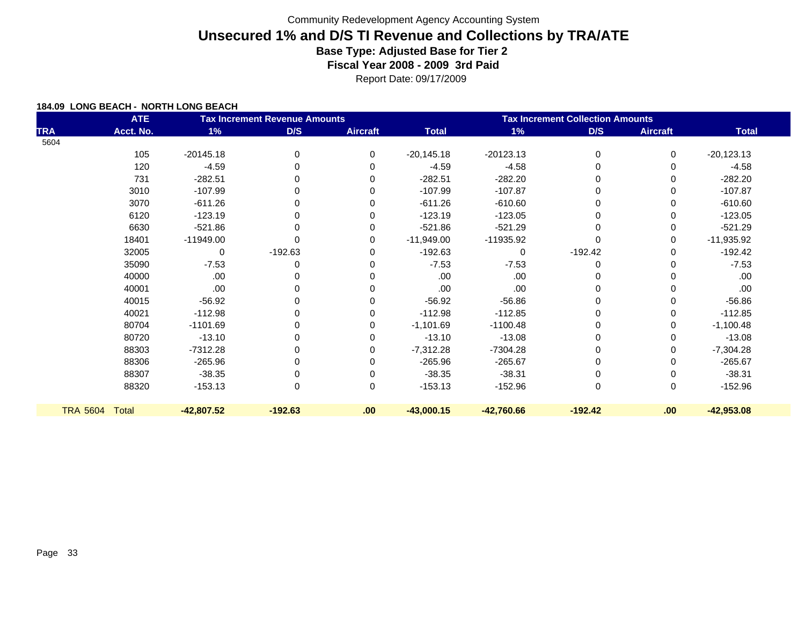Report Date: 09/17/2009

|            | <b>ATE</b>     |              | <b>Tax Increment Revenue Amounts</b> |                 | <b>Tax Increment Collection Amounts</b> |              |             |                 |              |
|------------|----------------|--------------|--------------------------------------|-----------------|-----------------------------------------|--------------|-------------|-----------------|--------------|
| <b>TRA</b> | Acct. No.      | 1%           | D/S                                  | <b>Aircraft</b> | <b>Total</b>                            | 1%           | D/S         | <b>Aircraft</b> | <b>Total</b> |
| 5604       |                |              |                                      |                 |                                         |              |             |                 |              |
|            | 105            | $-20145.18$  | 0                                    | $\Omega$        | $-20,145.18$                            | $-20123.13$  | $\Omega$    | 0               | $-20,123.13$ |
|            | 120            | $-4.59$      | 0                                    | 0               | $-4.59$                                 | $-4.58$      | 0           | 0               | $-4.58$      |
|            | 731            | $-282.51$    | 0                                    | 0               | $-282.51$                               | $-282.20$    | $\Omega$    | 0               | $-282.20$    |
|            | 3010           | $-107.99$    | 0                                    | 0               | $-107.99$                               | $-107.87$    | $\Omega$    | 0               | $-107.87$    |
|            | 3070           | $-611.26$    | 0                                    | 0               | $-611.26$                               | $-610.60$    | $\Omega$    | 0               | $-610.60$    |
|            | 6120           | $-123.19$    | 0                                    | 0               | $-123.19$                               | $-123.05$    | 0           | 0               | $-123.05$    |
|            | 6630           | $-521.86$    | 0                                    | 0               | $-521.86$                               | $-521.29$    | $\Omega$    | 0               | $-521.29$    |
|            | 18401          | $-11949.00$  | $\Omega$                             | 0               | $-11,949.00$                            | -11935.92    | $\Omega$    | 0               | $-11,935.92$ |
|            | 32005          | 0            | $-192.63$                            | 0               | $-192.63$                               | 0            | $-192.42$   | 0               | $-192.42$    |
|            | 35090          | $-7.53$      | 0                                    | 0               | $-7.53$                                 | $-7.53$      | 0           | 0               | $-7.53$      |
|            | 40000          | .00          | 0                                    | O               | .00                                     | .00          | 0           | 0               | .00.         |
|            | 40001          | .00          | 0                                    | 0               | .00.                                    | .00          | $\Omega$    | 0               | .00.         |
|            | 40015          | $-56.92$     | $\Omega$                             | 0               | $-56.92$                                | $-56.86$     | $\Omega$    | 0               | $-56.86$     |
|            | 40021          | $-112.98$    | 0                                    | 0               | $-112.98$                               | $-112.85$    | 0           | 0               | $-112.85$    |
|            | 80704          | $-1101.69$   | 0                                    | ∩               | $-1,101.69$                             | $-1100.48$   | 0           | 0               | $-1,100.48$  |
|            | 80720          | $-13.10$     | 0                                    | $\Omega$        | $-13.10$                                | $-13.08$     | 0           | 0               | $-13.08$     |
|            | 88303          | $-7312.28$   | 0                                    | $\Omega$        | $-7,312.28$                             | $-7304.28$   | 0           | 0               | $-7,304.28$  |
|            | 88306          | $-265.96$    | 0                                    | $\Omega$        | $-265.96$                               | $-265.67$    | 0           | 0               | $-265.67$    |
|            | 88307          | $-38.35$     | 0                                    | 0               | $-38.35$                                | $-38.31$     | $\mathbf 0$ | 0               | $-38.31$     |
|            | 88320          | $-153.13$    | 0                                    | 0               | $-153.13$                               | $-152.96$    | $\mathbf 0$ | 0               | $-152.96$    |
|            | TRA 5604 Total | $-42,807.52$ | $-192.63$                            | .00             | $-43,000.15$                            | $-42,760.66$ | $-192.42$   | .00.            | $-42,953.08$ |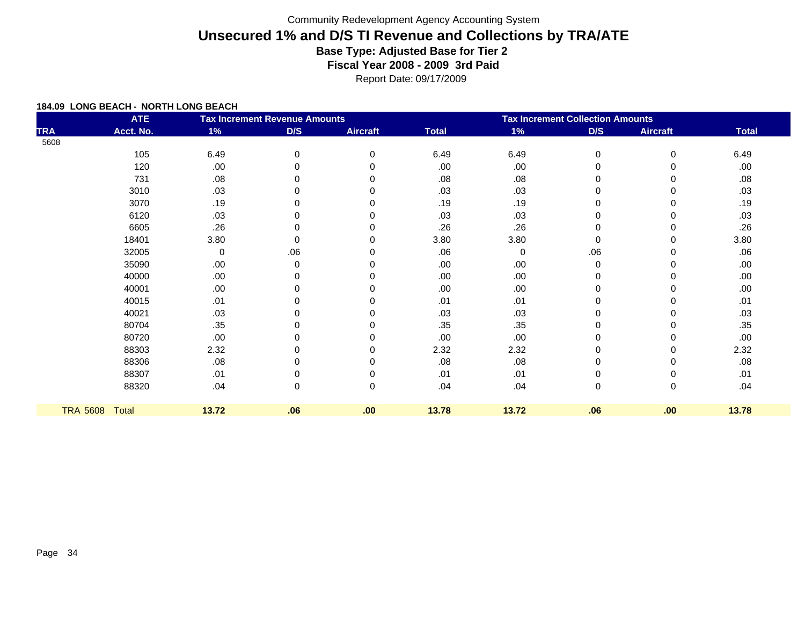Report Date: 09/17/2009

| <b>ATE</b><br><b>Tax Increment Revenue Amounts</b> |              |       |     |                 | <b>Tax Increment Collection Amounts</b> |       |             |                 |              |  |
|----------------------------------------------------|--------------|-------|-----|-----------------|-----------------------------------------|-------|-------------|-----------------|--------------|--|
| <b>TRA</b>                                         | Acct. No.    | 1%    | D/S | <b>Aircraft</b> | <b>Total</b>                            | 1%    | D/S         | <b>Aircraft</b> | <b>Total</b> |  |
| 5608                                               |              |       |     |                 |                                         |       |             |                 |              |  |
|                                                    | 105          | 6.49  | 0   | $\Omega$        | 6.49                                    | 6.49  | 0           | 0               | 6.49         |  |
|                                                    | 120          | .00   | 0   | ∩               | .00                                     | .00   | $\mathbf 0$ | 0               | .00.         |  |
|                                                    | 731          | .08   |     |                 | .08                                     | .08   | $\Omega$    | 0               | .08          |  |
|                                                    | 3010         | .03   | 0   |                 | .03                                     | .03   | 0           | 0               | .03          |  |
|                                                    | 3070         | .19   | O   |                 | .19                                     | .19   | 0           | 0               | .19          |  |
|                                                    | 6120         | .03   | 0   |                 | .03                                     | .03   | 0           | 0               | .03          |  |
|                                                    | 6605         | .26   |     |                 | .26                                     | .26   | $\Omega$    | 0               | .26          |  |
|                                                    | 18401        | 3.80  | 0   |                 | 3.80                                    | 3.80  | 0           | 0               | 3.80         |  |
|                                                    | 32005        | 0     | .06 |                 | .06                                     | 0     | .06         | 0               | .06          |  |
|                                                    | 35090        | .00   | 0   |                 | .00                                     | .00   | 0           | 0               | .00.         |  |
|                                                    | 40000        | .00   |     |                 | .00                                     | .00   | $\Omega$    | 0               | .00          |  |
|                                                    | 40001        | .00   | 0   |                 | .00                                     | .00   | 0           | 0               | .00.         |  |
|                                                    | 40015        | .01   |     |                 | .01                                     | .01   | 0           | U               | .01          |  |
|                                                    | 40021        | .03   |     |                 | .03                                     | .03   | 0           | 0               | .03          |  |
|                                                    | 80704        | .35   |     |                 | .35                                     | .35   | 0           | 0               | .35          |  |
|                                                    | 80720        | .00   |     |                 | .00                                     | .00   | 0           | 0               | .00          |  |
|                                                    | 88303        | 2.32  |     |                 | 2.32                                    | 2.32  | 0           | 0               | 2.32         |  |
|                                                    | 88306        | .08   |     | O               | .08                                     | .08   | 0           | 0               | .08          |  |
|                                                    | 88307        | .01   |     |                 | .01                                     | .01   | 0           | 0               | .01          |  |
|                                                    | 88320        | .04   | 0   | $\Omega$        | .04                                     | .04   | 0           | 0               | .04          |  |
| <b>TRA 5608</b>                                    | <b>Total</b> | 13.72 | .06 | .00             | 13.78                                   | 13.72 | .06         | .00             | 13.78        |  |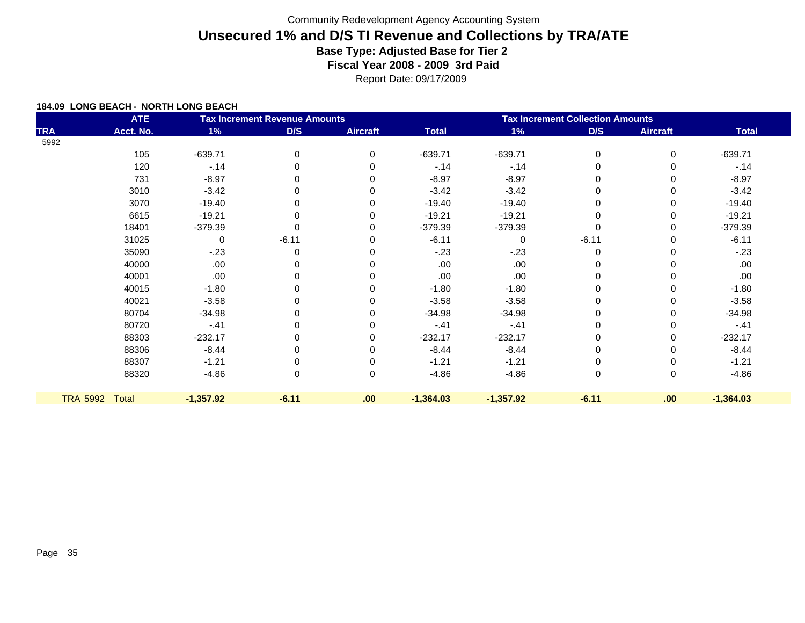Report Date: 09/17/2009

|                 | <b>ATE</b> |             | <b>Tax Increment Revenue Amounts</b> | <b>Tax Increment Collection Amounts</b> |              |             |         |                 |              |
|-----------------|------------|-------------|--------------------------------------|-----------------------------------------|--------------|-------------|---------|-----------------|--------------|
| <b>TRA</b>      | Acct. No.  | 1%          | D/S                                  | <b>Aircraft</b>                         | <b>Total</b> | 1%          | D/S     | <b>Aircraft</b> | <b>Total</b> |
| 5992            |            |             |                                      |                                         |              |             |         |                 |              |
|                 | 105        | $-639.71$   | 0                                    | $\Omega$                                | $-639.71$    | $-639.71$   | 0       | $\Omega$        | $-639.71$    |
|                 | 120        | $-14$       |                                      | O                                       | $-14$        | $-.14$      |         | 0               | $-.14$       |
|                 | 731        | $-8.97$     |                                      |                                         | $-8.97$      | $-8.97$     | 0       | ი               | $-8.97$      |
|                 | 3010       | $-3.42$     |                                      |                                         | $-3.42$      | $-3.42$     |         |                 | $-3.42$      |
|                 | 3070       | $-19.40$    | ŋ                                    |                                         | $-19.40$     | $-19.40$    |         | 0               | $-19.40$     |
|                 | 6615       | $-19.21$    |                                      |                                         | $-19.21$     | $-19.21$    |         |                 | $-19.21$     |
|                 | 18401      | $-379.39$   |                                      |                                         | $-379.39$    | $-379.39$   |         | 0               | $-379.39$    |
|                 | 31025      | $\mathbf 0$ | $-6.11$                              |                                         | $-6.11$      | $\Omega$    | $-6.11$ |                 | $-6.11$      |
|                 | 35090      | $-.23$      | O                                    |                                         | $-23$        | $-23$       |         |                 | $-23$        |
|                 | 40000      | .00         |                                      |                                         | .00          | .00         |         |                 | .00          |
|                 | 40001      | .00         |                                      |                                         | .00          | .00         |         |                 | .00          |
|                 | 40015      | $-1.80$     |                                      |                                         | $-1.80$      | $-1.80$     | 0       | 0               | $-1.80$      |
|                 | 40021      | $-3.58$     |                                      |                                         | $-3.58$      | $-3.58$     |         |                 | $-3.58$      |
|                 | 80704      | $-34.98$    | O                                    |                                         | $-34.98$     | $-34.98$    |         | 0               | $-34.98$     |
|                 | 80720      | $-.41$      |                                      |                                         | $-.41$       | $-.41$      |         |                 | $-.41$       |
|                 | 88303      | $-232.17$   |                                      |                                         | $-232.17$    | $-232.17$   |         | 0               | $-232.17$    |
|                 | 88306      | $-8.44$     |                                      |                                         | $-8.44$      | $-8.44$     |         |                 | $-8.44$      |
|                 | 88307      | $-1.21$     |                                      |                                         | $-1.21$      | $-1.21$     |         |                 | $-1.21$      |
|                 | 88320      | $-4.86$     | 0                                    | 0                                       | $-4.86$      | $-4.86$     | 0       | 0               | $-4.86$      |
| <b>TRA 5992</b> | Total      | $-1,357.92$ | $-6.11$                              | .00                                     | $-1,364.03$  | $-1,357.92$ | $-6.11$ | .00             | $-1,364.03$  |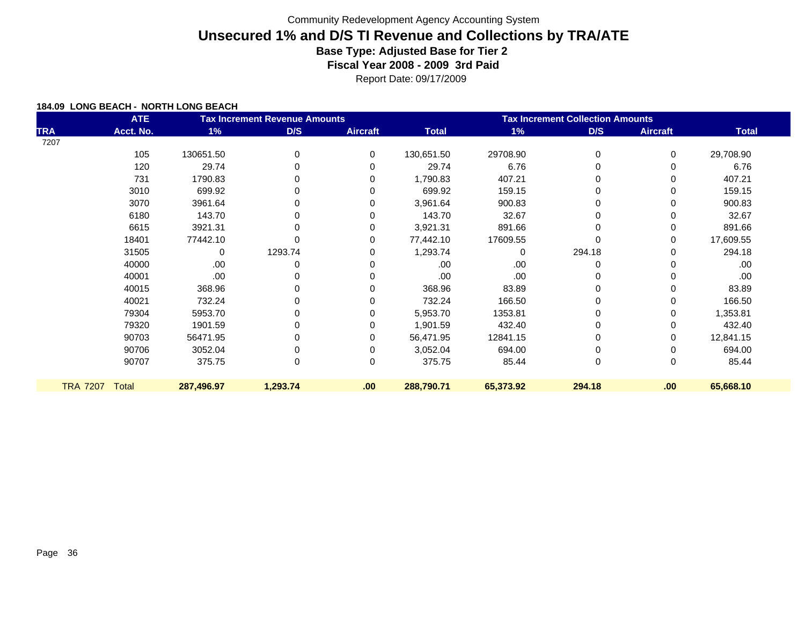Report Date: 09/17/2009

|                 | <b>ATE</b> |            | <b>Tax Increment Revenue Amounts</b> |                 | <b>Tax Increment Collection Amounts</b> |           |              |                 |              |
|-----------------|------------|------------|--------------------------------------|-----------------|-----------------------------------------|-----------|--------------|-----------------|--------------|
| <b>TRA</b>      | Acct. No.  | 1%         | D/S                                  | <b>Aircraft</b> | <b>Total</b>                            | 1%        | D/S          | <b>Aircraft</b> | <b>Total</b> |
| 7207            |            |            |                                      |                 |                                         |           |              |                 |              |
|                 | 105        | 130651.50  | 0                                    | $\Omega$        | 130,651.50                              | 29708.90  | 0            | 0               | 29,708.90    |
|                 | 120        | 29.74      | 0                                    |                 | 29.74                                   | 6.76      |              |                 | 6.76         |
|                 | 731        | 1790.83    |                                      |                 | 1,790.83                                | 407.21    |              |                 | 407.21       |
|                 | 3010       | 699.92     |                                      |                 | 699.92                                  | 159.15    |              |                 | 159.15       |
|                 | 3070       | 3961.64    |                                      |                 | 3,961.64                                | 900.83    |              |                 | 900.83       |
|                 | 6180       | 143.70     |                                      |                 | 143.70                                  | 32.67     |              |                 | 32.67        |
|                 | 6615       | 3921.31    |                                      |                 | 3,921.31                                | 891.66    |              | 0               | 891.66       |
|                 | 18401      | 77442.10   |                                      |                 | 77,442.10                               | 17609.55  |              | 0               | 17,609.55    |
|                 | 31505      | 0          | 1293.74                              | 0               | 1,293.74                                | 0         | 294.18       | 0               | 294.18       |
|                 | 40000      | .00        |                                      |                 | .00.                                    | .00       |              |                 | .00          |
|                 | 40001      | .00        |                                      |                 | .00.                                    | .00       |              |                 | .00          |
|                 | 40015      | 368.96     |                                      |                 | 368.96                                  | 83.89     |              |                 | 83.89        |
|                 | 40021      | 732.24     |                                      |                 | 732.24                                  | 166.50    |              | 0               | 166.50       |
|                 | 79304      | 5953.70    |                                      |                 | 5,953.70                                | 1353.81   |              | 0               | 1,353.81     |
|                 | 79320      | 1901.59    |                                      |                 | 1,901.59                                | 432.40    |              | 0               | 432.40       |
|                 | 90703      | 56471.95   |                                      |                 | 56,471.95                               | 12841.15  |              | 0               | 12,841.15    |
|                 | 90706      | 3052.04    |                                      | 0               | 3,052.04                                | 694.00    |              | 0               | 694.00       |
|                 | 90707      | 375.75     | $\Omega$                             | $\Omega$        | 375.75                                  | 85.44     | $\mathbf{0}$ | 0               | 85.44        |
|                 |            |            |                                      |                 |                                         |           |              |                 |              |
| <b>TRA 7207</b> | Total      | 287,496.97 | 1,293.74                             | .00             | 288,790.71                              | 65,373.92 | 294.18       | .00             | 65,668.10    |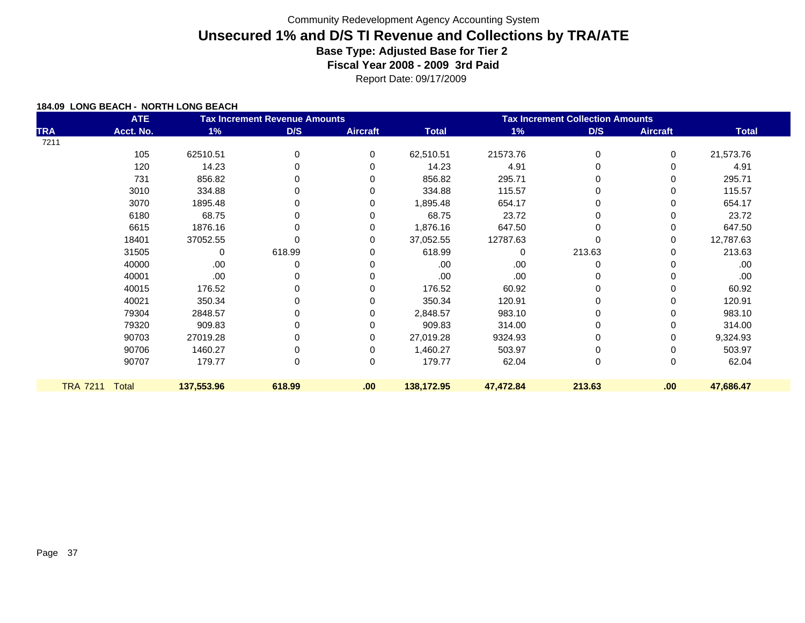Report Date: 09/17/2009

|                 | <b>ATE</b> |            | <b>Tax Increment Revenue Amounts</b> |                 | <b>Tax Increment Collection Amounts</b> |           |          |                 |              |
|-----------------|------------|------------|--------------------------------------|-----------------|-----------------------------------------|-----------|----------|-----------------|--------------|
| <b>TRA</b>      | Acct. No.  | 1%         | D/S                                  | <b>Aircraft</b> | <b>Total</b>                            | $1\%$     | D/S      | <b>Aircraft</b> | <b>Total</b> |
| 7211            |            |            |                                      |                 |                                         |           |          |                 |              |
|                 | 105        | 62510.51   | 0                                    | $\Omega$        | 62,510.51                               | 21573.76  | 0        | 0               | 21,573.76    |
|                 | 120        | 14.23      | O                                    |                 | 14.23                                   | 4.91      |          | 0               | 4.91         |
|                 | 731        | 856.82     |                                      |                 | 856.82                                  | 295.71    |          | 0               | 295.71       |
|                 | 3010       | 334.88     |                                      | 0               | 334.88                                  | 115.57    |          | 0               | 115.57       |
|                 | 3070       | 1895.48    |                                      | O               | 1,895.48                                | 654.17    |          | 0               | 654.17       |
|                 | 6180       | 68.75      |                                      |                 | 68.75                                   | 23.72     |          |                 | 23.72        |
|                 | 6615       | 1876.16    |                                      |                 | 1,876.16                                | 647.50    |          | 0               | 647.50       |
|                 | 18401      | 37052.55   |                                      |                 | 37,052.55                               | 12787.63  |          | 0               | 12,787.63    |
|                 | 31505      | 0          | 618.99                               | U               | 618.99                                  | 0         | 213.63   | 0               | 213.63       |
|                 | 40000      | .00        | 0                                    |                 | .00                                     | .00       | 0        |                 | .00.         |
|                 | 40001      | .00        |                                      |                 | .00                                     | .00       |          | 0               | .00          |
|                 | 40015      | 176.52     |                                      |                 | 176.52                                  | 60.92     |          | 0               | 60.92        |
|                 | 40021      | 350.34     |                                      |                 | 350.34                                  | 120.91    |          | 0               | 120.91       |
|                 | 79304      | 2848.57    | ŋ                                    |                 | 2,848.57                                | 983.10    |          | 0               | 983.10       |
|                 | 79320      | 909.83     |                                      |                 | 909.83                                  | 314.00    |          | 0               | 314.00       |
|                 | 90703      | 27019.28   |                                      | 0               | 27,019.28                               | 9324.93   |          | 0               | 9,324.93     |
|                 | 90706      | 1460.27    |                                      | 0               | 1,460.27                                | 503.97    |          | 0               | 503.97       |
|                 | 90707      | 179.77     | 0                                    | $\Omega$        | 179.77                                  | 62.04     | $\Omega$ | 0               | 62.04        |
|                 |            |            |                                      |                 |                                         |           |          |                 |              |
| <b>TRA 7211</b> | Total      | 137,553.96 | 618.99                               | .00             | 138,172.95                              | 47,472.84 | 213.63   | .00             | 47,686.47    |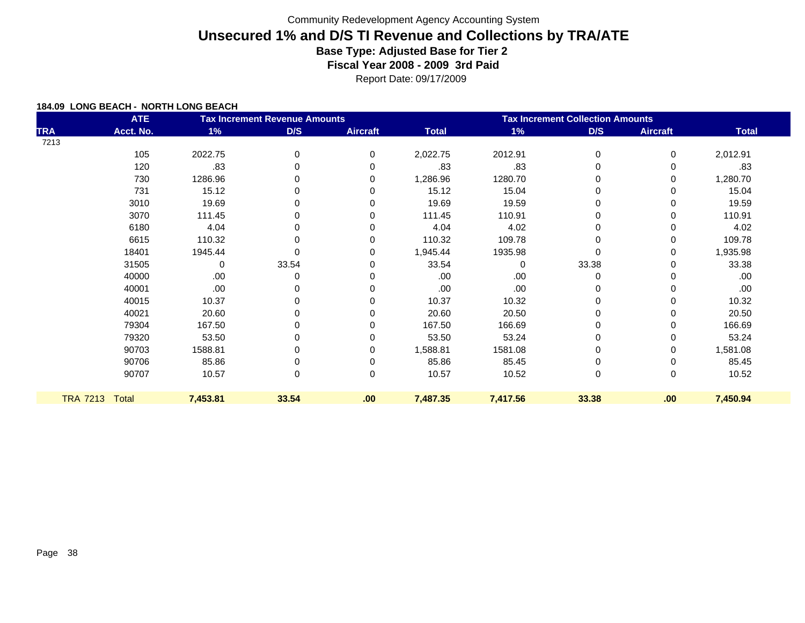Report Date: 09/17/2009

|            | <b>ATE</b>     |          | <b>Tax Increment Revenue Amounts</b> | <b>Tax Increment Collection Amounts</b> |              |          |             |                 |              |  |
|------------|----------------|----------|--------------------------------------|-----------------------------------------|--------------|----------|-------------|-----------------|--------------|--|
| <b>TRA</b> | Acct. No.      | 1%       | D/S                                  | <b>Aircraft</b>                         | <b>Total</b> | 1%       | D/S         | <b>Aircraft</b> | <b>Total</b> |  |
| 7213       |                |          |                                      |                                         |              |          |             |                 |              |  |
|            | 105            | 2022.75  | 0                                    | 0                                       | 2,022.75     | 2012.91  | 0           | 0               | 2,012.91     |  |
|            | 120            | .83      |                                      | 0                                       | .83          | .83      |             | 0               | .83          |  |
|            | 730            | 1286.96  |                                      | 0                                       | 1,286.96     | 1280.70  | 0           | 0               | 1,280.70     |  |
|            | 731            | 15.12    |                                      | O                                       | 15.12        | 15.04    | 0           | 0               | 15.04        |  |
|            | 3010           | 19.69    | 0                                    | 0                                       | 19.69        | 19.59    | 0           | 0               | 19.59        |  |
|            | 3070           | 111.45   |                                      |                                         | 111.45       | 110.91   |             | 0               | 110.91       |  |
|            | 6180           | 4.04     | 0                                    |                                         | 4.04         | 4.02     | 0           | 0               | 4.02         |  |
|            | 6615           | 110.32   |                                      |                                         | 110.32       | 109.78   | 0           | 0               | 109.78       |  |
|            | 18401          | 1945.44  |                                      |                                         | 1,945.44     | 1935.98  | $\mathbf 0$ | 0               | 1,935.98     |  |
|            | 31505          | 0        | 33.54                                | 0                                       | 33.54        | $\Omega$ | 33.38       | 0               | 33.38        |  |
|            | 40000          | .00      |                                      |                                         | .00          | .00      |             | 0               | .00          |  |
|            | 40001          | .00      |                                      |                                         | .00          | .00      | 0           | 0               | .00          |  |
|            | 40015          | 10.37    |                                      |                                         | 10.37        | 10.32    | 0           | 0               | 10.32        |  |
|            | 40021          | 20.60    | 0                                    |                                         | 20.60        | 20.50    | 0           | 0               | 20.50        |  |
|            | 79304          | 167.50   |                                      |                                         | 167.50       | 166.69   | 0           | 0               | 166.69       |  |
|            | 79320          | 53.50    | 0                                    |                                         | 53.50        | 53.24    | 0           | 0               | 53.24        |  |
|            | 90703          | 1588.81  |                                      | 0                                       | 1,588.81     | 1581.08  | 0           | 0               | 1,581.08     |  |
|            | 90706          | 85.86    |                                      | 0                                       | 85.86        | 85.45    |             | 0               | 85.45        |  |
|            | 90707          | 10.57    | 0                                    | 0                                       | 10.57        | 10.52    | 0           | 0               | 10.52        |  |
|            | TRA 7213 Total | 7,453.81 | 33.54                                | .00                                     | 7,487.35     | 7,417.56 | 33.38       | .00             | 7,450.94     |  |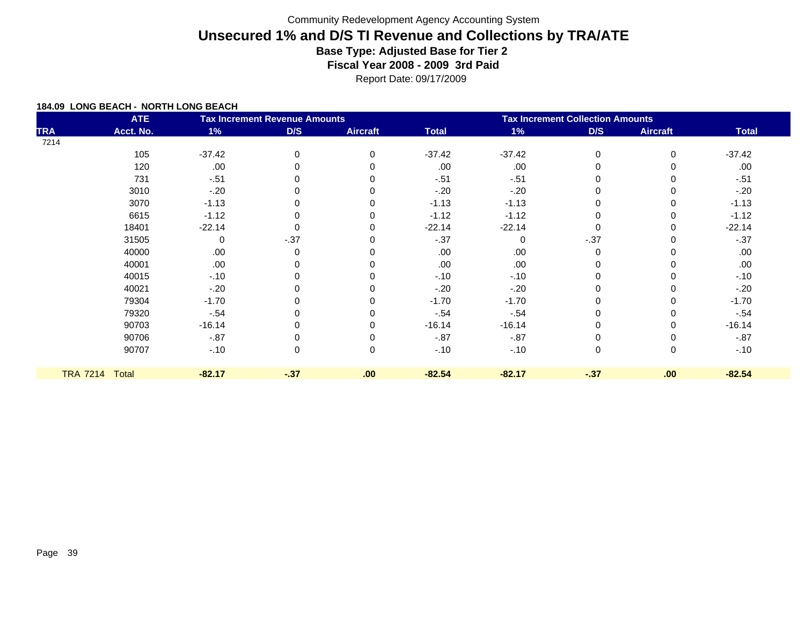Report Date: 09/17/2009

|            | <b>ATE</b>     |          | <b>Tax Increment Revenue Amounts</b> |                 | <b>Tax Increment Collection Amounts</b> |          |             |                 |              |
|------------|----------------|----------|--------------------------------------|-----------------|-----------------------------------------|----------|-------------|-----------------|--------------|
| <b>TRA</b> | Acct. No.      | 1%       | D/S                                  | <b>Aircraft</b> | <b>Total</b>                            | 1%       | D/S         | <b>Aircraft</b> | <b>Total</b> |
| 7214       |                |          |                                      |                 |                                         |          |             |                 |              |
|            | 105            | $-37.42$ | 0                                    | $\Omega$        | $-37.42$                                | $-37.42$ | 0           | $\Omega$        | $-37.42$     |
|            | 120            | .00      |                                      |                 | .00                                     | .00      | 0           |                 | .00          |
|            | 731            | $-.51$   |                                      |                 | $-51$                                   | $-.51$   | 0           |                 | $-.51$       |
|            | 3010           | $-20$    |                                      |                 | $-.20$                                  | $-20$    | 0           |                 | $-.20$       |
|            | 3070           | $-1.13$  |                                      | $\Omega$        | $-1.13$                                 | $-1.13$  | 0           |                 | $-1.13$      |
|            | 6615           | $-1.12$  |                                      |                 | $-1.12$                                 | $-1.12$  | 0           |                 | $-1.12$      |
|            | 18401          | $-22.14$ |                                      |                 | $-22.14$                                | $-22.14$ | 0           |                 | $-22.14$     |
|            | 31505          | 0        | $-.37$                               | $\Omega$        | $-.37$                                  | $\Omega$ | $-0.37$     |                 | $-37$        |
|            | 40000          | .00      | 0                                    |                 | .00                                     | .00      | 0           |                 | .00          |
|            | 40001          | .00      |                                      |                 | .00                                     | .00      | 0           |                 | .00          |
|            | 40015          | $-.10$   |                                      |                 | $-.10$                                  | $-.10$   | 0           |                 | $-.10$       |
|            | 40021          | $-.20$   |                                      |                 | $-.20$                                  | $-20$    | 0           |                 | $-20$        |
|            | 79304          | $-1.70$  |                                      |                 | $-1.70$                                 | $-1.70$  | 0           |                 | $-1.70$      |
|            | 79320          | $-.54$   |                                      |                 | $-.54$                                  | $-.54$   | $\mathbf 0$ |                 | $-.54$       |
|            | 90703          | $-16.14$ |                                      |                 | $-16.14$                                | $-16.14$ | 0           |                 | $-16.14$     |
|            | 90706          | $-87$    |                                      |                 | $-.87$                                  | $-0.87$  | 0           |                 | $-.87$       |
|            | 90707          | $-.10$   | 0                                    | 0               | $-.10$                                  | $-.10$   | $\mathbf 0$ | 0               | $-.10$       |
|            |                |          |                                      |                 |                                         |          |             |                 |              |
|            | TRA 7214 Total | $-82.17$ | $-37$                                | .00             | $-82.54$                                | $-82.17$ | $-37$       | .00             | $-82.54$     |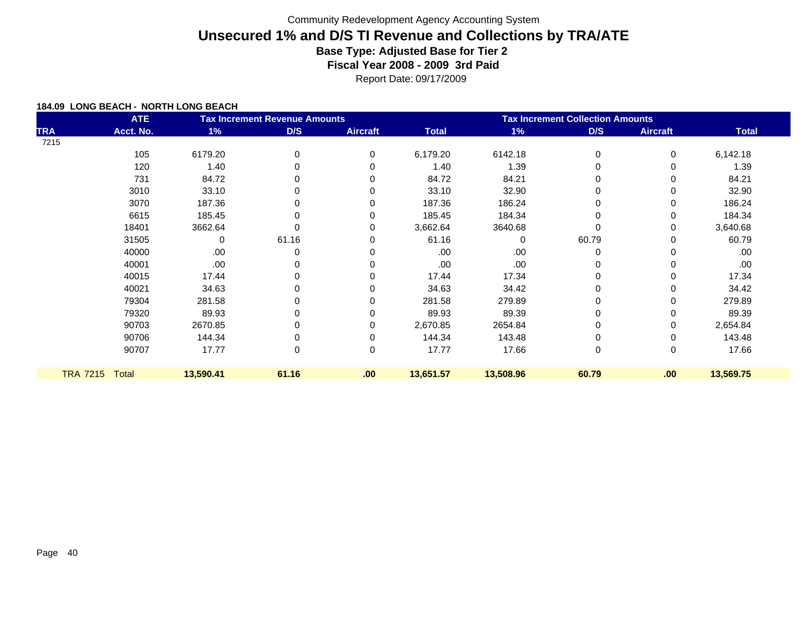Report Date: 09/17/2009

| <b>ATE</b><br><b>Tax Increment Revenue Amounts</b> |                |           |       |                  | <b>Tax Increment Collection Amounts</b> |           |       |                 |              |  |
|----------------------------------------------------|----------------|-----------|-------|------------------|-----------------------------------------|-----------|-------|-----------------|--------------|--|
| <b>TRA</b>                                         | Acct. No.      | 1%        | D/S   | <b>Aircraft</b>  | <b>Total</b>                            | $1\%$     | D/S   | <b>Aircraft</b> | <b>Total</b> |  |
| 7215                                               |                |           |       |                  |                                         |           |       |                 |              |  |
|                                                    | 105            | 6179.20   | 0     | 0                | 6,179.20                                | 6142.18   | 0     | 0               | 6,142.18     |  |
|                                                    | 120            | 1.40      | 0     | 0                | 1.40                                    | 1.39      |       | 0               | 1.39         |  |
|                                                    | 731            | 84.72     |       |                  | 84.72                                   | 84.21     |       |                 | 84.21        |  |
|                                                    | 3010           | 33.10     |       |                  | 33.10                                   | 32.90     |       | 0               | 32.90        |  |
|                                                    | 3070           | 187.36    |       |                  | 187.36                                  | 186.24    |       | 0               | 186.24       |  |
|                                                    | 6615           | 185.45    |       |                  | 185.45                                  | 184.34    |       | 0               | 184.34       |  |
|                                                    | 18401          | 3662.64   |       |                  | 3,662.64                                | 3640.68   |       | 0               | 3,640.68     |  |
|                                                    | 31505          | 0         | 61.16 | O                | 61.16                                   | 0         | 60.79 | 0               | 60.79        |  |
|                                                    | 40000          | .00       | 0     |                  | .00                                     | .00       | 0     |                 | .00          |  |
|                                                    | 40001          | .00       |       |                  | .00.                                    | .00       |       |                 | .00          |  |
|                                                    | 40015          | 17.44     | ŋ     |                  | 17.44                                   | 17.34     |       | 0               | 17.34        |  |
|                                                    | 40021          | 34.63     |       |                  | 34.63                                   | 34.42     |       | 0               | 34.42        |  |
|                                                    | 79304          | 281.58    |       |                  | 281.58                                  | 279.89    |       |                 | 279.89       |  |
|                                                    | 79320          | 89.93     | ŋ     |                  | 89.93                                   | 89.39     |       |                 | 89.39        |  |
|                                                    | 90703          | 2670.85   |       |                  | 2,670.85                                | 2654.84   |       | 0               | 2,654.84     |  |
|                                                    | 90706          | 144.34    |       | 0                | 144.34                                  | 143.48    |       | 0               | 143.48       |  |
|                                                    | 90707          | 17.77     | 0     | 0                | 17.77                                   | 17.66     | 0     | 0               | 17.66        |  |
|                                                    |                |           |       |                  |                                         |           |       |                 |              |  |
|                                                    | TRA 7215 Total | 13,590.41 | 61.16 | .00 <sub>1</sub> | 13,651.57                               | 13,508.96 | 60.79 | .00             | 13,569.75    |  |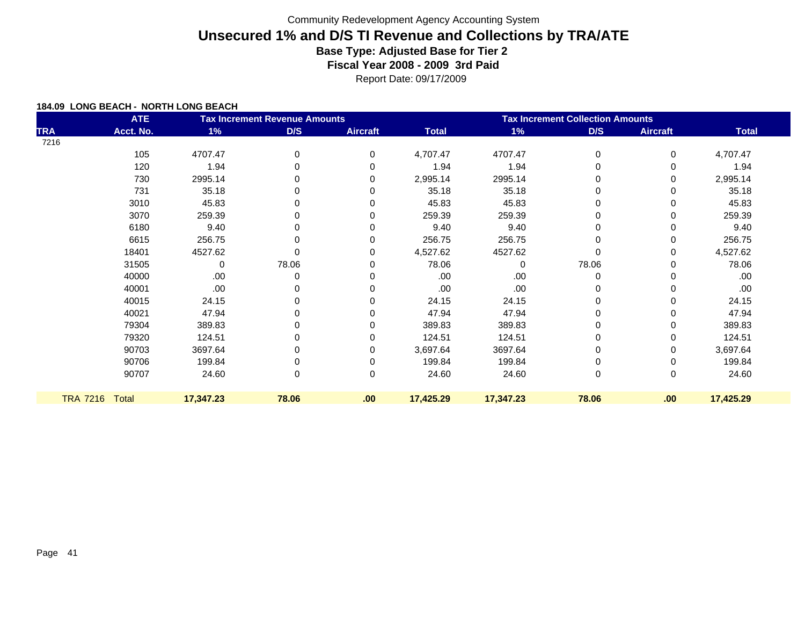Report Date: 09/17/2009

|            | <b>ATE</b>     |           | <b>Tax Increment Revenue Amounts</b> |                 | <b>Tax Increment Collection Amounts</b> |           |       |                 |              |  |
|------------|----------------|-----------|--------------------------------------|-----------------|-----------------------------------------|-----------|-------|-----------------|--------------|--|
| <b>TRA</b> | Acct. No.      | 1%        | D/S                                  | <b>Aircraft</b> | <b>Total</b>                            | 1%        | D/S   | <b>Aircraft</b> | <b>Total</b> |  |
| 7216       |                |           |                                      |                 |                                         |           |       |                 |              |  |
|            | 105            | 4707.47   | $\Omega$                             | 0               | 4,707.47                                | 4707.47   | 0     | 0               | 4,707.47     |  |
|            | 120            | 1.94      | O                                    | $\Omega$        | 1.94                                    | 1.94      | 0     | 0               | 1.94         |  |
|            | 730            | 2995.14   | ŋ                                    | 0               | 2,995.14                                | 2995.14   | 0     | 0               | 2,995.14     |  |
|            | 731            | 35.18     | O                                    | $\Omega$        | 35.18                                   | 35.18     | 0     | 0               | 35.18        |  |
|            | 3010           | 45.83     | 0                                    | 0               | 45.83                                   | 45.83     | 0     | 0               | 45.83        |  |
|            | 3070           | 259.39    |                                      |                 | 259.39                                  | 259.39    | 0     | 0               | 259.39       |  |
|            | 6180           | 9.40      | 0                                    |                 | 9.40                                    | 9.40      | 0     | 0               | 9.40         |  |
|            | 6615           | 256.75    |                                      | 0               | 256.75                                  | 256.75    | 0     | 0               | 256.75       |  |
|            | 18401          | 4527.62   |                                      | 0               | 4,527.62                                | 4527.62   | 0     | 0               | 4,527.62     |  |
|            | 31505          | 0         | 78.06                                | 0               | 78.06                                   | $\Omega$  | 78.06 | 0               | 78.06        |  |
|            | 40000          | .00       | 0                                    |                 | .00                                     | .00       | 0     | 0               | .00          |  |
|            | 40001          | .00       | 0                                    | 0               | .00                                     | .00       | 0     | 0               | .00          |  |
|            | 40015          | 24.15     | O                                    | 0               | 24.15                                   | 24.15     | 0     | 0               | 24.15        |  |
|            | 40021          | 47.94     | 0                                    |                 | 47.94                                   | 47.94     | 0     | 0               | 47.94        |  |
|            | 79304          | 389.83    | O                                    |                 | 389.83                                  | 389.83    | 0     | 0               | 389.83       |  |
|            | 79320          | 124.51    | 0                                    | 0               | 124.51                                  | 124.51    | 0     | 0               | 124.51       |  |
|            | 90703          | 3697.64   |                                      | 0               | 3,697.64                                | 3697.64   | 0     | 0               | 3,697.64     |  |
|            | 90706          | 199.84    |                                      | 0               | 199.84                                  | 199.84    | 0     | 0               | 199.84       |  |
|            | 90707          | 24.60     | 0                                    | 0               | 24.60                                   | 24.60     | 0     | 0               | 24.60        |  |
|            | TRA 7216 Total | 17,347.23 | 78.06                                | .00             | 17,425.29                               | 17,347.23 | 78.06 | .00             | 17,425.29    |  |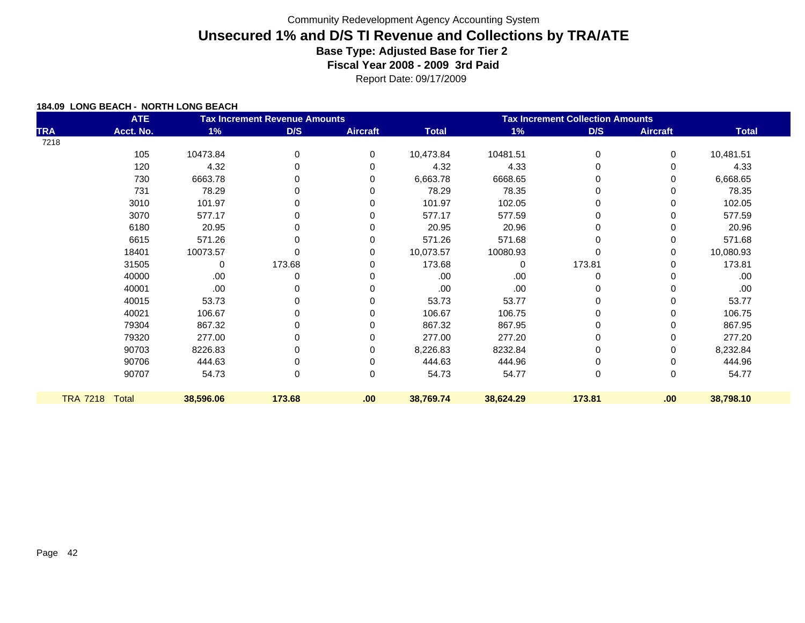Report Date: 09/17/2009

| <b>ATE</b><br><b>Tax Increment Revenue Amounts</b> |                |             |        |                 | <b>Tax Increment Collection Amounts</b> |           |          |                 |              |  |
|----------------------------------------------------|----------------|-------------|--------|-----------------|-----------------------------------------|-----------|----------|-----------------|--------------|--|
| <b>TRA</b>                                         | Acct. No.      | 1%          | D/S    | <b>Aircraft</b> | <b>Total</b>                            | 1%        | D/S      | <b>Aircraft</b> | <b>Total</b> |  |
| 7218                                               |                |             |        |                 |                                         |           |          |                 |              |  |
|                                                    | 105            | 10473.84    | 0      | 0               | 10,473.84                               | 10481.51  | $\Omega$ | 0               | 10,481.51    |  |
|                                                    | 120            | 4.32        | 0      | $\Omega$        | 4.32                                    | 4.33      | 0        | 0               | 4.33         |  |
|                                                    | 730            | 6663.78     | 0      | 0               | 6,663.78                                | 6668.65   | 0        | 0               | 6,668.65     |  |
|                                                    | 731            | 78.29       | 0      | $\Omega$        | 78.29                                   | 78.35     | 0        | 0               | 78.35        |  |
|                                                    | 3010           | 101.97      | 0      | 0               | 101.97                                  | 102.05    | $\Omega$ | 0               | 102.05       |  |
|                                                    | 3070           | 577.17      | 0      | 0               | 577.17                                  | 577.59    |          | 0               | 577.59       |  |
|                                                    | 6180           | 20.95       | 0      | 0               | 20.95                                   | 20.96     | 0        | 0               | 20.96        |  |
|                                                    | 6615           | 571.26      |        | 0               | 571.26                                  | 571.68    | 0        | 0               | 571.68       |  |
|                                                    | 18401          | 10073.57    |        | $\Omega$        | 10,073.57                               | 10080.93  | 0        | 0               | 10,080.93    |  |
|                                                    | 31505          | $\mathbf 0$ | 173.68 | $\Omega$        | 173.68                                  | $\Omega$  | 173.81   | 0               | 173.81       |  |
|                                                    | 40000          | .00         | 0      | 0               | .00                                     | .00       | 0        | 0               | .00.         |  |
|                                                    | 40001          | .00         | 0      | $\Omega$        | .00                                     | .00       | 0        | 0               | .00.         |  |
|                                                    | 40015          | 53.73       | 0      | $\Omega$        | 53.73                                   | 53.77     | $\Omega$ | 0               | 53.77        |  |
|                                                    | 40021          | 106.67      | 0      | 0               | 106.67                                  | 106.75    | 0        | 0               | 106.75       |  |
|                                                    | 79304          | 867.32      | 0      | 0               | 867.32                                  | 867.95    |          | 0               | 867.95       |  |
|                                                    | 79320          | 277.00      | 0      | 0               | 277.00                                  | 277.20    | 0        | 0               | 277.20       |  |
|                                                    | 90703          | 8226.83     |        | 0               | 8,226.83                                | 8232.84   | 0        | 0               | 8,232.84     |  |
|                                                    | 90706          | 444.63      |        | 0               | 444.63                                  | 444.96    | 0        | 0               | 444.96       |  |
|                                                    | 90707          | 54.73       | 0      | 0               | 54.73                                   | 54.77     | 0        | 0               | 54.77        |  |
|                                                    | TRA 7218 Total | 38,596.06   | 173.68 | .00             | 38,769.74                               | 38,624.29 | 173.81   | .00.            | 38,798.10    |  |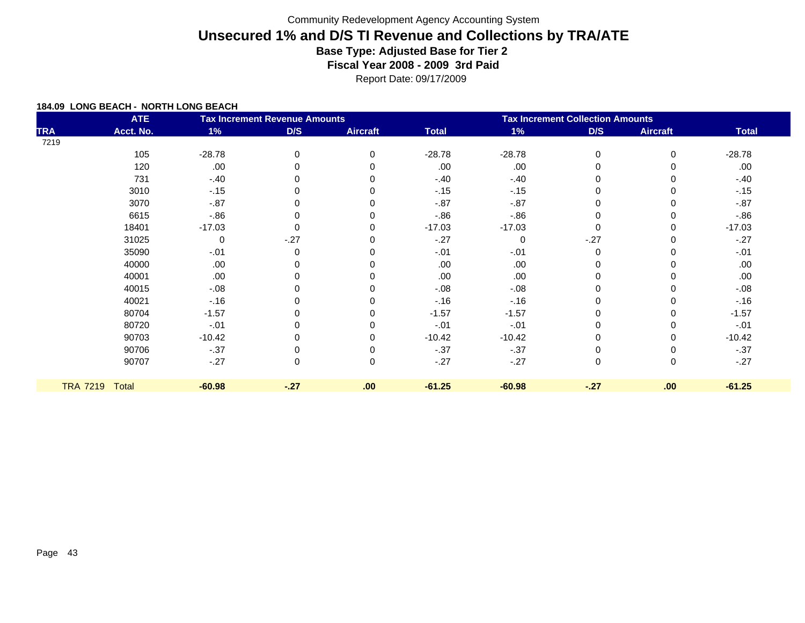Report Date: 09/17/2009

|            | <b>ATE</b>     |             | <b>Tax Increment Revenue Amounts</b> |                 | <b>Tax Increment Collection Amounts</b> |             |             |                 |              |  |
|------------|----------------|-------------|--------------------------------------|-----------------|-----------------------------------------|-------------|-------------|-----------------|--------------|--|
| <b>TRA</b> | Acct. No.      | $1\%$       | D/S                                  | <b>Aircraft</b> | <b>Total</b>                            | $1\%$       | D/S         | <b>Aircraft</b> | <b>Total</b> |  |
| 7219       |                |             |                                      |                 |                                         |             |             |                 |              |  |
|            | 105            | $-28.78$    | 0                                    | $\Omega$        | $-28.78$                                | $-28.78$    | $\mathbf 0$ | $\Omega$        | $-28.78$     |  |
|            | 120            | .00         |                                      |                 | .00                                     | .00         | 0           |                 | .00.         |  |
|            | 731            | $-.40$      |                                      |                 | $-.40$                                  | $-.40$      | 0           |                 | $-.40$       |  |
|            | 3010           | $-15$       |                                      |                 | $-.15$                                  | $-15$       | 0           |                 | $-15$        |  |
|            | 3070           | $-.87$      |                                      |                 | $-.87$                                  | $-.87$      | 0           |                 | $-.87$       |  |
|            | 6615           | $-0.86$     |                                      |                 | $-0.86$                                 | $-0.86$     | 0           |                 | $-0.86$      |  |
|            | 18401          | $-17.03$    |                                      |                 | $-17.03$                                | $-17.03$    | 0           |                 | $-17.03$     |  |
|            | 31025          | $\mathbf 0$ | $-27$                                |                 | $-.27$                                  | $\mathbf 0$ | $-27$       |                 | $-.27$       |  |
|            | 35090          | $-.01$      | $\Omega$                             |                 | $-.01$                                  | $-.01$      | $\mathbf 0$ |                 | $-.01$       |  |
|            | 40000          | .00         |                                      |                 | .00                                     | .00         | 0           |                 | .00.         |  |
|            | 40001          | .00         |                                      |                 | .00                                     | .00         | 0           |                 | .00          |  |
|            | 40015          | $-.08$      |                                      |                 | $-.08$                                  | $-0.08$     | 0           |                 | $-0.08$      |  |
|            | 40021          | $-16$       |                                      |                 | $-16$                                   | $-.16$      | 0           |                 | $-16$        |  |
|            | 80704          | $-1.57$     |                                      |                 | $-1.57$                                 | $-1.57$     | 0           |                 | $-1.57$      |  |
|            | 80720          | $-.01$      |                                      |                 | $-.01$                                  | $-.01$      | 0           |                 | $-.01$       |  |
|            | 90703          | $-10.42$    |                                      |                 | $-10.42$                                | $-10.42$    | 0           |                 | $-10.42$     |  |
|            | 90706          | $-37$       |                                      |                 | $-.37$                                  | $-.37$      | 0           |                 | $-37$        |  |
|            | 90707          | $-27$       | 0                                    | $\Omega$        | $-27$                                   | $-27$       | 0           | $\Omega$        | $-27$        |  |
|            |                |             |                                      |                 |                                         |             |             |                 |              |  |
|            | TRA 7219 Total | $-60.98$    | $-27$                                | .00             | $-61.25$                                | $-60.98$    | $-27$       | .00             | $-61.25$     |  |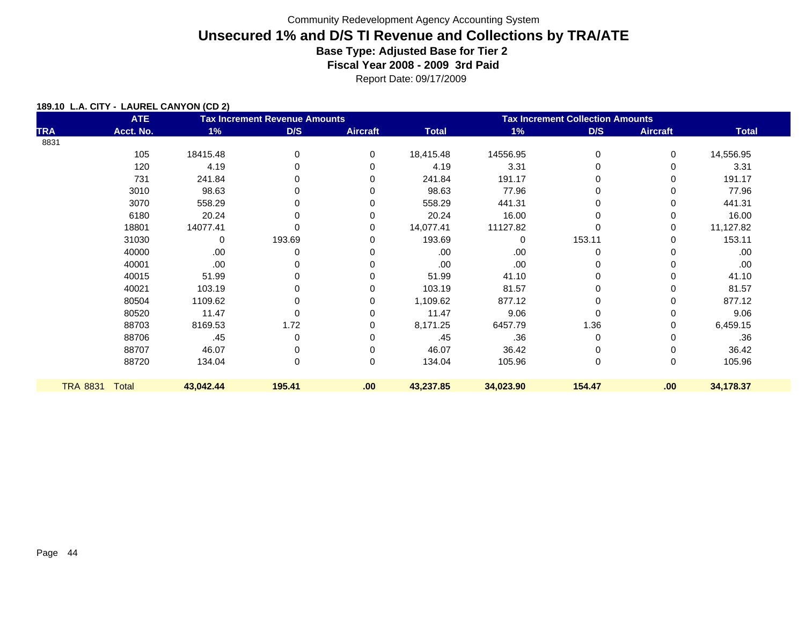Report Date: 09/17/2009

#### **189.10 L.A. CITY - LAUREL CANYON (CD 2)**

| <b>ATE</b>               |           |        |                 | <b>Tax Increment Collection Amounts</b> |           |             |                 |              |
|--------------------------|-----------|--------|-----------------|-----------------------------------------|-----------|-------------|-----------------|--------------|
| Acct. No.                | 1%        | D/S    | <b>Aircraft</b> | <b>Total</b>                            | 1%        | D/S         | <b>Aircraft</b> | <b>Total</b> |
|                          |           |        |                 |                                         |           |             |                 |              |
| 105                      | 18415.48  | 0      | 0               | 18,415.48                               | 14556.95  | 0           | 0               | 14,556.95    |
| 120                      | 4.19      | 0      | $\Omega$        | 4.19                                    | 3.31      | 0           | 0               | 3.31         |
| 731                      | 241.84    | 0      | 0               | 241.84                                  | 191.17    |             | 0               | 191.17       |
| 3010                     | 98.63     |        | 0               | 98.63                                   | 77.96     |             | 0               | 77.96        |
| 3070                     | 558.29    | 0      | 0               | 558.29                                  | 441.31    |             | 0               | 441.31       |
| 6180                     | 20.24     | 0      | $\Omega$        | 20.24                                   | 16.00     | 0           | 0               | 16.00        |
| 18801                    | 14077.41  | 0      | 0               | 14,077.41                               | 11127.82  |             | 0               | 11,127.82    |
| 31030                    | 0         | 193.69 | $\Omega$        | 193.69                                  | $\Omega$  | 153.11      | 0               | 153.11       |
| 40000                    | .00.      | 0      | 0               | .00                                     | .00       | 0           | 0               | .00          |
| 40001                    | .00.      | 0      | 0               | .00                                     | .00       |             | 0               | .00          |
| 40015                    | 51.99     | 0      | 0               | 51.99                                   | 41.10     |             | 0               | 41.10        |
| 40021                    | 103.19    |        | 0               | 103.19                                  | 81.57     |             | 0               | 81.57        |
| 80504                    | 1109.62   | 0      | $\Omega$        | 1,109.62                                | 877.12    | 0           | 0               | 877.12       |
| 80520                    | 11.47     | 0      | $\Omega$        | 11.47                                   | 9.06      | $\Omega$    | 0               | 9.06         |
| 88703                    | 8169.53   | 1.72   | 0               | 8,171.25                                | 6457.79   | 1.36        | 0               | 6,459.15     |
| 88706                    | .45       | 0      | 0               | .45                                     | .36       | 0           | 0               | .36          |
| 88707                    | 46.07     | 0      | $\Omega$        | 46.07                                   | 36.42     | 0           | 0               | 36.42        |
| 88720                    | 134.04    | 0      | $\mathbf 0$     |                                         |           | $\mathbf 0$ | 0               | 105.96       |
|                          |           |        |                 |                                         |           |             |                 |              |
| <b>TRA 8831</b><br>Total | 43,042.44 | 195.41 | .00             | 43,237.85                               | 34,023.90 | 154.47      | .00             | 34,178.37    |
|                          |           |        |                 | <b>Tax Increment Revenue Amounts</b>    | 134.04    | 105.96      |                 |              |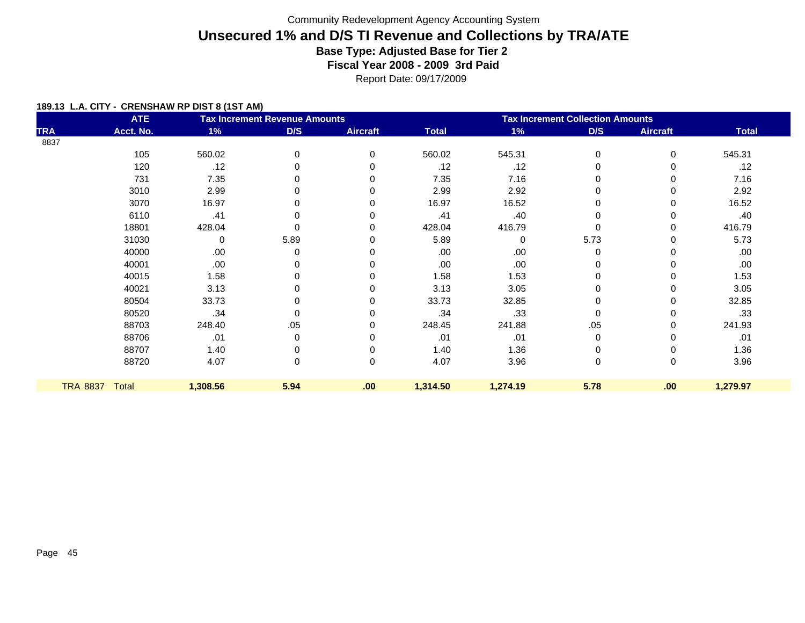Report Date: 09/17/2009

| <b>ATE</b><br><b>Tax Increment Revenue Amounts</b> |           |          |      |                 | <b>Tax Increment Collection Amounts</b> |          |             |                 |              |  |  |
|----------------------------------------------------|-----------|----------|------|-----------------|-----------------------------------------|----------|-------------|-----------------|--------------|--|--|
| <b>TRA</b>                                         | Acct. No. | $1\%$    | D/S  | <b>Aircraft</b> | <b>Total</b>                            | $1\%$    | D/S         | <b>Aircraft</b> | <b>Total</b> |  |  |
| 8837                                               |           |          |      |                 |                                         |          |             |                 |              |  |  |
|                                                    | 105       | 560.02   | 0    | $\Omega$        | 560.02                                  | 545.31   | $\mathbf 0$ | $\Omega$        | 545.31       |  |  |
|                                                    | 120       | .12      | 0    |                 | .12                                     | .12      | 0           |                 | .12          |  |  |
|                                                    | 731       | 7.35     | 0    |                 | 7.35                                    | 7.16     | 0           |                 | 7.16         |  |  |
|                                                    | 3010      | 2.99     | 0    |                 | 2.99                                    | 2.92     | 0           |                 | 2.92         |  |  |
|                                                    | 3070      | 16.97    | 0    |                 | 16.97                                   | 16.52    | 0           |                 | 16.52        |  |  |
|                                                    | 6110      | .41      | 0    |                 | .41                                     | .40      | 0           |                 | .40          |  |  |
|                                                    | 18801     | 428.04   | 0    |                 | 428.04                                  | 416.79   | 0           |                 | 416.79       |  |  |
|                                                    | 31030     | 0        | 5.89 |                 | 5.89                                    | 0        | 5.73        |                 | 5.73         |  |  |
|                                                    | 40000     | .00      | 0    |                 | .00                                     | .00      | 0           |                 | .00          |  |  |
|                                                    | 40001     | .00      | 0    |                 | .00.                                    | .00.     | 0           |                 | .00          |  |  |
|                                                    | 40015     | 1.58     | 0    |                 | 1.58                                    | 1.53     | 0           |                 | 1.53         |  |  |
|                                                    | 40021     | 3.13     |      |                 | 3.13                                    | 3.05     | 0           |                 | 3.05         |  |  |
|                                                    | 80504     | 33.73    | 0    |                 | 33.73                                   | 32.85    | 0           |                 | 32.85        |  |  |
|                                                    | 80520     | .34      | 0    |                 | .34                                     | .33      | 0           |                 | .33          |  |  |
|                                                    | 88703     | 248.40   | .05  |                 | 248.45                                  | 241.88   | .05         | 0               | 241.93       |  |  |
|                                                    | 88706     | .01      | 0    |                 | .01                                     | .01      | 0           |                 | .01          |  |  |
|                                                    | 88707     | 1.40     | 0    |                 | 1.40                                    | 1.36     | 0           | 0               | 1.36         |  |  |
|                                                    | 88720     | 4.07     | 0    | $\Omega$        | 4.07                                    | 3.96     | 0           | $\Omega$        | 3.96         |  |  |
|                                                    |           |          |      |                 |                                         |          |             |                 |              |  |  |
| <b>TRA 8837</b>                                    | Total     | 1,308.56 | 5.94 | .00             | 1,314.50                                | 1,274.19 | 5.78        | .00             | 1,279.97     |  |  |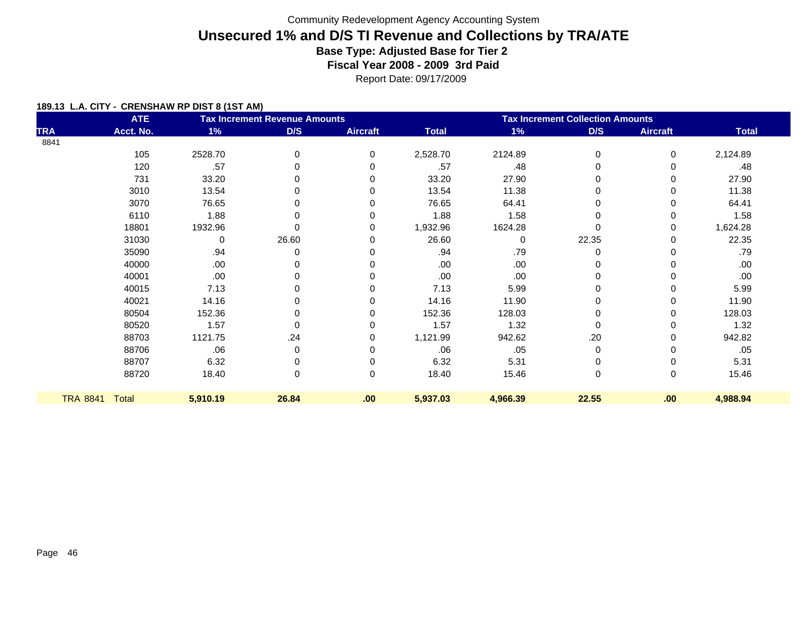Report Date: 09/17/2009

|                 | <b>ATE</b>   |          | <b>Tax Increment Revenue Amounts</b> |                 | <b>Tax Increment Collection Amounts</b> |             |          |                 |              |
|-----------------|--------------|----------|--------------------------------------|-----------------|-----------------------------------------|-------------|----------|-----------------|--------------|
| <b>TRA</b>      | Acct. No.    | 1%       | D/S                                  | <b>Aircraft</b> | <b>Total</b>                            | 1%          | D/S      | <b>Aircraft</b> | <b>Total</b> |
| 8841            |              |          |                                      |                 |                                         |             |          |                 |              |
|                 | 105          | 2528.70  | $\Omega$                             | $\Omega$        | 2,528.70                                | 2124.89     | $\Omega$ | $\Omega$        | 2,124.89     |
|                 | 120          | .57      |                                      | 0               | .57                                     | .48         |          | $\Omega$        | .48          |
|                 | 731          | 33.20    |                                      | 0               | 33.20                                   | 27.90       | 0        | 0               | 27.90        |
|                 | 3010         | 13.54    |                                      |                 | 13.54                                   | 11.38       |          | 0               | 11.38        |
|                 | 3070         | 76.65    |                                      |                 | 76.65                                   | 64.41       |          | 0               | 64.41        |
|                 | 6110         | 1.88     |                                      |                 | 1.88                                    | 1.58        |          |                 | 1.58         |
|                 | 18801        | 1932.96  |                                      | 0               | 1,932.96                                | 1624.28     |          | 0               | 1,624.28     |
|                 | 31030        | 0        | 26.60                                | 0               | 26.60                                   | $\mathbf 0$ | 22.35    | 0               | 22.35        |
|                 | 35090        | .94      |                                      |                 | .94                                     | .79         |          |                 | .79          |
|                 | 40000        | .00      |                                      |                 | .00                                     | .00         |          |                 | .00          |
|                 | 40001        | .00      |                                      |                 | .00                                     | .00         |          |                 | .00          |
|                 | 40015        | 7.13     | 0                                    | O               | 7.13                                    | 5.99        | 0        | 0               | 5.99         |
|                 | 40021        | 14.16    |                                      | O               | 14.16                                   | 11.90       |          | 0               | 11.90        |
|                 | 80504        | 152.36   | 0                                    | 0               | 152.36                                  | 128.03      | 0        | 0               | 128.03       |
|                 | 80520        | 1.57     | 0                                    | 0               | 1.57                                    | 1.32        | 0        | 0               | 1.32         |
|                 | 88703        | 1121.75  | .24                                  | 0               | 1,121.99                                | 942.62      | .20      | 0               | 942.82       |
|                 | 88706        | .06      | 0                                    | 0               | .06                                     | .05         | 0        |                 | .05          |
|                 | 88707        | 6.32     |                                      |                 | 6.32                                    | 5.31        |          |                 | 5.31         |
|                 | 88720        | 18.40    | 0                                    | 0               | 18.40                                   | 15.46       | 0        | 0               | 15.46        |
| <b>TRA 8841</b> | <b>Total</b> | 5,910.19 | 26.84                                | .00             | 5,937.03                                | 4,966.39    | 22.55    | .00             | 4,988.94     |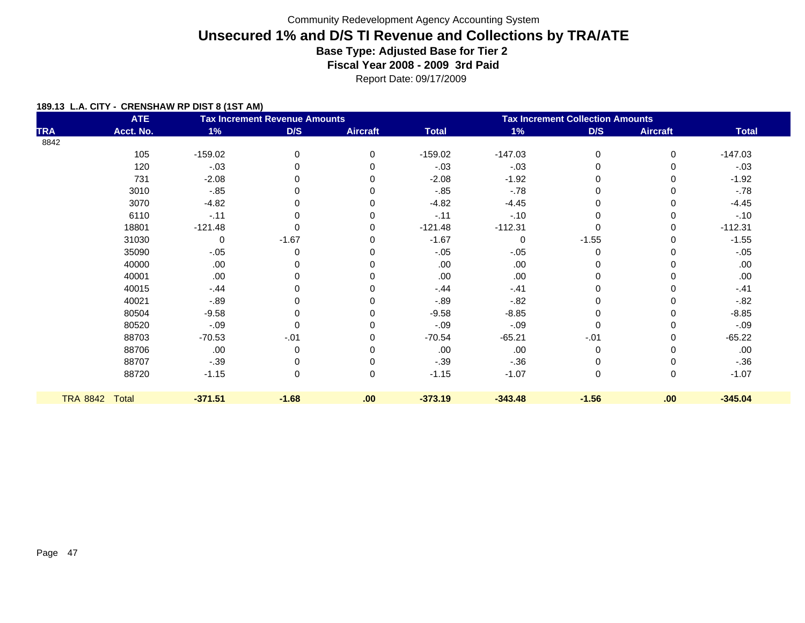Report Date: 09/17/2009

|            | <b>ATE</b>     |             | <b>Tax Increment Revenue Amounts</b> |                 | <b>Tax Increment Collection Amounts</b> |             |             |                 |              |
|------------|----------------|-------------|--------------------------------------|-----------------|-----------------------------------------|-------------|-------------|-----------------|--------------|
| <b>TRA</b> | Acct. No.      | 1%          | D/S                                  | <b>Aircraft</b> | <b>Total</b>                            | $1\%$       | D/S         | <b>Aircraft</b> | <b>Total</b> |
| 8842       |                |             |                                      |                 |                                         |             |             |                 |              |
|            | 105            | $-159.02$   | 0                                    | 0               | $-159.02$                               | $-147.03$   | 0           | 0               | $-147.03$    |
|            | 120            | $-.03$      |                                      |                 | $-.03$                                  | $-.03$      |             | 0               | $-.03$       |
|            | 731            | $-2.08$     |                                      | 0               | $-2.08$                                 | $-1.92$     | 0           | 0               | $-1.92$      |
|            | 3010           | $-.85$      |                                      |                 | $-85$                                   | $-78$       | $\Omega$    | 0               | $-.78$       |
|            | 3070           | $-4.82$     |                                      | 0               | $-4.82$                                 | $-4.45$     | $\Omega$    | 0               | $-4.45$      |
|            | 6110           | $-.11$      |                                      | 0               | $-.11$                                  | $-.10$      |             | $\Omega$        | $-.10$       |
|            | 18801          | $-121.48$   |                                      | 0               | $-121.48$                               | $-112.31$   |             | 0               | $-112.31$    |
|            | 31030          | $\mathbf 0$ | $-1.67$                              | 0               | $-1.67$                                 | $\mathbf 0$ | $-1.55$     | 0               | $-1.55$      |
|            | 35090          | $-.05$      | 0                                    |                 | $-.05$                                  | $-.05$      | 0           | 0               | $-.05$       |
|            | 40000          | .00         |                                      |                 | .00                                     | .00         |             |                 | .00.         |
|            | 40001          | .00         |                                      |                 | .00                                     | .00         |             |                 | .00.         |
|            | 40015          | $-.44$      |                                      |                 | $-.44$                                  | $-.41$      | $\Omega$    | 0               | $-.41$       |
|            | 40021          | $-0.89$     |                                      |                 | $-89$                                   | $-0.82$     |             |                 | $-82$        |
|            | 80504          | $-9.58$     | 0                                    |                 | $-9.58$                                 | $-8.85$     | $\Omega$    | ი               | $-8.85$      |
|            | 80520          | $-.09$      | $\Omega$                             |                 | $-.09$                                  | $-.09$      |             | 0               | $-0.09$      |
|            | 88703          | $-70.53$    | $-.01$                               | 0               | $-70.54$                                | $-65.21$    | $-.01$      | 0               | $-65.22$     |
|            | 88706          | .00         | 0                                    | 0               | .00                                     | .00         | $\mathbf 0$ | 0               | .00          |
|            | 88707          | $-.39$      |                                      |                 | $-.39$                                  | $-.36$      |             |                 | $-.36$       |
|            | 88720          | $-1.15$     | 0                                    | 0               | $-1.15$                                 | $-1.07$     | 0           | 0               | $-1.07$      |
|            | TRA 8842 Total | $-371.51$   | $-1.68$                              | .00             | $-373.19$                               | $-343.48$   | $-1.56$     | .00             | $-345.04$    |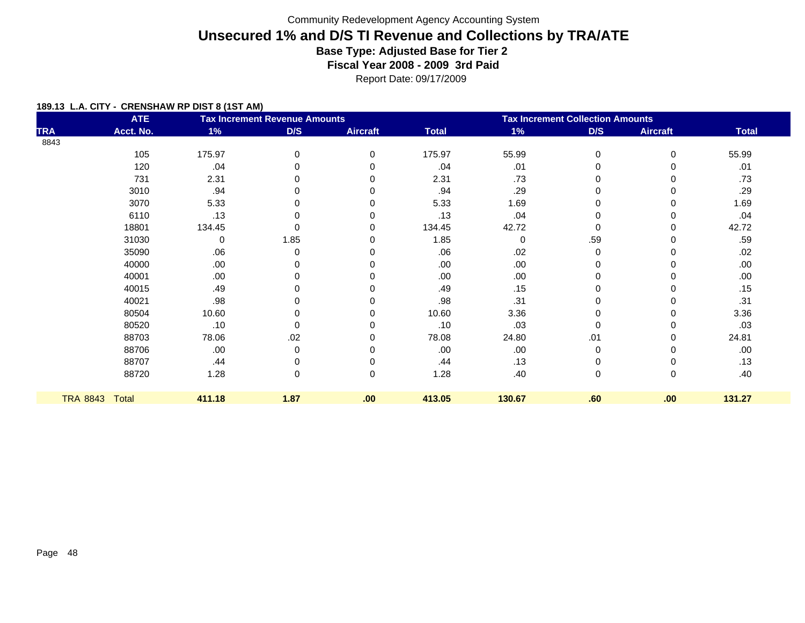Report Date: 09/17/2009

|                 | <b>ATE</b>   |        | <b>Tax Increment Revenue Amounts</b> |                 | <b>Tax Increment Collection Amounts</b> |        |          |          |              |
|-----------------|--------------|--------|--------------------------------------|-----------------|-----------------------------------------|--------|----------|----------|--------------|
| <b>TRA</b>      | Acct. No.    | 1%     | D/S                                  | <b>Aircraft</b> | <b>Total</b>                            | 1%     | D/S      | Aircraft | <b>Total</b> |
| 8843            |              |        |                                      |                 |                                         |        |          |          |              |
|                 | 105          | 175.97 | 0                                    | 0               | 175.97                                  | 55.99  | 0        | 0        | 55.99        |
|                 | 120          | .04    | 0                                    | 0               | .04                                     | .01    | 0        | $\Omega$ | .01          |
|                 | 731          | 2.31   | n                                    | O               | 2.31                                    | .73    | $\Omega$ | 0        | .73          |
|                 | 3010         | .94    | n                                    |                 | .94                                     | .29    | 0        | 0        | .29          |
|                 | 3070         | 5.33   | n                                    | O               | 5.33                                    | 1.69   | 0        | 0        | 1.69         |
|                 | 6110         | .13    | U                                    |                 | .13                                     | .04    | 0        | 0        | .04          |
|                 | 18801        | 134.45 | 0                                    | 0               | 134.45                                  | 42.72  | 0        | 0        | 42.72        |
|                 | 31030        | 0      | 1.85                                 | 0               | 1.85                                    | 0      | .59      | 0        | .59          |
|                 | 35090        | .06    | 0                                    |                 | .06                                     | .02    | 0        | 0        | .02          |
|                 | 40000        | .00    | n                                    | 0               | .00                                     | .00.   | 0        | 0        | .00.         |
|                 | 40001        | .00    |                                      |                 | .00                                     | .00.   | 0        | 0        | .00.         |
|                 | 40015        | .49    | n                                    | O               | .49                                     | .15    | 0        | 0        | .15          |
|                 | 40021        | .98    | n                                    |                 | .98                                     | .31    | $\Omega$ | 0        | .31          |
|                 | 80504        | 10.60  | 0                                    | 0               | 10.60                                   | 3.36   | 0        | 0        | 3.36         |
|                 | 80520        | .10    | 0                                    |                 | .10                                     | .03    | $\Omega$ | 0        | .03          |
|                 | 88703        | 78.06  | .02                                  |                 | 78.08                                   | 24.80  | .01      | 0        | 24.81        |
|                 | 88706        | .00    | 0                                    | 0               | .00                                     | .00    | 0        | 0        | .00.         |
|                 | 88707        | .44    | 0                                    |                 | .44                                     | .13    | 0        | 0        | .13          |
|                 | 88720        | 1.28   | 0                                    | $\mathbf 0$     | 1.28                                    | .40    | 0        | 0        | .40          |
|                 |              |        |                                      |                 |                                         |        |          |          |              |
| <b>TRA 8843</b> | <b>Total</b> | 411.18 | 1.87                                 | .00             | 413.05                                  | 130.67 | .60      | .00      | 131.27       |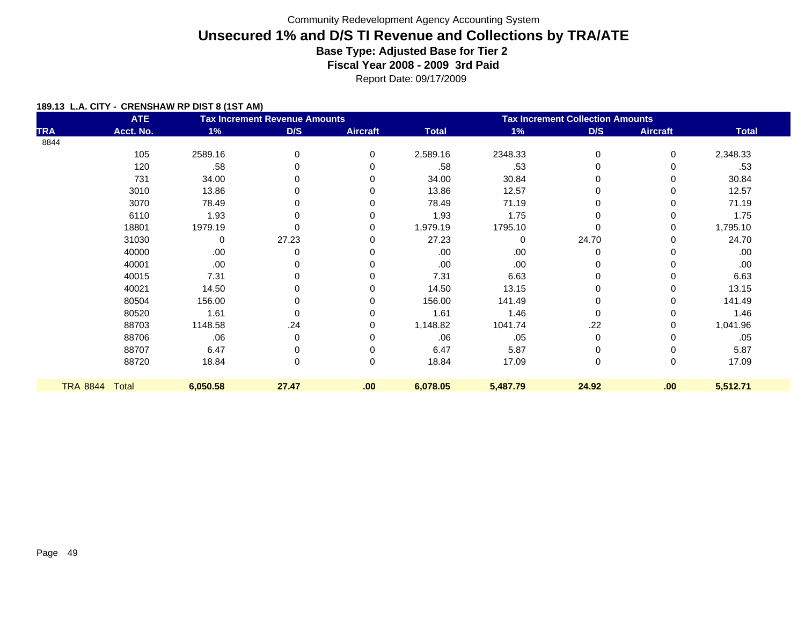Report Date: 09/17/2009

|                 | <b>ATE</b> |          | <b>Tax Increment Revenue Amounts</b> |                 | <b>Tax Increment Collection Amounts</b> |              |             |                 |              |  |
|-----------------|------------|----------|--------------------------------------|-----------------|-----------------------------------------|--------------|-------------|-----------------|--------------|--|
| <b>TRA</b>      | Acct. No.  | 1%       | D/S                                  | <b>Aircraft</b> | <b>Total</b>                            | 1%           | D/S         | <b>Aircraft</b> | <b>Total</b> |  |
| 8844            |            |          |                                      |                 |                                         |              |             |                 |              |  |
|                 | 105        | 2589.16  | 0                                    | $\Omega$        | 2,589.16                                | 2348.33      | $\mathbf 0$ | 0               | 2,348.33     |  |
|                 | 120        | .58      |                                      | 0               | .58                                     | .53          |             |                 | .53          |  |
|                 | 731        | 34.00    |                                      |                 | 34.00                                   | 30.84        |             | 0               | 30.84        |  |
|                 | 3010       | 13.86    |                                      |                 | 13.86                                   | 12.57        |             | 0               | 12.57        |  |
|                 | 3070       | 78.49    |                                      |                 | 78.49                                   | 71.19        |             | $\Omega$        | 71.19        |  |
|                 | 6110       | 1.93     |                                      | 0               | 1.93                                    | 1.75         | $\Omega$    | 0               | 1.75         |  |
|                 | 18801      | 1979.19  |                                      | 0               | 1,979.19                                | 1795.10      |             | 0               | 1,795.10     |  |
|                 | 31030      | 0        | 27.23                                | 0               | 27.23                                   | $\mathbf{0}$ | 24.70       | 0               | 24.70        |  |
|                 | 40000      | .00      | 0                                    | 0               | .00                                     | .00          | 0           | 0               | .00          |  |
|                 | 40001      | .00      |                                      |                 | .00                                     | .00          |             |                 | .00          |  |
|                 | 40015      | 7.31     |                                      |                 | 7.31                                    | 6.63         |             |                 | 6.63         |  |
|                 | 40021      | 14.50    |                                      | 0               | 14.50                                   | 13.15        |             | 0               | 13.15        |  |
|                 | 80504      | 156.00   |                                      |                 | 156.00                                  | 141.49       |             |                 | 141.49       |  |
|                 | 80520      | 1.61     | 0                                    | 0               | 1.61                                    | 1.46         | 0           | 0               | 1.46         |  |
|                 | 88703      | 1148.58  | .24                                  | 0               | 1,148.82                                | 1041.74      | .22         | 0               | 1,041.96     |  |
|                 | 88706      | .06      | 0                                    |                 | .06                                     | .05          | 0           | 0               | .05          |  |
|                 | 88707      | 6.47     |                                      | 0               | 6.47                                    | 5.87         | 0           | $\Omega$        | 5.87         |  |
|                 | 88720      | 18.84    | 0                                    | $\Omega$        | 18.84                                   | 17.09        | $\Omega$    | $\mathbf 0$     | 17.09        |  |
|                 |            |          |                                      |                 |                                         |              |             |                 |              |  |
| <b>TRA 8844</b> | Total      | 6,050.58 | 27.47                                | .00             | 6,078.05                                | 5,487.79     | 24.92       | .00             | 5,512.71     |  |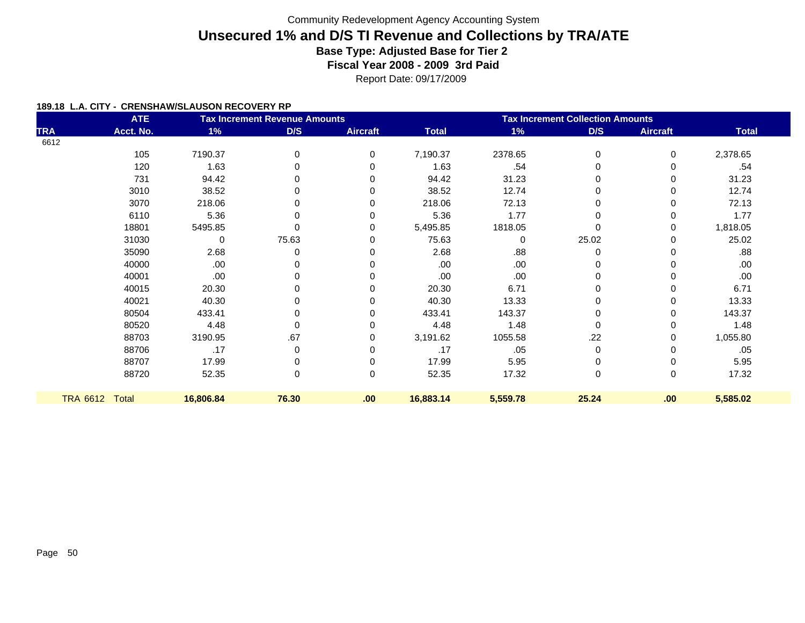Report Date: 09/17/2009

#### **189.18 L.A. CITY - CRENSHAW/SLAUSON RECOVERY RP**

|            | <b>ATE</b>     |             | <b>Tax Increment Revenue Amounts</b> |                 | <b>Tax Increment Collection Amounts</b> |          |          |                 |              |
|------------|----------------|-------------|--------------------------------------|-----------------|-----------------------------------------|----------|----------|-----------------|--------------|
| <b>TRA</b> | Acct. No.      | 1%          | D/S                                  | <b>Aircraft</b> | <b>Total</b>                            | 1%       | D/S      | <b>Aircraft</b> | <b>Total</b> |
| 6612       |                |             |                                      |                 |                                         |          |          |                 |              |
|            | 105            | 7190.37     | 0                                    | 0               | 7,190.37                                | 2378.65  | 0        | $\Omega$        | 2,378.65     |
|            | 120            | 1.63        | 0                                    |                 | 1.63                                    | .54      | 0        | $\Omega$        | .54          |
|            | 731            | 94.42       | 0                                    |                 | 94.42                                   | 31.23    | 0        | 0               | 31.23        |
|            | 3010           | 38.52       | 0                                    |                 | 38.52                                   | 12.74    | 0        |                 | 12.74        |
|            | 3070           | 218.06      | 0                                    |                 | 218.06                                  | 72.13    | $\Omega$ |                 | 72.13        |
|            | 6110           | 5.36        | 0                                    |                 | 5.36                                    | 1.77     | 0        |                 | 1.77         |
|            | 18801          | 5495.85     | 0                                    |                 | 5,495.85                                | 1818.05  | 0        | 0               | 1,818.05     |
|            | 31030          | $\mathbf 0$ | 75.63                                |                 | 75.63                                   | $\Omega$ | 25.02    | 0               | 25.02        |
|            | 35090          | 2.68        | 0                                    |                 | 2.68                                    | .88      | 0        |                 | .88          |
|            | 40000          | .00         | 0                                    |                 | .00                                     | .00      | 0        |                 | .00          |
|            | 40001          | .00         | 0                                    |                 | .00                                     | .00      | 0        |                 | .00          |
|            | 40015          | 20.30       | 0                                    |                 | 20.30                                   | 6.71     | 0        | 0               | 6.71         |
|            | 40021          | 40.30       | 0                                    |                 | 40.30                                   | 13.33    | 0        |                 | 13.33        |
|            | 80504          | 433.41      | 0                                    |                 | 433.41                                  | 143.37   | 0        | 0               | 143.37       |
|            | 80520          | 4.48        | 0                                    |                 | 4.48                                    | 1.48     | 0        | 0               | 1.48         |
|            | 88703          | 3190.95     | .67                                  |                 | 3,191.62                                | 1055.58  | .22      | 0               | 1,055.80     |
|            | 88706          | .17         | 0                                    |                 | .17                                     | .05      | 0        |                 | .05          |
|            | 88707          | 17.99       | 0                                    |                 | 17.99                                   | 5.95     | 0        |                 | 5.95         |
|            | 88720          | 52.35       | 0                                    | 0               | 52.35                                   | 17.32    | 0        | 0               | 17.32        |
|            | TRA 6612 Total | 16,806.84   | 76.30                                | .00             | 16,883.14                               | 5,559.78 | 25.24    | .00             | 5,585.02     |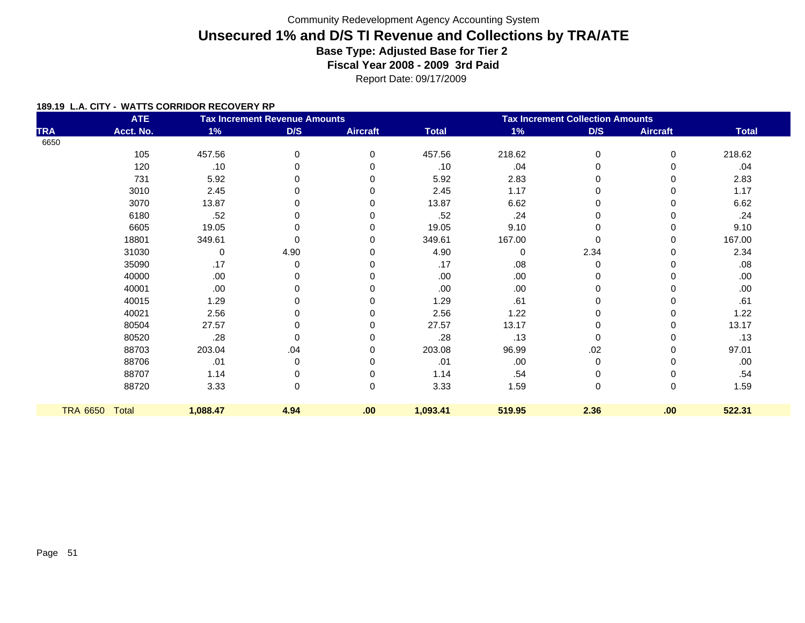Report Date: 09/17/2009

#### **189.19 L.A. CITY - WATTS CORRIDOR RECOVERY RP**

|            | <b>ATE</b>     |          | <b>Tax Increment Revenue Amounts</b> |                 | <b>Tax Increment Collection Amounts</b> |             |             |                 |              |
|------------|----------------|----------|--------------------------------------|-----------------|-----------------------------------------|-------------|-------------|-----------------|--------------|
| <b>TRA</b> | Acct. No.      | 1%       | D/S                                  | <b>Aircraft</b> | <b>Total</b>                            | 1%          | D/S         | <b>Aircraft</b> | <b>Total</b> |
| 6650       |                |          |                                      |                 |                                         |             |             |                 |              |
|            | 105            | 457.56   | 0                                    | 0               | 457.56                                  | 218.62      | 0           | 0               | 218.62       |
|            | 120            | .10      | 0                                    |                 | .10                                     | .04         | 0           |                 | .04          |
|            | 731            | 5.92     | 0                                    |                 | 5.92                                    | 2.83        | 0           |                 | 2.83         |
|            | 3010           | 2.45     | 0                                    |                 | 2.45                                    | 1.17        | 0           |                 | 1.17         |
|            | 3070           | 13.87    | 0                                    |                 | 13.87                                   | 6.62        | 0           |                 | 6.62         |
|            | 6180           | .52      | 0                                    |                 | .52                                     | .24         | 0           | 0               | .24          |
|            | 6605           | 19.05    | 0                                    |                 | 19.05                                   | 9.10        | 0           | 0               | 9.10         |
|            | 18801          | 349.61   | $\Omega$                             |                 | 349.61                                  | 167.00      | $\Omega$    | 0               | 167.00       |
|            | 31030          | 0        | 4.90                                 |                 | 4.90                                    | $\mathbf 0$ | 2.34        | $\Omega$        | 2.34         |
|            | 35090          | .17      | 0                                    |                 | .17                                     | .08         | 0           | 0               | .08          |
|            | 40000          | .00      |                                      |                 | .00                                     | .00         | 0           |                 | .00          |
|            | 40001          | .00      | 0                                    |                 | .00                                     | .00         | 0           |                 | .00          |
|            | 40015          | 1.29     |                                      |                 | 1.29                                    | .61         | 0           |                 | .61          |
|            | 40021          | 2.56     | U                                    | ∩               | 2.56                                    | 1.22        | 0           | O               | 1.22         |
|            | 80504          | 27.57    | ი                                    | ∩               | 27.57                                   | 13.17       | 0           | ∩               | 13.17        |
|            | 80520          | .28      | 0                                    |                 | .28                                     | .13         | $\Omega$    | O               | .13          |
|            | 88703          | 203.04   | .04                                  |                 | 203.08                                  | 96.99       | .02         | O               | 97.01        |
|            | 88706          | .01      | 0                                    |                 | .01                                     | .00         | $\mathbf 0$ | O               | .00          |
|            | 88707          | 1.14     | 0                                    |                 | 1.14                                    | .54         | 0           |                 | .54          |
|            | 88720          | 3.33     | 0                                    | $\Omega$        | 3.33                                    | 1.59        | $\mathbf 0$ | 0               | 1.59         |
|            | TRA 6650 Total | 1,088.47 | 4.94                                 | .00             | 1,093.41                                | 519.95      | 2.36        | .00             | 522.31       |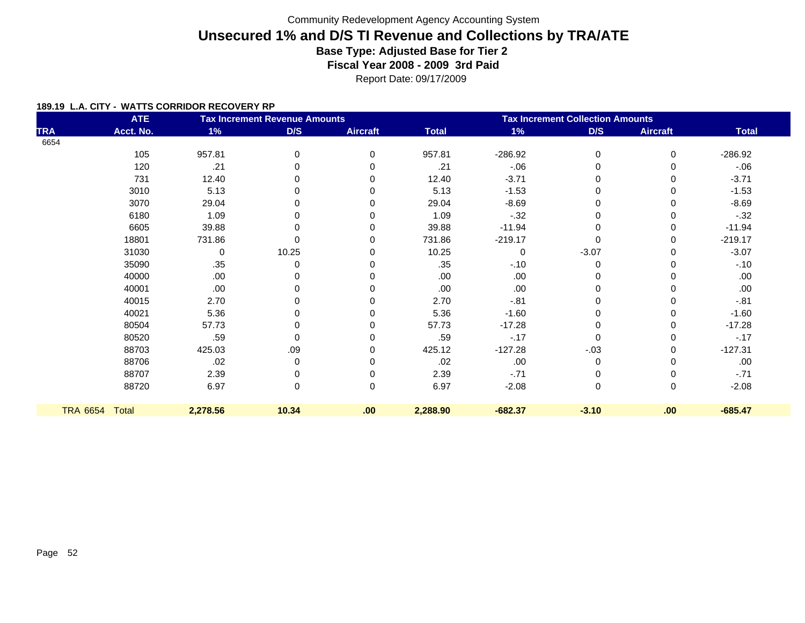Report Date: 09/17/2009

#### **189.19 L.A. CITY - WATTS CORRIDOR RECOVERY RP**

|                 | <b>ATE</b> |          | <b>Tax Increment Revenue Amounts</b> |                 | <b>Tax Increment Collection Amounts</b> |           |             |                 |              |
|-----------------|------------|----------|--------------------------------------|-----------------|-----------------------------------------|-----------|-------------|-----------------|--------------|
| <b>TRA</b>      | Acct. No.  | 1%       | D/S                                  | <b>Aircraft</b> | <b>Total</b>                            | $1\%$     | D/S         | <b>Aircraft</b> | <b>Total</b> |
| 6654            |            |          |                                      |                 |                                         |           |             |                 |              |
|                 | 105        | 957.81   | 0                                    | 0               | 957.81                                  | $-286.92$ | $\mathbf 0$ | 0               | $-286.92$    |
|                 | 120        | .21      | 0                                    | O               | .21                                     | $-06$     | 0           | 0               | $-06$        |
|                 | 731        | 12.40    | 0                                    |                 | 12.40                                   | $-3.71$   | 0           | 0               | $-3.71$      |
|                 | 3010       | 5.13     | 0                                    |                 | 5.13                                    | $-1.53$   | 0           | 0               | $-1.53$      |
|                 | 3070       | 29.04    | 0                                    |                 | 29.04                                   | $-8.69$   | 0           | 0               | $-8.69$      |
|                 | 6180       | 1.09     | 0                                    |                 | 1.09                                    | $-32$     | 0           | 0               | $-32$        |
|                 | 6605       | 39.88    | 0                                    |                 | 39.88                                   | $-11.94$  | $\Omega$    | 0               | $-11.94$     |
|                 | 18801      | 731.86   | 0                                    | U               | 731.86                                  | $-219.17$ | 0           | $\Omega$        | $-219.17$    |
|                 | 31030      | 0        | 10.25                                |                 | 10.25                                   | $\Omega$  | $-3.07$     | 0               | $-3.07$      |
|                 | 35090      | .35      | 0                                    |                 | .35                                     | $-.10$    | 0           | 0               | $-.10$       |
|                 | 40000      | .00      | 0                                    |                 | .00                                     | .00       | 0           |                 | .00          |
|                 | 40001      | .00      | 0                                    |                 | .00.                                    | .00       | 0           | 0               | .00          |
|                 | 40015      | 2.70     | 0                                    |                 | 2.70                                    | $-.81$    | 0           |                 | $-.81$       |
|                 | 40021      | 5.36     | 0                                    |                 | 5.36                                    | $-1.60$   | 0           | 0               | $-1.60$      |
|                 | 80504      | 57.73    | 0                                    |                 | 57.73                                   | $-17.28$  | 0           | $\Omega$        | $-17.28$     |
|                 | 80520      | .59      | 0                                    | ∩               | .59                                     | $-17$     | 0           | $\Omega$        | $-.17$       |
|                 | 88703      | 425.03   | .09                                  |                 | 425.12                                  | $-127.28$ | $-.03$      | $\Omega$        | $-127.31$    |
|                 | 88706      | .02      | 0                                    | ∩               | .02                                     | .00       | 0           | $\Omega$        | .00          |
|                 | 88707      | 2.39     | 0                                    |                 | 2.39                                    | $-71$     | 0           |                 | $-.71$       |
|                 | 88720      | 6.97     | 0                                    | 0               | 6.97                                    | $-2.08$   | $\pmb{0}$   | 0               | $-2.08$      |
| <b>TRA 6654</b> | Total      | 2,278.56 | 10.34                                | .00             | 2,288.90                                | $-682.37$ | $-3.10$     | .00             | $-685.47$    |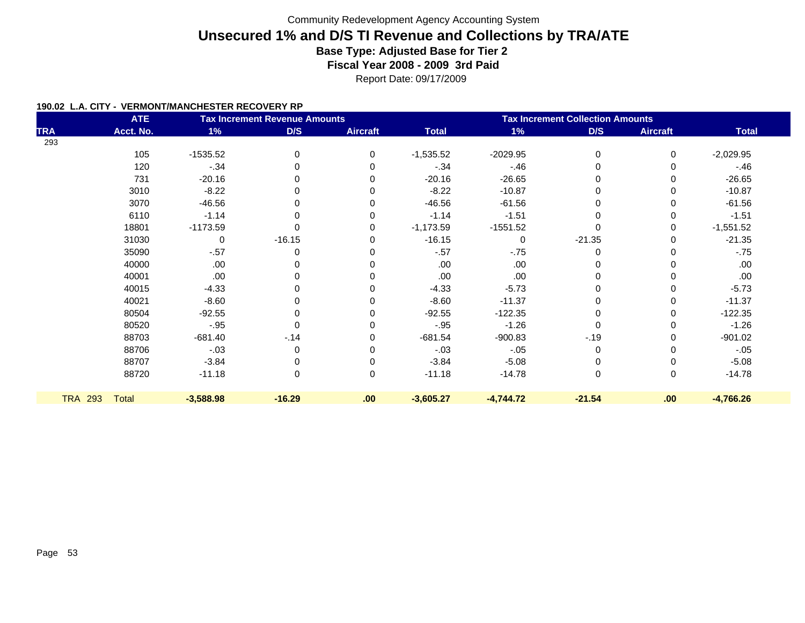Report Date: 09/17/2009

#### **190.02 L.A. CITY - VERMONT/MANCHESTER RECOVERY RP**

|                | <b>ATE</b>   |             | <b>Tax Increment Revenue Amounts</b> |                 | <b>Tax Increment Collection Amounts</b> |             |          |                 |              |
|----------------|--------------|-------------|--------------------------------------|-----------------|-----------------------------------------|-------------|----------|-----------------|--------------|
| <b>TRA</b>     | Acct. No.    | 1%          | D/S                                  | <b>Aircraft</b> | <b>Total</b>                            | $1\%$       | D/S      | <b>Aircraft</b> | <b>Total</b> |
| 293            |              |             |                                      |                 |                                         |             |          |                 |              |
|                | 105          | $-1535.52$  | $\Omega$                             | $\Omega$        | $-1,535.52$                             | $-2029.95$  | $\Omega$ | $\Omega$        | $-2,029.95$  |
|                | 120          | $-34$       |                                      |                 | $-0.34$                                 | $-.46$      |          | 0               | $-.46$       |
|                | 731          | $-20.16$    |                                      | 0               | $-20.16$                                | $-26.65$    |          | 0               | $-26.65$     |
|                | 3010         | $-8.22$     |                                      |                 | $-8.22$                                 | $-10.87$    |          | 0               | $-10.87$     |
|                | 3070         | $-46.56$    |                                      |                 | $-46.56$                                | $-61.56$    | $\Omega$ | 0               | $-61.56$     |
|                | 6110         | $-1.14$     |                                      |                 | $-1.14$                                 | $-1.51$     |          | 0               | $-1.51$      |
|                | 18801        | $-1173.59$  |                                      | 0               | $-1,173.59$                             | $-1551.52$  |          | 0               | $-1,551.52$  |
|                | 31030        | $\pmb{0}$   | $-16.15$                             | 0               | $-16.15$                                | $\mathbf 0$ | $-21.35$ | 0               | $-21.35$     |
|                | 35090        | $-.57$      |                                      |                 | $-.57$                                  | $-75$       |          |                 | $-75$        |
|                | 40000        | .00         |                                      |                 | .00                                     | .00         |          | 0               | .00          |
|                | 40001        | .00         |                                      |                 | .00                                     | .00         |          | ი               | .00          |
|                | 40015        | $-4.33$     | 0                                    |                 | $-4.33$                                 | $-5.73$     | 0        | 0               | $-5.73$      |
|                | 40021        | $-8.60$     |                                      |                 | $-8.60$                                 | $-11.37$    |          | 0               | $-11.37$     |
|                | 80504        | $-92.55$    | 0                                    |                 | $-92.55$                                | $-122.35$   | 0        | 0               | $-122.35$    |
|                | 80520        | $-.95$      |                                      |                 | $-.95$                                  | $-1.26$     |          | 0               | $-1.26$      |
|                | 88703        | $-681.40$   | $-14$                                | 0               | $-681.54$                               | $-900.83$   | $-.19$   | 0               | $-901.02$    |
|                | 88706        | $-.03$      | $\Omega$                             | 0               | $-.03$                                  | $-.05$      | 0        | 0               | $-.05$       |
|                | 88707        | $-3.84$     |                                      |                 | $-3.84$                                 | $-5.08$     |          | 0               | $-5.08$      |
|                | 88720        | $-11.18$    | 0                                    | 0               | $-11.18$                                | $-14.78$    | 0        | 0               | $-14.78$     |
| <b>TRA 293</b> | <b>Total</b> | $-3,588.98$ | $-16.29$                             | .00             | $-3,605.27$                             | $-4,744.72$ | $-21.54$ | .00             | $-4,766.26$  |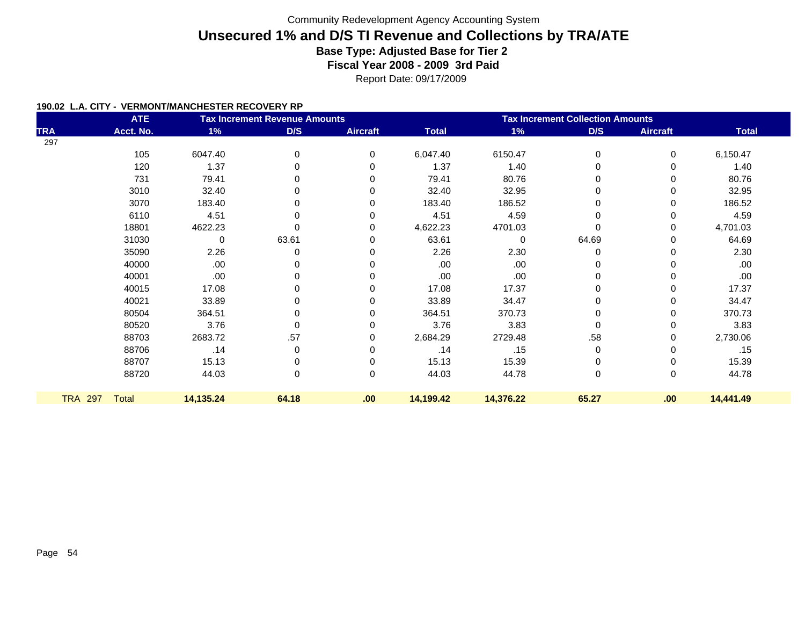#### **190.02 L.A. CITY - VERMONT/MANCHESTER RECOVERY RP**

|                | <b>ATE</b>   |           | <b>Tax Increment Revenue Amounts</b> |                 | <b>Tax Increment Collection Amounts</b> |           |          |                 |              |
|----------------|--------------|-----------|--------------------------------------|-----------------|-----------------------------------------|-----------|----------|-----------------|--------------|
| <b>TRA</b>     | Acct. No.    | 1%        | D/S                                  | <b>Aircraft</b> | <b>Total</b>                            | $1\%$     | D/S      | <b>Aircraft</b> | <b>Total</b> |
| 297            |              |           |                                      |                 |                                         |           |          |                 |              |
|                | 105          | 6047.40   | 0                                    | $\Omega$        | 6,047.40                                | 6150.47   | 0        | 0               | 6,150.47     |
|                | 120          | 1.37      | 0                                    |                 | 1.37                                    | 1.40      | 0        | 0               | 1.40         |
|                | 731          | 79.41     | 0                                    |                 | 79.41                                   | 80.76     | 0        |                 | 80.76        |
|                | 3010         | 32.40     | 0                                    |                 | 32.40                                   | 32.95     | $\Omega$ | 0               | 32.95        |
|                | 3070         | 183.40    | 0                                    |                 | 183.40                                  | 186.52    | 0        | 0               | 186.52       |
|                | 6110         | 4.51      | 0                                    |                 | 4.51                                    | 4.59      | 0        | 0               | 4.59         |
|                | 18801        | 4622.23   | 0                                    |                 | 4,622.23                                | 4701.03   | $\Omega$ | 0               | 4,701.03     |
|                | 31030        | 0         | 63.61                                |                 | 63.61                                   | $\Omega$  | 64.69    | 0               | 64.69        |
|                | 35090        | 2.26      | 0                                    |                 | 2.26                                    | 2.30      | $\Omega$ |                 | 2.30         |
|                | 40000        | .00       | 0                                    |                 | .00                                     | .00       | 0        | 0               | .00          |
|                | 40001        | .00       | 0                                    |                 | .00                                     | .00       | 0        |                 | .00          |
|                | 40015        | 17.08     | 0                                    |                 | 17.08                                   | 17.37     | 0        | 0               | 17.37        |
|                | 40021        | 33.89     | 0                                    |                 | 33.89                                   | 34.47     | 0        |                 | 34.47        |
|                | 80504        | 364.51    | 0                                    |                 | 364.51                                  | 370.73    | 0        | 0               | 370.73       |
|                | 80520        | 3.76      | 0                                    |                 | 3.76                                    | 3.83      | $\Omega$ | 0               | 3.83         |
|                | 88703        | 2683.72   | .57                                  |                 | 2,684.29                                | 2729.48   | .58      | 0               | 2,730.06     |
|                | 88706        | .14       | 0                                    | 0               | .14                                     | .15       | 0        | 0               | .15          |
|                | 88707        | 15.13     | 0                                    |                 | 15.13                                   | 15.39     | 0        |                 | 15.39        |
|                | 88720        | 44.03     | 0                                    | 0               | 44.03                                   | 44.78     | 0        | 0               | 44.78        |
|                |              |           |                                      |                 |                                         |           |          |                 |              |
| <b>TRA 297</b> | <b>Total</b> | 14,135.24 | 64.18                                | .00             | 14,199.42                               | 14,376.22 | 65.27    | .00             | 14,441.49    |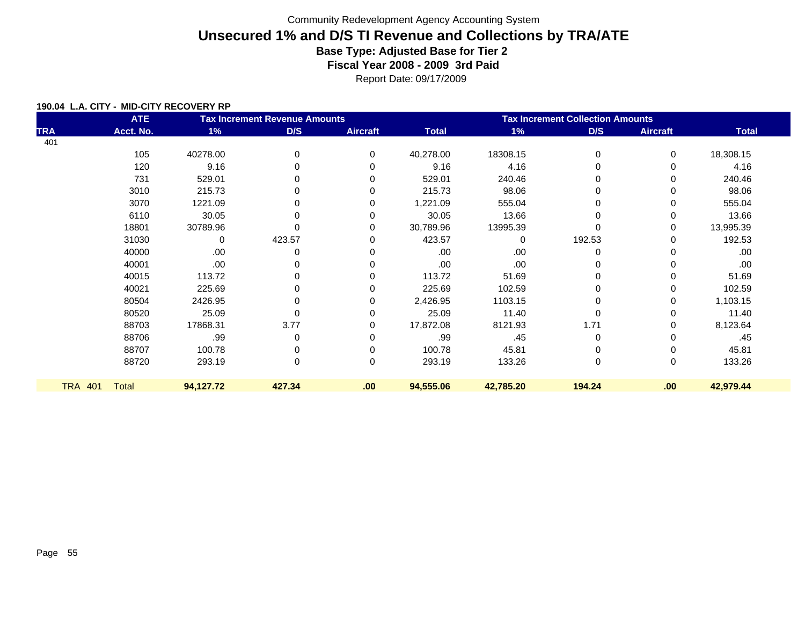Report Date: 09/17/2009

#### **190.04 L.A. CITY - MID-CITY RECOVERY RP**

| <b>ATE</b><br><b>Tax Increment Revenue Amounts</b> |              |           |        |                 | <b>Tax Increment Collection Amounts</b> |           |             |                 |              |  |
|----------------------------------------------------|--------------|-----------|--------|-----------------|-----------------------------------------|-----------|-------------|-----------------|--------------|--|
| <b>TRA</b>                                         | Acct. No.    | 1%        | D/S    | <b>Aircraft</b> | <b>Total</b>                            | 1%        | D/S         | <b>Aircraft</b> | <b>Total</b> |  |
| 401                                                |              |           |        |                 |                                         |           |             |                 |              |  |
|                                                    | 105          | 40278.00  | 0      | $\Omega$        | 40,278.00                               | 18308.15  | 0           | 0               | 18,308.15    |  |
|                                                    | 120          | 9.16      | 0      | $\Omega$        | 9.16                                    | 4.16      | 0           | 0               | 4.16         |  |
|                                                    | 731          | 529.01    | 0      | 0               | 529.01                                  | 240.46    |             | 0               | 240.46       |  |
|                                                    | 3010         | 215.73    |        | 0               | 215.73                                  | 98.06     |             | 0               | 98.06        |  |
|                                                    | 3070         | 1221.09   |        | 0               | 1,221.09                                | 555.04    |             | 0               | 555.04       |  |
|                                                    | 6110         | 30.05     | 0      | 0               | 30.05                                   | 13.66     | 0           | 0               | 13.66        |  |
|                                                    | 18801        | 30789.96  | 0      | 0               | 30,789.96                               | 13995.39  |             | 0               | 13,995.39    |  |
|                                                    | 31030        | 0         | 423.57 | 0               | 423.57                                  | $\Omega$  | 192.53      | 0               | 192.53       |  |
|                                                    | 40000        | .00.      | 0      | 0               | .00.                                    | .00       | 0           | 0               | .00          |  |
|                                                    | 40001        | .00.      | 0      | 0               | .00                                     | .00.      |             | 0               | .00          |  |
|                                                    | 40015        | 113.72    | 0      | 0               | 113.72                                  | 51.69     |             | 0               | 51.69        |  |
|                                                    | 40021        | 225.69    |        | 0               | 225.69                                  | 102.59    |             | 0               | 102.59       |  |
|                                                    | 80504        | 2426.95   | 0      | 0               | 2,426.95                                | 1103.15   |             | 0               | 1,103.15     |  |
|                                                    | 80520        | 25.09     | 0      | $\Omega$        | 25.09                                   | 11.40     | $\Omega$    | 0               | 11.40        |  |
|                                                    | 88703        | 17868.31  | 3.77   | 0               | 17,872.08                               | 8121.93   | 1.71        | 0               | 8,123.64     |  |
|                                                    | 88706        | .99       | 0      | 0               | .99                                     | .45       | 0           | 0               | .45          |  |
|                                                    | 88707        | 100.78    | 0      | $\Omega$        | 100.78                                  | 45.81     | 0           | 0               | 45.81        |  |
|                                                    | 88720        | 293.19    | 0      | 0               | 293.19                                  | 133.26    | $\mathbf 0$ | 0               | 133.26       |  |
|                                                    |              |           |        |                 |                                         |           |             |                 |              |  |
| <b>TRA 401</b>                                     | <b>Total</b> | 94,127.72 | 427.34 | .00             | 94,555.06                               | 42,785.20 | 194.24      | .00             | 42,979.44    |  |
|                                                    |              |           |        |                 |                                         |           |             |                 |              |  |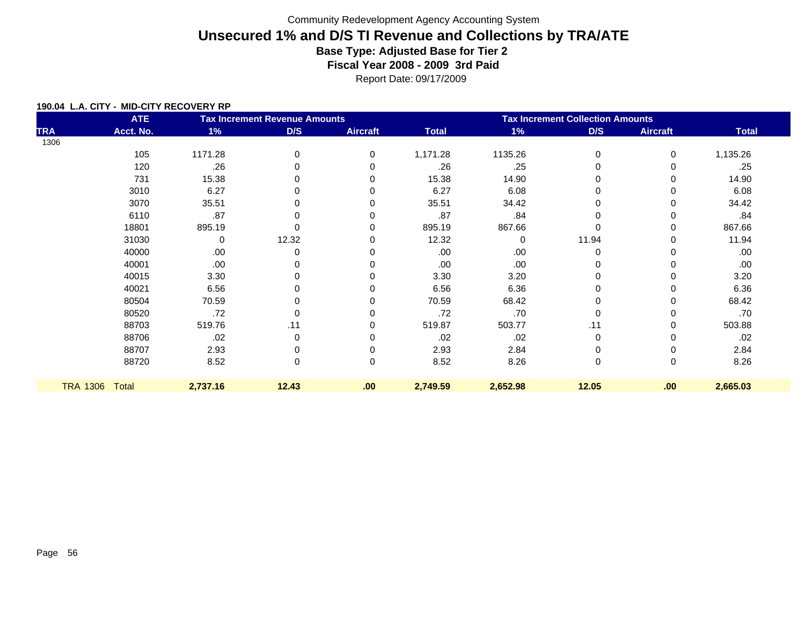Report Date: 09/17/2009

#### **190.04 L.A. CITY - MID-CITY RECOVERY RP**

|                 | <b>ATE</b> |          | <b>Tax Increment Revenue Amounts</b> |                 | <b>Tax Increment Collection Amounts</b> |          |             |                 |              |  |
|-----------------|------------|----------|--------------------------------------|-----------------|-----------------------------------------|----------|-------------|-----------------|--------------|--|
| <b>TRA</b>      | Acct. No.  | 1%       | D/S                                  | <b>Aircraft</b> | <b>Total</b>                            | 1%       | D/S         | <b>Aircraft</b> | <b>Total</b> |  |
| 1306            |            |          |                                      |                 |                                         |          |             |                 |              |  |
|                 | 105        | 1171.28  | 0                                    | $\mathbf 0$     | 1,171.28                                | 1135.26  | 0           | 0               | 1,135.26     |  |
|                 | 120        | .26      | ŋ                                    |                 | .26                                     | .25      | $\Omega$    |                 | .25          |  |
|                 | 731        | 15.38    |                                      |                 | 15.38                                   | 14.90    |             |                 | 14.90        |  |
|                 | 3010       | 6.27     |                                      |                 | 6.27                                    | 6.08     |             |                 | 6.08         |  |
|                 | 3070       | 35.51    |                                      |                 | 35.51                                   | 34.42    |             |                 | 34.42        |  |
|                 | 6110       | .87      |                                      |                 | .87                                     | .84      |             |                 | .84          |  |
|                 | 18801      | 895.19   |                                      |                 | 895.19                                  | 867.66   |             | 0               | 867.66       |  |
|                 | 31030      | 0        | 12.32                                |                 | 12.32                                   | 0        | 11.94       |                 | 11.94        |  |
|                 | 40000      | .00      | O                                    |                 | .00                                     | .00      | $\Omega$    |                 | .00          |  |
|                 | 40001      | .00      |                                      |                 | .00.                                    | .00      |             |                 | .00.         |  |
|                 | 40015      | 3.30     |                                      |                 | 3.30                                    | 3.20     |             |                 | 3.20         |  |
|                 | 40021      | 6.56     |                                      |                 | 6.56                                    | 6.36     |             |                 | 6.36         |  |
|                 | 80504      | 70.59    |                                      |                 | 70.59                                   | 68.42    |             |                 | 68.42        |  |
|                 | 80520      | .72      |                                      |                 | .72                                     | .70      |             |                 | .70          |  |
|                 | 88703      | 519.76   | .11                                  |                 | 519.87                                  | 503.77   | .11         |                 | 503.88       |  |
|                 | 88706      | .02      | 0                                    |                 | .02                                     | .02      | $\Omega$    |                 | .02          |  |
|                 | 88707      | 2.93     |                                      | 0               | 2.93                                    | 2.84     |             |                 | 2.84         |  |
|                 | 88720      | 8.52     | 0                                    | $\mathbf 0$     | 8.52                                    | 8.26     | $\mathbf 0$ | 0               | 8.26         |  |
|                 |            |          |                                      |                 |                                         |          |             |                 |              |  |
| <b>TRA 1306</b> | Total      | 2,737.16 | 12.43                                | .00             | 2,749.59                                | 2,652.98 | 12.05       | .00             | 2,665.03     |  |
|                 |            |          |                                      |                 |                                         |          |             |                 |              |  |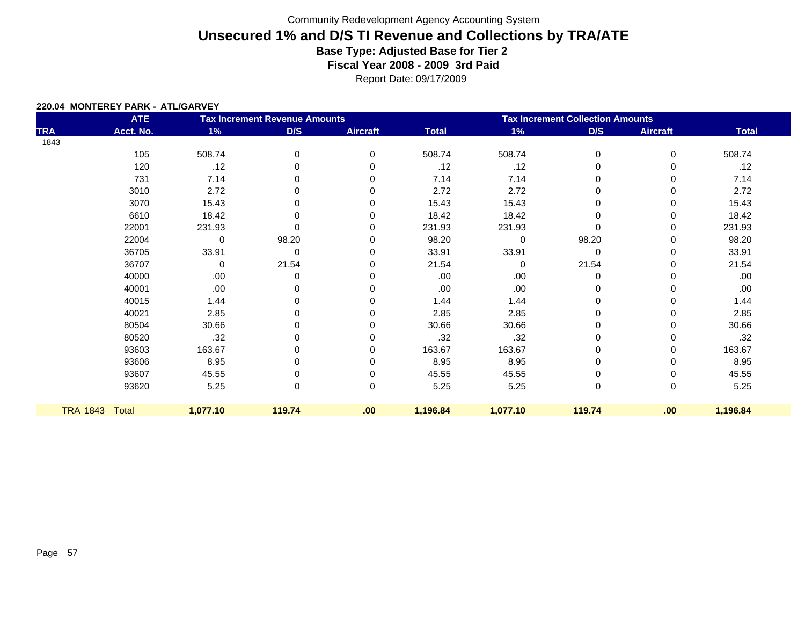Report Date: 09/17/2009

#### **220.04 MONTEREY PARK - ATL/GARVEY**

|            | <b>ATE</b>     |             | <b>Tax Increment Revenue Amounts</b> |                 | <b>Tax Increment Collection Amounts</b> |          |          |                 |              |  |  |
|------------|----------------|-------------|--------------------------------------|-----------------|-----------------------------------------|----------|----------|-----------------|--------------|--|--|
| <b>TRA</b> | Acct. No.      | 1%          | D/S                                  | <b>Aircraft</b> | <b>Total</b>                            | 1%       | D/S      | <b>Aircraft</b> | <b>Total</b> |  |  |
| 1843       |                |             |                                      |                 |                                         |          |          |                 |              |  |  |
|            | 105            | 508.74      | 0                                    | 0               | 508.74                                  | 508.74   | 0        | 0               | 508.74       |  |  |
|            | 120            | .12         | 0                                    | 0               | .12                                     | .12      | 0        | 0               | .12          |  |  |
|            | 731            | 7.14        | $\mathbf 0$                          | 0               | 7.14                                    | 7.14     | 0        | 0               | 7.14         |  |  |
|            | 3010           | 2.72        | 0                                    | 0               | 2.72                                    | 2.72     | 0        | 0               | 2.72         |  |  |
|            | 3070           | 15.43       | 0                                    | 0               | 15.43                                   | 15.43    | 0        | 0               | 15.43        |  |  |
|            | 6610           | 18.42       | 0                                    | 0               | 18.42                                   | 18.42    | 0        | 0               | 18.42        |  |  |
|            | 22001          | 231.93      | $\Omega$                             | 0               | 231.93                                  | 231.93   | $\Omega$ | 0               | 231.93       |  |  |
|            | 22004          | $\mathbf 0$ | 98.20                                | 0               | 98.20                                   | $\Omega$ | 98.20    | 0               | 98.20        |  |  |
|            | 36705          | 33.91       | 0                                    | 0               | 33.91                                   | 33.91    | 0        | 0               | 33.91        |  |  |
|            | 36707          | 0           | 21.54                                | 0               | 21.54                                   | $\Omega$ | 21.54    | 0               | 21.54        |  |  |
|            | 40000          | .00         | 0                                    | 0               | .00                                     | .00      | 0        | 0               | .00.         |  |  |
|            | 40001          | .00         | 0                                    | 0               | .00.                                    | .00      | 0        | 0               | .00.         |  |  |
|            | 40015          | 1.44        | 0                                    | 0               | 1.44                                    | 1.44     | $\Omega$ | 0               | 1.44         |  |  |
|            | 40021          | 2.85        | 0                                    | 0               | 2.85                                    | 2.85     | 0        | 0               | 2.85         |  |  |
|            | 80504          | 30.66       | 0                                    | 0               | 30.66                                   | 30.66    | 0        | 0               | 30.66        |  |  |
|            | 80520          | .32         | 0                                    | 0               | .32                                     | .32      | 0        | 0               | .32          |  |  |
|            | 93603          | 163.67      | 0                                    | 0               | 163.67                                  | 163.67   | 0        | 0               | 163.67       |  |  |
|            | 93606          | 8.95        | 0                                    | 0               | 8.95                                    | 8.95     | 0        | 0               | 8.95         |  |  |
|            | 93607          | 45.55       | 0                                    | 0               | 45.55                                   | 45.55    | $\Omega$ | 0               | 45.55        |  |  |
|            | 93620          | 5.25        | 0                                    | $\mathbf 0$     | 5.25                                    | 5.25     | 0        | 0               | 5.25         |  |  |
|            | TRA 1843 Total | 1,077.10    | 119.74                               | .00             | 1,196.84                                | 1,077.10 | 119.74   | .00             | 1,196.84     |  |  |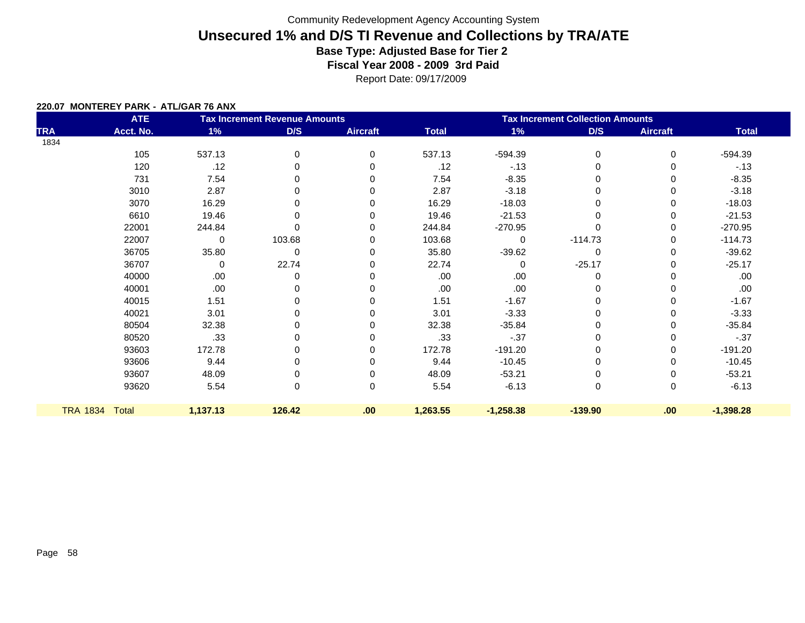Report Date: 09/17/2009

#### **220.07 MONTEREY PARK - ATL/GAR 76 ANX**

|                 | <b>ATE</b> |             | <b>Tax Increment Revenue Amounts</b> |                 |              | <b>Tax Increment Collection Amounts</b> |           |                 |              |  |
|-----------------|------------|-------------|--------------------------------------|-----------------|--------------|-----------------------------------------|-----------|-----------------|--------------|--|
| <b>TRA</b>      | Acct. No.  | 1%          | D/S                                  | <b>Aircraft</b> | <b>Total</b> | $1\%$                                   | D/S       | <b>Aircraft</b> | <b>Total</b> |  |
| 1834            |            |             |                                      |                 |              |                                         |           |                 |              |  |
|                 | 105        | 537.13      | 0                                    | 0               | 537.13       | $-594.39$                               | 0         | 0               | $-594.39$    |  |
|                 | 120        | .12         | 0                                    | 0               | .12          | $-13$                                   | 0         | 0               | $-13$        |  |
|                 | 731        | 7.54        | $\Omega$                             | 0               | 7.54         | $-8.35$                                 | 0         | 0               | $-8.35$      |  |
|                 | 3010       | 2.87        | 0                                    | 0               | 2.87         | $-3.18$                                 | 0         | 0               | $-3.18$      |  |
|                 | 3070       | 16.29       | $\Omega$                             | 0               | 16.29        | $-18.03$                                |           | 0               | $-18.03$     |  |
|                 | 6610       | 19.46       | 0                                    | 0               | 19.46        | $-21.53$                                | 0         | 0               | $-21.53$     |  |
|                 | 22001      | 244.84      | $\Omega$                             | 0               | 244.84       | $-270.95$                               |           | 0               | $-270.95$    |  |
|                 | 22007      | $\mathbf 0$ | 103.68                               | 0               | 103.68       | $\Omega$                                | $-114.73$ | 0               | $-114.73$    |  |
|                 | 36705      | 35.80       | 0                                    | 0               | 35.80        | $-39.62$                                | 0         | 0               | $-39.62$     |  |
|                 | 36707      | $\mathbf 0$ | 22.74                                | 0               | 22.74        | $\Omega$                                | $-25.17$  | 0               | $-25.17$     |  |
|                 | 40000      | .00.        | 0                                    | O               | .00          | .00                                     | 0         | 0               | .00          |  |
|                 | 40001      | .00         | 0                                    | 0               | .00          | .00                                     | 0         | 0               | .00          |  |
|                 | 40015      | 1.51        | 0                                    | 0               | 1.51         | $-1.67$                                 | 0         | 0               | $-1.67$      |  |
|                 | 40021      | 3.01        | 0                                    | 0               | 3.01         | $-3.33$                                 | 0         | 0               | $-3.33$      |  |
|                 | 80504      | 32.38       | 0                                    | 0               | 32.38        | $-35.84$                                | 0         | 0               | $-35.84$     |  |
|                 | 80520      | .33         | 0                                    | $\Omega$        | .33          | $-.37$                                  | 0         | 0               | $-0.37$      |  |
|                 | 93603      | 172.78      | 0                                    | 0               | 172.78       | $-191.20$                               | 0         | 0               | $-191.20$    |  |
|                 | 93606      | 9.44        | 0                                    | 0               | 9.44         | $-10.45$                                | 0         | 0               | $-10.45$     |  |
|                 | 93607      | 48.09       | 0                                    | 0               | 48.09        | $-53.21$                                | 0         | 0               | $-53.21$     |  |
|                 | 93620      | 5.54        | 0                                    | 0               | 5.54         | $-6.13$                                 | $\pmb{0}$ | 0               | $-6.13$      |  |
| <b>TRA 1834</b> | Total      | 1,137.13    | 126.42                               | .00.            | 1,263.55     | $-1,258.38$                             | $-139.90$ | .00             | $-1,398.28$  |  |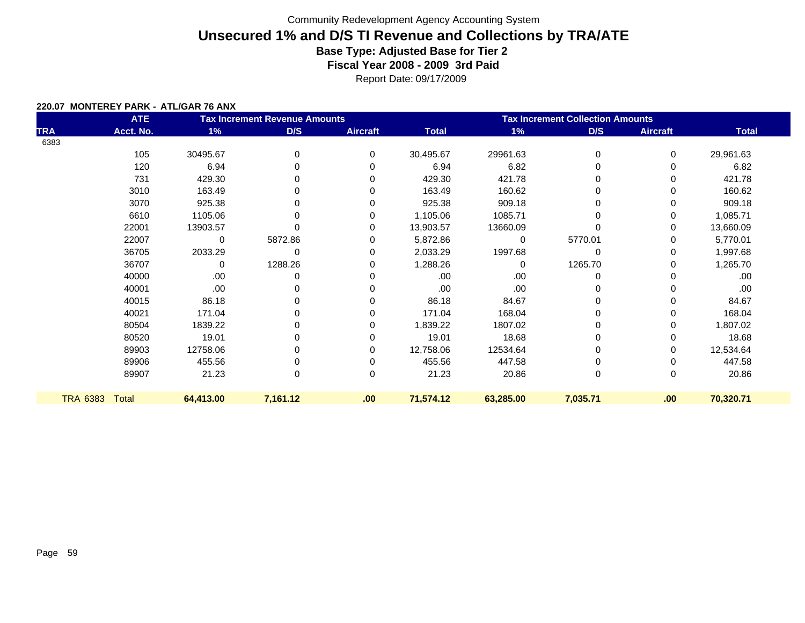Report Date: 09/17/2009

#### **220.07 MONTEREY PARK - ATL/GAR 76 ANX**

| <b>ATE</b><br><b>Tax Increment Revenue Amounts</b> |           |             |          |                 | <b>Tax Increment Collection Amounts</b> |           |          |                 |              |  |
|----------------------------------------------------|-----------|-------------|----------|-----------------|-----------------------------------------|-----------|----------|-----------------|--------------|--|
| <b>TRA</b>                                         | Acct. No. | 1%          | D/S      | <b>Aircraft</b> | <b>Total</b>                            | 1%        | D/S      | <b>Aircraft</b> | <b>Total</b> |  |
| 6383                                               |           |             |          |                 |                                         |           |          |                 |              |  |
|                                                    | 105       | 30495.67    | 0        | 0               | 30,495.67                               | 29961.63  | 0        | 0               | 29,961.63    |  |
|                                                    | 120       | 6.94        | 0        | $\Omega$        | 6.94                                    | 6.82      | 0        | 0               | 6.82         |  |
|                                                    | 731       | 429.30      | 0        | $\Omega$        | 429.30                                  | 421.78    | 0        | 0               | 421.78       |  |
|                                                    | 3010      | 163.49      | 0        | 0               | 163.49                                  | 160.62    | 0        | 0               | 160.62       |  |
|                                                    | 3070      | 925.38      | 0        | 0               | 925.38                                  | 909.18    |          | 0               | 909.18       |  |
|                                                    | 6610      | 1105.06     |          | 0               | 1,105.06                                | 1085.71   |          | 0               | 1,085.71     |  |
|                                                    | 22001     | 13903.57    |          | 0               | 13,903.57                               | 13660.09  |          | 0               | 13,660.09    |  |
|                                                    | 22007     | $\mathbf 0$ | 5872.86  | 0               | 5,872.86                                | $\Omega$  | 5770.01  | 0               | 5,770.01     |  |
|                                                    | 36705     | 2033.29     | 0        | 0               | 2,033.29                                | 1997.68   | 0        | 0               | 1,997.68     |  |
|                                                    | 36707     | 0           | 1288.26  | 0               | 1,288.26                                | $\Omega$  | 1265.70  | 0               | 1,265.70     |  |
|                                                    | 40000     | .00.        | 0        | $\Omega$        | .00                                     | .00       | 0        | 0               | .00          |  |
|                                                    | 40001     | .00.        | 0        | 0               | .00                                     | .00       | 0        | 0               | .00          |  |
|                                                    | 40015     | 86.18       | 0        | 0               | 86.18                                   | 84.67     |          | 0               | 84.67        |  |
|                                                    | 40021     | 171.04      | 0        | 0               | 171.04                                  | 168.04    |          | 0               | 168.04       |  |
|                                                    | 80504     | 1839.22     | 0        | 0               | 1,839.22                                | 1807.02   |          | 0               | 1,807.02     |  |
|                                                    | 80520     | 19.01       | 0        | 0               | 19.01                                   | 18.68     | 0        | 0               | 18.68        |  |
|                                                    | 89903     | 12758.06    |          | 0               | 12,758.06                               | 12534.64  |          | 0               | 12,534.64    |  |
|                                                    | 89906     | 455.56      |          | 0               | 455.56                                  | 447.58    |          | 0               | 447.58       |  |
|                                                    | 89907     | 21.23       | 0        | $\mathbf 0$     | 21.23                                   | 20.86     | 0        | 0               | 20.86        |  |
| <b>TRA 6383</b>                                    | Total     | 64,413.00   | 7,161.12 | .00             | 71,574.12                               | 63,285.00 | 7,035.71 | .00             | 70,320.71    |  |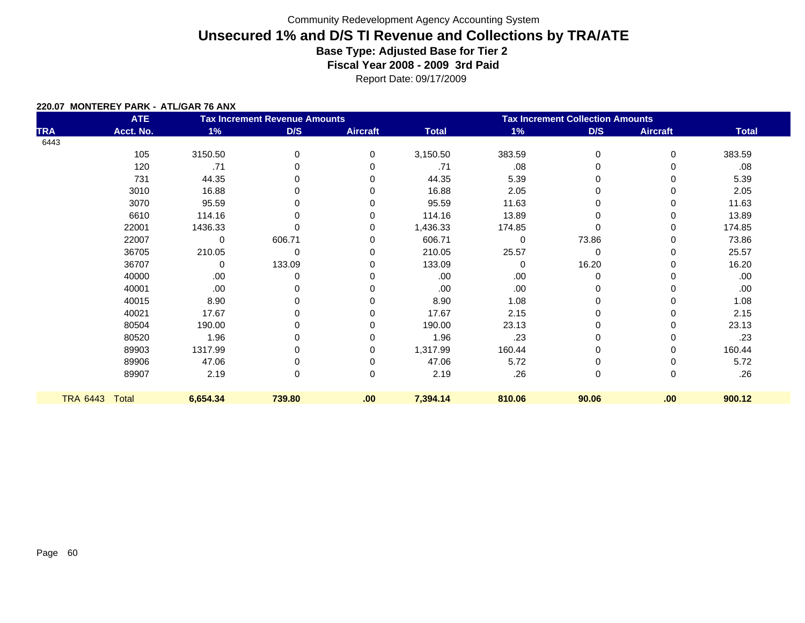Report Date: 09/17/2009

#### **220.07 MONTEREY PARK - ATL/GAR 76 ANX**

|                 | <b>ATE</b> |          | <b>Tax Increment Revenue Amounts</b> |                 | <b>Tax Increment Collection Amounts</b> |             |             |                 |              |  |
|-----------------|------------|----------|--------------------------------------|-----------------|-----------------------------------------|-------------|-------------|-----------------|--------------|--|
| <b>TRA</b>      | Acct. No.  | 1%       | D/S                                  | <b>Aircraft</b> | <b>Total</b>                            | 1%          | D/S         | <b>Aircraft</b> | <b>Total</b> |  |
| 6443            |            |          |                                      |                 |                                         |             |             |                 |              |  |
|                 | 105        | 3150.50  | 0                                    | 0               | 3,150.50                                | 383.59      | 0           | 0               | 383.59       |  |
|                 | 120        | .71      |                                      | 0               | .71                                     | .08         |             |                 | .08          |  |
|                 | 731        | 44.35    |                                      | 0               | 44.35                                   | 5.39        |             | 0               | 5.39         |  |
|                 | 3010       | 16.88    |                                      |                 | 16.88                                   | 2.05        |             | 0               | 2.05         |  |
|                 | 3070       | 95.59    | O                                    |                 | 95.59                                   | 11.63       |             | 0               | 11.63        |  |
|                 | 6610       | 114.16   |                                      |                 | 114.16                                  | 13.89       |             | 0               | 13.89        |  |
|                 | 22001      | 1436.33  |                                      | 0               | 1,436.33                                | 174.85      |             | 0               | 174.85       |  |
|                 | 22007      | 0        | 606.71                               | 0               | 606.71                                  | $\mathbf 0$ | 73.86       | 0               | 73.86        |  |
|                 | 36705      | 210.05   | 0                                    |                 | 210.05                                  | 25.57       | $\mathbf 0$ | 0               | 25.57        |  |
|                 | 36707      | 0        | 133.09                               | 0               | 133.09                                  | $\Omega$    | 16.20       | 0               | 16.20        |  |
|                 | 40000      | .00      |                                      |                 | .00                                     | .00         |             |                 | .00          |  |
|                 | 40001      | .00      |                                      | O               | .00                                     | .00         |             | 0               | .00.         |  |
|                 | 40015      | 8.90     |                                      |                 | 8.90                                    | 1.08        |             |                 | 1.08         |  |
|                 | 40021      | 17.67    | ŋ                                    |                 | 17.67                                   | 2.15        |             | 0               | 2.15         |  |
|                 | 80504      | 190.00   |                                      |                 | 190.00                                  | 23.13       |             | 0               | 23.13        |  |
|                 | 80520      | 1.96     | 0                                    |                 | 1.96                                    | .23         |             | 0               | .23          |  |
|                 | 89903      | 1317.99  |                                      | 0               | 1,317.99                                | 160.44      |             | 0               | 160.44       |  |
|                 | 89906      | 47.06    |                                      |                 | 47.06                                   | 5.72        |             |                 | 5.72         |  |
|                 | 89907      | 2.19     | 0                                    | 0               | 2.19                                    | .26         | 0           | 0               | .26          |  |
| <b>TRA 6443</b> | Total      | 6,654.34 | 739.80                               | .00             | 7,394.14                                | 810.06      | 90.06       | .00             | 900.12       |  |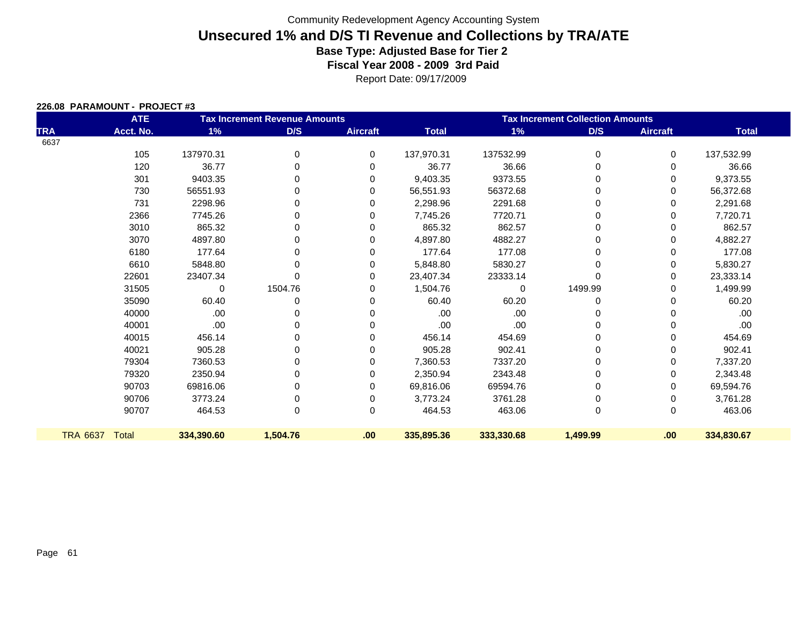| 226.08 PARAMOUNT - PROJECT#3 |  |
|------------------------------|--|
|                              |  |

| <b>ATE</b><br><b>Tax Increment Revenue Amounts</b> |              |            |             |                 | <b>Tax Increment Collection Amounts</b> |            |          |                 |              |  |
|----------------------------------------------------|--------------|------------|-------------|-----------------|-----------------------------------------|------------|----------|-----------------|--------------|--|
| <b>TRA</b>                                         | Acct. No.    | 1%         | D/S         | <b>Aircraft</b> | <b>Total</b>                            | $1\%$      | D/S      | <b>Aircraft</b> | <b>Total</b> |  |
| 6637                                               |              |            |             |                 |                                         |            |          |                 |              |  |
|                                                    | 105          | 137970.31  | 0           | $\mathbf 0$     | 137,970.31                              | 137532.99  | $\Omega$ | 0               | 137,532.99   |  |
|                                                    | 120          | 36.77      | $\mathbf 0$ | 0               | 36.77                                   | 36.66      | 0        | 0               | 36.66        |  |
|                                                    | 301          | 9403.35    | 0           | 0               | 9,403.35                                | 9373.55    | 0        | 0               | 9,373.55     |  |
|                                                    | 730          | 56551.93   | 0           | 0               | 56,551.93                               | 56372.68   | 0        | 0               | 56,372.68    |  |
|                                                    | 731          | 2298.96    | 0           | 0               | 2,298.96                                | 2291.68    | 0        | 0               | 2,291.68     |  |
|                                                    | 2366         | 7745.26    | 0           | 0               | 7,745.26                                | 7720.71    | 0        | 0               | 7,720.71     |  |
|                                                    | 3010         | 865.32     | 0           | 0               | 865.32                                  | 862.57     | 0        | 0               | 862.57       |  |
|                                                    | 3070         | 4897.80    | 0           | 0               | 4,897.80                                | 4882.27    | 0        | 0               | 4,882.27     |  |
|                                                    | 6180         | 177.64     | 0           | 0               | 177.64                                  | 177.08     | 0        | 0               | 177.08       |  |
|                                                    | 6610         | 5848.80    | $\Omega$    | 0               | 5,848.80                                | 5830.27    | 0        | 0               | 5,830.27     |  |
|                                                    | 22601        | 23407.34   | $\Omega$    | 0               | 23,407.34                               | 23333.14   | 0        | 0               | 23,333.14    |  |
|                                                    | 31505        | 0          | 1504.76     | 0               | 1,504.76                                | 0          | 1499.99  | 0               | 1,499.99     |  |
|                                                    | 35090        | 60.40      | 0           | 0               | 60.40                                   | 60.20      | 0        | 0               | 60.20        |  |
|                                                    | 40000        | .00        | 0           | 0               | .00                                     | .00        | 0        | 0               | .00          |  |
|                                                    | 40001        | .00        | $\Omega$    | 0               | .00                                     | .00        | 0        |                 | .00          |  |
|                                                    | 40015        | 456.14     | 0           | 0               | 456.14                                  | 454.69     | 0        | 0               | 454.69       |  |
|                                                    | 40021        | 905.28     | 0           | 0               | 905.28                                  | 902.41     | 0        | 0               | 902.41       |  |
|                                                    | 79304        | 7360.53    | 0           | 0               | 7,360.53                                | 7337.20    |          | 0               | 7,337.20     |  |
|                                                    | 79320        | 2350.94    | 0           | 0               | 2,350.94                                | 2343.48    | 0        | 0               | 2,343.48     |  |
|                                                    | 90703        | 69816.06   | 0           | 0               | 69,816.06                               | 69594.76   | 0        | 0               | 69,594.76    |  |
|                                                    | 90706        | 3773.24    | 0           | 0               | 3,773.24                                | 3761.28    | 0        | 0               | 3,761.28     |  |
|                                                    | 90707        | 464.53     | $\mathbf 0$ | 0               | 464.53                                  | 463.06     | 0        | 0               | 463.06       |  |
| <b>TRA 6637</b>                                    | <b>Total</b> | 334,390.60 | 1,504.76    | .00.            | 335,895.36                              | 333,330.68 | 1,499.99 | .00             | 334,830.67   |  |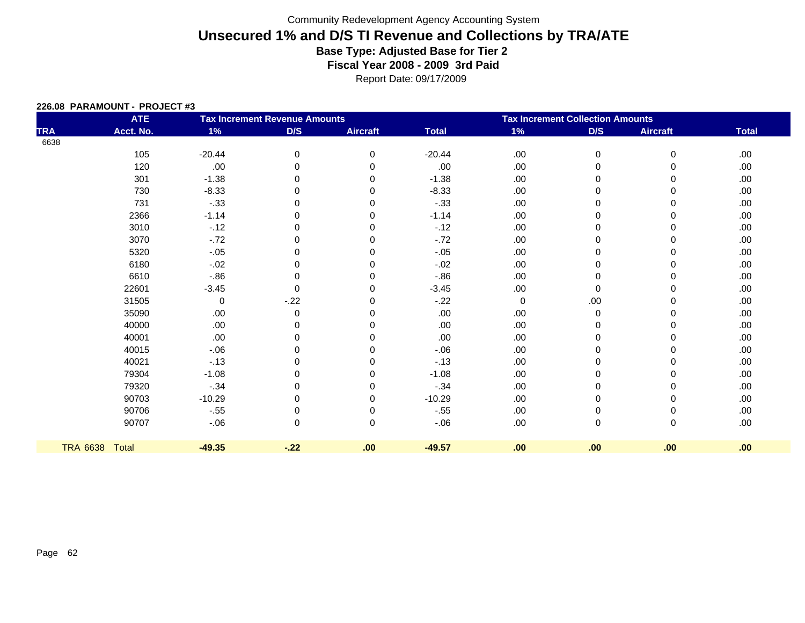| 226.08 PARAMOUNT - PROJECT#3 |  |
|------------------------------|--|
|                              |  |

|                 | <b>ATE</b>   | <b>Tax Increment Revenue Amounts</b> |          |                 |              | <b>Tax Increment Collection Amounts</b> |             |                 |              |
|-----------------|--------------|--------------------------------------|----------|-----------------|--------------|-----------------------------------------|-------------|-----------------|--------------|
| <b>TRA</b>      | Acct. No.    | $1\%$                                | D/S      | <b>Aircraft</b> | <b>Total</b> | $1\%$                                   | D/S         | <b>Aircraft</b> | <b>Total</b> |
| 6638            |              |                                      |          |                 |              |                                         |             |                 |              |
|                 | 105          | $-20.44$                             | 0        | 0               | $-20.44$     | .00.                                    | $\pmb{0}$   | 0               | .00.         |
|                 | 120          | .00                                  | 0        | 0               | .00          | .00                                     | 0           | 0               | .00.         |
|                 | 301          | $-1.38$                              | 0        | 0               | $-1.38$      | .00                                     | $\Omega$    | 0               | .00.         |
|                 | 730          | $-8.33$                              | 0        | 0               | $-8.33$      | .00                                     | $\Omega$    | 0               | .00.         |
|                 | 731          | $-.33$                               | 0        | $\Omega$        | $-.33$       | .00                                     | $\mathbf 0$ | 0               | .00.         |
|                 | 2366         | $-1.14$                              | 0        | ∩               | $-1.14$      | .00                                     | $\Omega$    | 0               | .00.         |
|                 | 3010         | $-.12$                               | 0        | 0               | $-12$        | .00                                     | 0           | 0               | .00.         |
|                 | 3070         | $-.72$                               | 0        | $\Omega$        | $-72$        | .00                                     | $\mathbf 0$ | 0               | .00.         |
|                 | 5320         | $-.05$                               | 0        |                 | $-.05$       | .00                                     | $\Omega$    | 0               | .00.         |
|                 | 6180         | $-.02$                               | 0        | 0               | $-.02$       | .00                                     | 0           | 0               | .00.         |
|                 | 6610         | $-0.86$                              | 0        | O               | $-0.86$      | .00                                     | $\mathbf 0$ | 0               | .00.         |
|                 | 22601        | $-3.45$                              | $\Omega$ | 0               | $-3.45$      | .00                                     | $\Omega$    | $\Omega$        | .00.         |
|                 | 31505        | 0                                    | $-.22$   | 0               | $-.22$       | $\mathbf 0$                             | .00.        | 0               | .00.         |
|                 | 35090        | .00                                  | 0        | $\Omega$        | .00          | .00                                     | $\pmb{0}$   | 0               | .00.         |
|                 | 40000        | .00                                  | 0        | ∩               | .00          | .00                                     | $\Omega$    | 0               | .00.         |
|                 | 40001        | .00                                  | 0        | 0               | .00          | .00                                     | 0           | 0               | .00.         |
|                 | 40015        | $-0.06$                              | 0        | O               | $-0.06$      | .00                                     | 0           | 0               | .00.         |
|                 | 40021        | $-13$                                | 0        | ∩               | $-13$        | .00                                     | $\Omega$    | 0               | .00.         |
|                 | 79304        | $-1.08$                              | 0        | 0               | $-1.08$      | .00                                     | 0           | 0               | .00.         |
|                 | 79320        | $-.34$                               | 0        | $\Omega$        | $-0.34$      | .00                                     | 0           | 0               | .00.         |
|                 | 90703        | $-10.29$                             | 0        | $\Omega$        | $-10.29$     | .00                                     | 0           | 0               | .00.         |
|                 | 90706        | $-.55$                               | 0        | 0               | $-.55$       | .00                                     | 0           | 0               | .00.         |
|                 | 90707        | $-0.06$                              | 0        | $\Omega$        | $-06$        | .00                                     | $\mathbf 0$ | 0               | .00.         |
| <b>TRA 6638</b> | <b>Total</b> | $-49.35$                             | $-.22$   | .00             | $-49.57$     | .00                                     | .00         | .00             | .00          |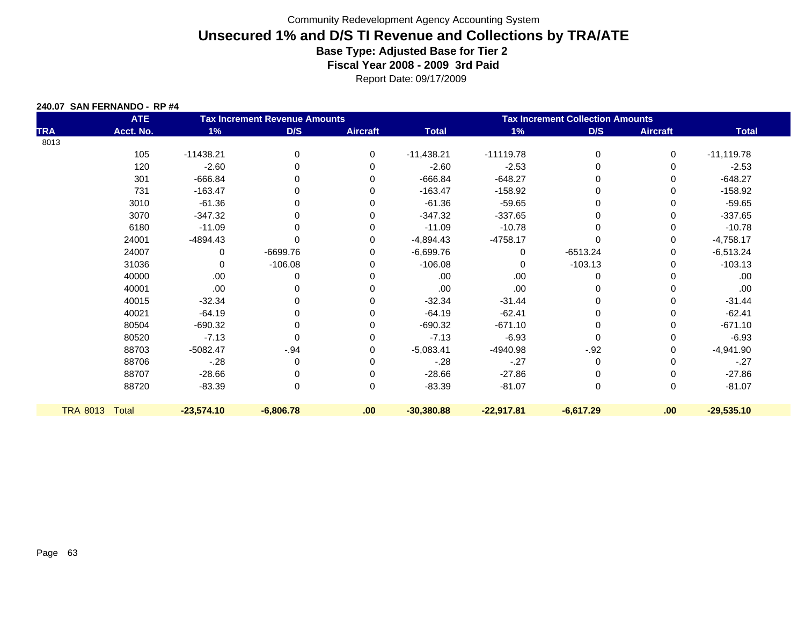|  | 240.07 SAN FERNANDO - RP #4 |  |
|--|-----------------------------|--|
|  |                             |  |

|            | <b>ATE</b>     |              | <b>Tax Increment Revenue Amounts</b> |                 | <b>Tax Increment Collection Amounts</b> |              |             |                 |              |  |
|------------|----------------|--------------|--------------------------------------|-----------------|-----------------------------------------|--------------|-------------|-----------------|--------------|--|
| <b>TRA</b> | Acct. No.      | 1%           | D/S                                  | <b>Aircraft</b> | <b>Total</b>                            | 1%           | D/S         | <b>Aircraft</b> | <b>Total</b> |  |
| 8013       |                |              |                                      |                 |                                         |              |             |                 |              |  |
|            | 105            | $-11438.21$  | 0                                    | $\Omega$        | $-11,438.21$                            | $-11119.78$  | $\mathbf 0$ | 0               | $-11,119.78$ |  |
|            | 120            | $-2.60$      | 0                                    | 0               | $-2.60$                                 | $-2.53$      | 0           | 0               | $-2.53$      |  |
|            | 301            | $-666.84$    | 0                                    | $\Omega$        | $-666.84$                               | $-648.27$    | $\Omega$    | 0               | $-648.27$    |  |
|            | 731            | $-163.47$    | 0                                    | 0               | $-163.47$                               | $-158.92$    | 0           | 0               | $-158.92$    |  |
|            | 3010           | $-61.36$     | 0                                    | ∩               | $-61.36$                                | $-59.65$     | $\Omega$    | 0               | $-59.65$     |  |
|            | 3070           | $-347.32$    | 0                                    | 0               | $-347.32$                               | $-337.65$    | $\Omega$    | 0               | $-337.65$    |  |
|            | 6180           | $-11.09$     | 0                                    | 0               | $-11.09$                                | $-10.78$     | $\Omega$    | 0               | $-10.78$     |  |
|            | 24001          | $-4894.43$   | 0                                    | $\Omega$        | $-4,894.43$                             | $-4758.17$   | $\Omega$    | 0               | $-4,758.17$  |  |
|            | 24007          | 0            | $-6699.76$                           | $\Omega$        | $-6,699.76$                             | 0            | $-6513.24$  | 0               | $-6,513.24$  |  |
|            | 31036          | $\Omega$     | $-106.08$                            | $\Omega$        | $-106.08$                               | $\Omega$     | $-103.13$   | 0               | $-103.13$    |  |
|            | 40000          | .00          | 0                                    |                 | .00                                     | .00.         | $\Omega$    | 0               | .00.         |  |
|            | 40001          | .00          | 0                                    | $\Omega$        | .00                                     | .00.         | $\Omega$    | 0               | .00          |  |
|            | 40015          | $-32.34$     | 0                                    | $\Omega$        | $-32.34$                                | $-31.44$     | $\Omega$    | 0               | $-31.44$     |  |
|            | 40021          | $-64.19$     | 0                                    | $\Omega$        | $-64.19$                                | $-62.41$     | 0           | 0               | $-62.41$     |  |
|            | 80504          | $-690.32$    | 0                                    | 0               | $-690.32$                               | $-671.10$    | 0           | 0               | $-671.10$    |  |
|            | 80520          | $-7.13$      | $\Omega$                             | $\Omega$        | $-7.13$                                 | $-6.93$      | $\Omega$    | 0               | $-6.93$      |  |
|            | 88703          | $-5082.47$   | $-.94$                               | 0               | $-5,083.41$                             | -4940.98     | $-.92$      | 0               | $-4,941.90$  |  |
|            | 88706          | $-.28$       | 0                                    | 0               | $-.28$                                  | $-27$        | 0           | 0               | $-.27$       |  |
|            | 88707          | $-28.66$     | 0                                    | $\Omega$        | $-28.66$                                | $-27.86$     | 0           | 0               | $-27.86$     |  |
|            | 88720          | $-83.39$     | 0                                    | 0               | $-83.39$                                | $-81.07$     | $\mathbf 0$ | 0               | $-81.07$     |  |
|            | TRA 8013 Total | $-23,574.10$ | $-6,806.78$                          | .00             | $-30,380.88$                            | $-22,917.81$ | $-6,617.29$ | .00             | $-29,535.10$ |  |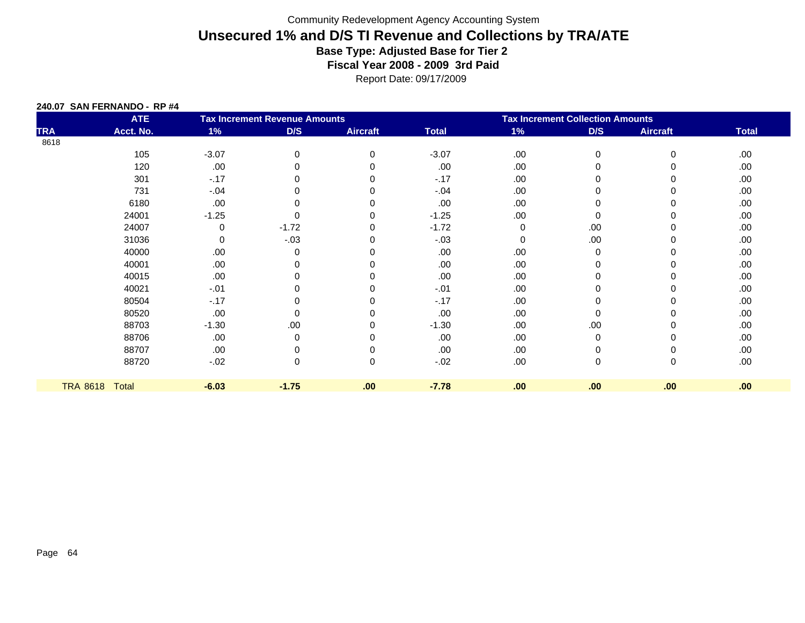|  | 240.07 SAN FERNANDO - RP #4 |  |  |
|--|-----------------------------|--|--|
|  |                             |  |  |

|                 | <b>ATE</b> |         | <b>Tax Increment Revenue Amounts</b> |                 | <b>Tax Increment Collection Amounts</b> |     |          |                 |              |
|-----------------|------------|---------|--------------------------------------|-----------------|-----------------------------------------|-----|----------|-----------------|--------------|
| <b>TRA</b>      | Acct. No.  | 1%      | D/S                                  | <b>Aircraft</b> | <b>Total</b>                            | 1%  | D/S      | <b>Aircraft</b> | <b>Total</b> |
| 8618            |            |         |                                      |                 |                                         |     |          |                 |              |
|                 | 105        | $-3.07$ | 0                                    | $\Omega$        | $-3.07$                                 | .00 | 0        | $\Omega$        | .00          |
|                 | 120        | .00     |                                      |                 | .00                                     | .00 | $\Omega$ |                 | .00.         |
|                 | 301        | $-17$   |                                      |                 | $-17$                                   | .00 | 0        |                 | .00.         |
|                 | 731        | $-.04$  |                                      |                 | $-.04$                                  | .00 | 0        |                 | .00.         |
|                 | 6180       | .00     |                                      |                 | .00                                     | .00 | 0        |                 | .00          |
|                 | 24001      | $-1.25$ | O                                    |                 | $-1.25$                                 | .00 | 0        | 0               | .00.         |
|                 | 24007      | 0       | $-1.72$                              |                 | $-1.72$                                 | 0   | .00.     |                 | .00          |
|                 | 31036      | 0       | $-.03$                               |                 | $-.03$                                  | 0   | .00.     | 0               | .00.         |
|                 | 40000      | .00     | 0                                    |                 | .00                                     | .00 | 0        | 0               | .00          |
|                 | 40001      | .00     |                                      |                 | .00                                     | .00 | $\Omega$ |                 | .00.         |
|                 | 40015      | .00     |                                      |                 | .00.                                    | .00 | $\Omega$ |                 | .00          |
|                 | 40021      | $-.01$  |                                      |                 | $-.01$                                  | .00 | 0        |                 | .00          |
|                 | 80504      | $-.17$  |                                      |                 | $-.17$                                  | .00 | 0        |                 | .00.         |
|                 | 80520      | .00     | 0                                    |                 | .00                                     | .00 | 0        | 0               | .00          |
|                 | 88703      | $-1.30$ | .00                                  |                 | $-1.30$                                 | .00 | .00      |                 | .00.         |
|                 | 88706      | .00     | 0                                    |                 | .00                                     | .00 | 0        |                 | .00.         |
|                 | 88707      | .00     |                                      |                 | .00.                                    | .00 | 0        | 0               | .00          |
|                 | 88720      | $-0.02$ | 0                                    | $\Omega$        | $-.02$                                  | .00 | 0        | 0               | .00.         |
|                 |            |         |                                      |                 |                                         |     |          |                 |              |
| <b>TRA 8618</b> | Total      | $-6.03$ | $-1.75$                              | .00             | $-7.78$                                 | .00 | .00      | .00             | .00          |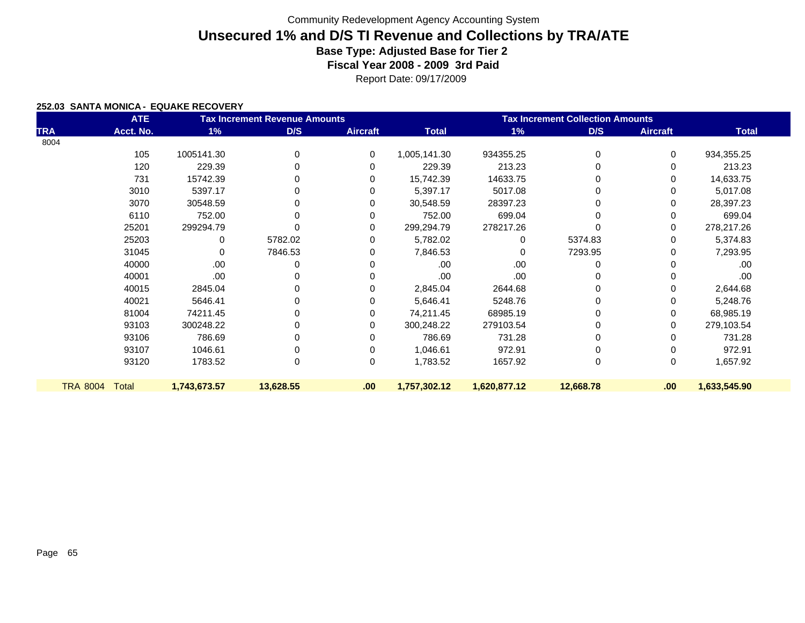Report Date: 09/17/2009

#### **252.03 SANTA MONICA - EQUAKE RECOVERY**

|                 | <b>ATE</b>   |              | <b>Tax Increment Revenue Amounts</b> |                 | <b>Tax Increment Collection Amounts</b> |              |           |                 |              |  |
|-----------------|--------------|--------------|--------------------------------------|-----------------|-----------------------------------------|--------------|-----------|-----------------|--------------|--|
| TRA             | Acct. No.    | 1%           | D/S                                  | <b>Aircraft</b> | <b>Total</b>                            | $1\%$        | D/S       | <b>Aircraft</b> | <b>Total</b> |  |
| 8004            |              |              |                                      |                 |                                         |              |           |                 |              |  |
|                 | 105          | 1005141.30   | 0                                    | 0               | 1,005,141.30                            | 934355.25    | 0         | 0               | 934,355.25   |  |
|                 | 120          | 229.39       | 0                                    | 0               | 229.39                                  | 213.23       |           | 0               | 213.23       |  |
|                 | 731          | 15742.39     | 0                                    | 0               | 15,742.39                               | 14633.75     |           | 0               | 14,633.75    |  |
|                 | 3010         | 5397.17      | 0                                    | 0               | 5,397.17                                | 5017.08      | 0         | 0               | 5,017.08     |  |
|                 | 3070         | 30548.59     | 0                                    | 0               | 30,548.59                               | 28397.23     | 0         | 0               | 28,397.23    |  |
|                 | 6110         | 752.00       | $\Omega$                             | 0               | 752.00                                  | 699.04       | 0         | 0               | 699.04       |  |
|                 | 25201        | 299294.79    | O                                    | 0               | 299,294.79                              | 278217.26    | 0         | 0               | 278,217.26   |  |
|                 | 25203        | 0            | 5782.02                              | 0               | 5,782.02                                | 0            | 5374.83   | 0               | 5,374.83     |  |
|                 | 31045        | $\Omega$     | 7846.53                              | 0               | 7,846.53                                | 0            | 7293.95   | 0               | 7,293.95     |  |
|                 | 40000        | .00.         | 0                                    | 0               | .00                                     | .00          | 0         |                 | .00          |  |
|                 | 40001        | .00.         | $\Omega$                             |                 | .00                                     | .00          |           | 0               | .00          |  |
|                 | 40015        | 2845.04      | 0                                    | 0               | 2,845.04                                | 2644.68      |           | 0               | 2,644.68     |  |
|                 | 40021        | 5646.41      | 0                                    | 0               | 5,646.41                                | 5248.76      | 0         | 0               | 5,248.76     |  |
|                 | 81004        | 74211.45     | 0                                    | 0               | 74,211.45                               | 68985.19     | 0         | 0               | 68,985.19    |  |
|                 | 93103        | 300248.22    | 0                                    | 0               | 300,248.22                              | 279103.54    |           | 0               | 279,103.54   |  |
|                 | 93106        | 786.69       | 0                                    | 0               | 786.69                                  | 731.28       | 0         | 0               | 731.28       |  |
|                 | 93107        | 1046.61      | 0                                    | 0               | 1,046.61                                | 972.91       | 0         | 0               | 972.91       |  |
|                 | 93120        | 1783.52      | 0                                    | 0               | 1,783.52                                | 1657.92      | 0         | 0               | 1,657.92     |  |
|                 |              |              |                                      |                 |                                         |              |           |                 |              |  |
| <b>TRA 8004</b> | <b>Total</b> | 1,743,673.57 | 13,628.55                            | .00             | 1,757,302.12                            | 1,620,877.12 | 12,668.78 | .00             | 1,633,545.90 |  |
|                 |              |              |                                      |                 |                                         |              |           |                 |              |  |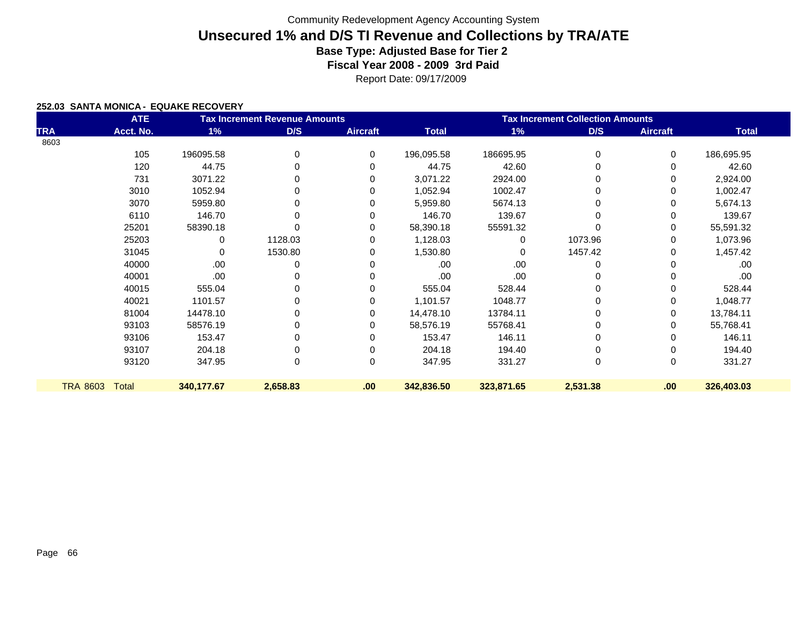Report Date: 09/17/2009

#### **252.03 SANTA MONICA - EQUAKE RECOVERY**

|                 | <b>ATE</b>   |            | <b>Tax Increment Revenue Amounts</b> |                 | <b>Tax Increment Collection Amounts</b> |            |             |                 |              |  |
|-----------------|--------------|------------|--------------------------------------|-----------------|-----------------------------------------|------------|-------------|-----------------|--------------|--|
| <b>TRA</b>      | Acct. No.    | 1%         | D/S                                  | <b>Aircraft</b> | <b>Total</b>                            | 1%         | D/S         | <b>Aircraft</b> | <b>Total</b> |  |
| 8603            |              |            |                                      |                 |                                         |            |             |                 |              |  |
|                 | 105          | 196095.58  | 0                                    | $\Omega$        | 196,095.58                              | 186695.95  | $\mathbf 0$ | 0               | 186,695.95   |  |
|                 | 120          | 44.75      | 0                                    | 0               | 44.75                                   | 42.60      | 0           | 0               | 42.60        |  |
|                 | 731          | 3071.22    | 0                                    | 0               | 3,071.22                                | 2924.00    | 0           | 0               | 2,924.00     |  |
|                 | 3010         | 1052.94    | 0                                    | 0               | 1,052.94                                | 1002.47    | $\Omega$    | 0               | 1,002.47     |  |
|                 | 3070         | 5959.80    | 0                                    | 0               | 5,959.80                                | 5674.13    | 0           | 0               | 5,674.13     |  |
|                 | 6110         | 146.70     | 0                                    | 0               | 146.70                                  | 139.67     | 0           | 0               | 139.67       |  |
|                 | 25201        | 58390.18   |                                      | 0               | 58,390.18                               | 55591.32   | 0           | 0               | 55,591.32    |  |
|                 | 25203        | 0          | 1128.03                              | $\Omega$        | 1,128.03                                |            | 1073.96     | 0               | 1,073.96     |  |
|                 | 31045        | 0          | 1530.80                              | 0               | 1,530.80                                | 0          | 1457.42     | 0               | 1,457.42     |  |
|                 | 40000        | .00        | 0                                    | 0               | .00                                     | .00        | 0           | 0               | .00          |  |
|                 | 40001        | .00        |                                      |                 | .00.                                    | .00.       | 0           | 0               | .00.         |  |
|                 | 40015        | 555.04     |                                      | 0               | 555.04                                  | 528.44     | 0           | 0               | 528.44       |  |
|                 | 40021        | 1101.57    | 0                                    | 0               | 1,101.57                                | 1048.77    | 0           | 0               | 1,048.77     |  |
|                 | 81004        | 14478.10   | 0                                    | 0               | 14,478.10                               | 13784.11   | 0           | 0               | 13,784.11    |  |
|                 | 93103        | 58576.19   | 0                                    | 0               | 58,576.19                               | 55768.41   | 0           | 0               | 55,768.41    |  |
|                 | 93106        | 153.47     | 0                                    | 0               | 153.47                                  | 146.11     | 0           | 0               | 146.11       |  |
|                 | 93107        | 204.18     | 0                                    | $\Omega$        | 204.18                                  | 194.40     | 0           | 0               | 194.40       |  |
|                 | 93120        | 347.95     | 0                                    | $\Omega$        | 347.95                                  | 331.27     | $\mathbf 0$ | 0               | 331.27       |  |
|                 |              |            |                                      |                 |                                         |            |             |                 |              |  |
| <b>TRA 8603</b> | <b>Total</b> | 340,177.67 | 2,658.83                             | .00             | 342,836.50                              | 323,871.65 | 2,531.38    | .00.            | 326,403.03   |  |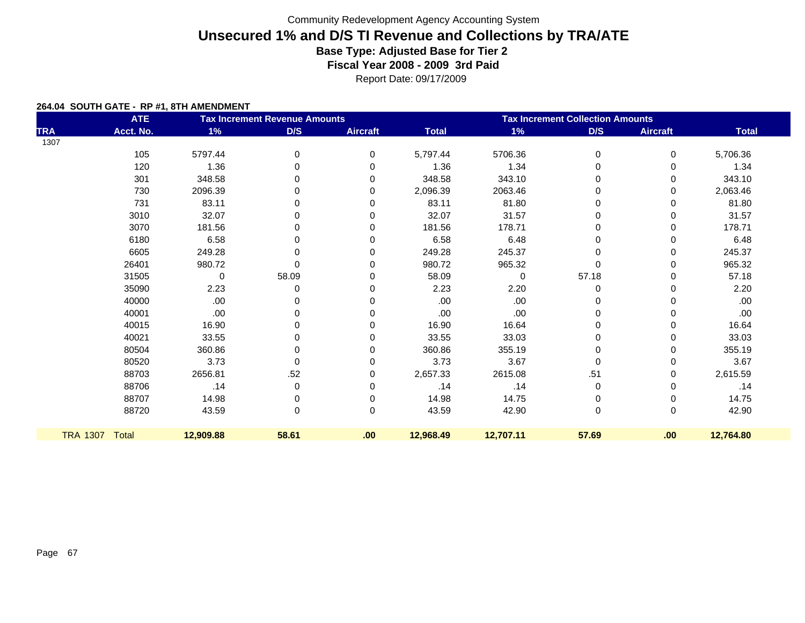Report Date: 09/17/2009

#### **264.04 SOUTH GATE - RP #1, 8TH AMENDMENT**

|            | <b>ATE</b>     |             | <b>Tax Increment Revenue Amounts</b> |                 | <b>Tax Increment Collection Amounts</b> |           |             |                 |              |  |
|------------|----------------|-------------|--------------------------------------|-----------------|-----------------------------------------|-----------|-------------|-----------------|--------------|--|
| <b>TRA</b> | Acct. No.      | 1%          | D/S                                  | <b>Aircraft</b> | <b>Total</b>                            | 1%        | D/S         | <b>Aircraft</b> | <b>Total</b> |  |
| 1307       |                |             |                                      |                 |                                         |           |             |                 |              |  |
|            | 105            | 5797.44     | 0                                    | $\mathbf 0$     | 5,797.44                                | 5706.36   | 0           | 0               | 5,706.36     |  |
|            | 120            | 1.36        | $\mathbf 0$                          | 0               | 1.36                                    | 1.34      | 0           | 0               | 1.34         |  |
|            | 301            | 348.58      | 0                                    | $\Omega$        | 348.58                                  | 343.10    | 0           | 0               | 343.10       |  |
|            | 730            | 2096.39     | 0                                    | 0               | 2,096.39                                | 2063.46   | 0           | 0               | 2,063.46     |  |
|            | 731            | 83.11       | 0                                    | 0               | 83.11                                   | 81.80     | 0           | 0               | 81.80        |  |
|            | 3010           | 32.07       | 0                                    | 0               | 32.07                                   | 31.57     | 0           | 0               | 31.57        |  |
|            | 3070           | 181.56      | $\Omega$                             | $\Omega$        | 181.56                                  | 178.71    | 0           | 0               | 178.71       |  |
|            | 6180           | 6.58        | 0                                    | 0               | 6.58                                    | 6.48      | 0           | 0               | 6.48         |  |
|            | 6605           | 249.28      | 0                                    | 0               | 249.28                                  | 245.37    | 0           | 0               | 245.37       |  |
|            | 26401          | 980.72      | $\Omega$                             | 0               | 980.72                                  | 965.32    |             | 0               | 965.32       |  |
|            | 31505          | $\mathbf 0$ | 58.09                                | 0               | 58.09                                   | $\Omega$  | 57.18       | 0               | 57.18        |  |
|            | 35090          | 2.23        | 0                                    | $\Omega$        | 2.23                                    | 2.20      | 0           | 0               | 2.20         |  |
|            | 40000          | .00         | 0                                    | 0               | .00                                     | .00       | 0           | 0               | .00          |  |
|            | 40001          | .00.        | 0                                    | 0               | .00                                     | .00       | 0           | 0               | .00          |  |
|            | 40015          | 16.90       | 0                                    | $\Omega$        | 16.90                                   | 16.64     | 0           | 0               | 16.64        |  |
|            | 40021          | 33.55       | 0                                    | $\Omega$        | 33.55                                   | 33.03     | 0           | 0               | 33.03        |  |
|            | 80504          | 360.86      | 0                                    | 0               | 360.86                                  | 355.19    | 0           | 0               | 355.19       |  |
|            | 80520          | 3.73        | $\pmb{0}$                            | 0               | 3.73                                    | 3.67      | $\mathbf 0$ | 0               | 3.67         |  |
|            | 88703          | 2656.81     | .52                                  | 0               | 2,657.33                                | 2615.08   | .51         | 0               | 2,615.59     |  |
|            | 88706          | .14         | 0                                    | 0               | .14                                     | .14       | 0           | 0               | .14          |  |
|            | 88707          | 14.98       | 0                                    | 0               | 14.98                                   | 14.75     | 0           | 0               | 14.75        |  |
|            | 88720          | 43.59       | $\mathbf 0$                          | $\mathbf 0$     | 43.59                                   | 42.90     | $\mathbf 0$ | 0               | 42.90        |  |
|            | TRA 1307 Total | 12,909.88   | 58.61                                | .00             | 12,968.49                               | 12,707.11 | 57.69       | .00             | 12,764.80    |  |